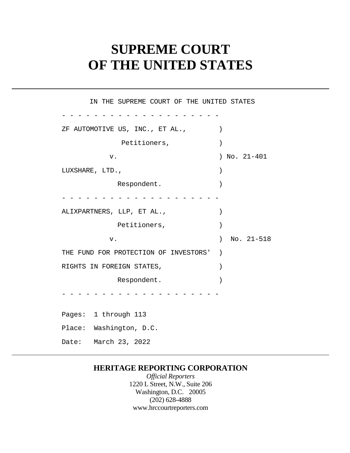# **SUPREME COURT OF THE UNITED STATES**

 ZF AUTOMOTIVE US, INC., ET AL., ) - - - - - - - - - - - - - - - - - - - -  $\left( \begin{array}{c} \end{array} \right)$  THE FUND FOR PROTECTION OF INVESTORS' )  $\left( \begin{array}{c} \end{array} \right)$ - - - - - - - - - - Pages: 1 through 113 - - - - - - - - - - - - - - - - - - - - - - - - - - - - - - - - - - - - - - - - IN THE SUPREME COURT OF THE UNITED STATES Petitioners,  $)$ v. ) No. 21-401 LUXSHARE, LTD.,  $)$ Respondent. ALIXPARTNERS, LLP, ET AL., Petitioners,  $)$ v. ) No. 21-518 RIGHTS IN FOREIGN STATES, Respondent. Place: Washington, D.C. Date: March 23, 2022

### **HERITAGE REPORTING CORPORATION**

*Official Reporters*  1220 L Street, N.W., Suite 206 Washington, D.C. 20005 (202) 628-4888 <www.hrccourtreporters.com>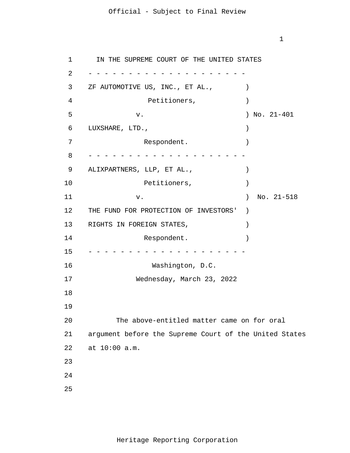1

1 2 3 4 5 6 7 8 9 10 11 12 13 14 15 16 17 18 19 20 21 22 23 24 25 - - - - - - - - - - - - - - - - - - - - - - - - - - - - - - - - - - - - - - - - - - - - - - - - - - - - - - - - - - - - IN THE SUPREME COURT OF THE UNITED STATES ZF AUTOMOTIVE US, INC., ET AL.,  $\qquad$ Petitioners,  $)$  v. ) No. 21-401 LUXSHARE, LTD., ) Respondent. ALIXPARTNERS, LLP, ET AL.,  $\qquad \qquad$ Petitioners,  $)$  v. ) No. 21-518 THE FUND FOR PROTECTION OF INVESTORS' ) RIGHTS IN FOREIGN STATES,  $($ Respondent. Washington, D.C. Wednesday, March 23, 2022 The above-entitled matter came on for oral argument before the Supreme Court of the United States at 10:00 a.m.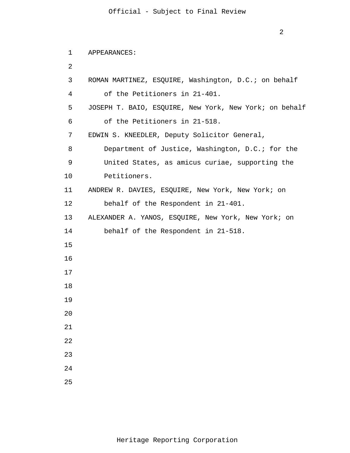```
2
```

```
1 
      APPEARANCES:
```

```
2
```

```
3 
 4 
 5 
 6 
 7 
 8 
 9 
10 
11 
12 
13
14 
15
16
17
18
19
20
21
22
23
24
25
       ROMAN MARTINEZ, ESQUIRE, Washington, D.C.; on behalf
           of the Petitioners in 21-401. 
      JOSEPH T. BAIO, ESQUIRE, New York, New York; on behalf
           of the Petitioners in 21-518.
       EDWIN S. KNEEDLER, Deputy Solicitor General,
           Department of Justice, Washington, D.C.; for the
           United States, as amicus curiae, supporting the 
          Petitioners. 
      ANDREW R. DAVIES, ESQUIRE, New York, New York; on 
          behalf of the Respondent in 21-401. 
      ALEXANDER A. YANOS, ESQUIRE, New York, New York; on 
          behalf of the Respondent in 21-518.
```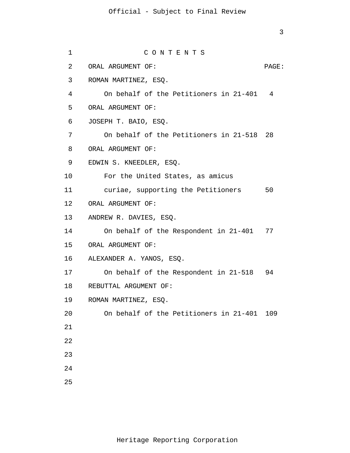```
1 
 2 
 3 
 4 
 5 
6 
7 
8 
9 
10 
11 
12 
13 
14 
15 
16 
17 
18 
19 
20 
21
22
23
24
25
                     C O N T E N T S
      ORAL ARGUMENT OF: PAGE: 
     ROMAN MARTINEZ, ESQ.
          On behalf of the Petitioners in 21-401 4
      ORAL ARGUMENT OF:
      JOSEPH T. BAIO, ESQ.
           On behalf of the Petitioners in 21-518 28
      ORAL ARGUMENT OF:
      EDWIN S. KNEEDLER, ESQ. 
          For the United States, as amicus 
          curiae, supporting the Petitioners 50 
     ORAL ARGUMENT OF: 
     ANDREW R. DAVIES, ESQ. 
          On behalf of the Respondent in 21-401 77 
    ORAL ARGUMENT OF: 
     ALEXANDER A. YANOS, ESQ. 
          On behalf of the Respondent in 21-518 94 
     REBUTTAL ARGUMENT OF: 
     ROMAN MARTINEZ, ESQ. 
         On behalf of the Petitioners in 21-401 109
```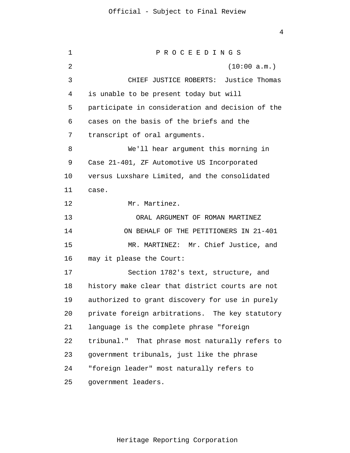1 2 3 4 5 6 7 8 9 10 11 12 13 14 15 16 17 18 19 20 21 22 23 24 25 P R O C E E D I N G S (10:00 a.m.) CHIEF JUSTICE ROBERTS: Justice Thomas is unable to be present today but will participate in consideration and decision of the cases on the basis of the briefs and the transcript of oral arguments. We'll hear argument this morning in Case 21-401, ZF Automotive US Incorporated versus Luxshare Limited, and the consolidated case. Mr. Martinez. ORAL ARGUMENT OF ROMAN MARTINEZ ON BEHALF OF THE PETITIONERS IN 21-401 MR. MARTINEZ: Mr. Chief Justice, and may it please the Court: Section 1782's text, structure, and history make clear that district courts are not authorized to grant discovery for use in purely private foreign arbitrations. The key statutory language is the complete phrase "foreign tribunal." That phrase most naturally refers to government tribunals, just like the phrase "foreign leader" most naturally refers to government leaders.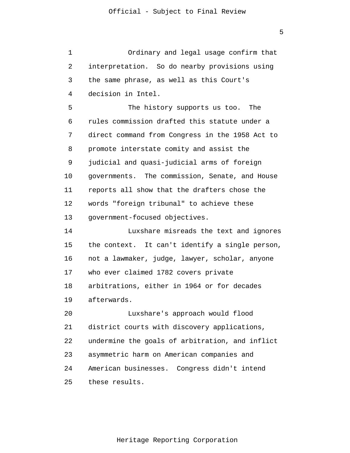1 2 3 4 5 6 7 8 9 10 11 12 13 14 15 16 17 18 19 20 21 22 23 24 25 Ordinary and legal usage confirm that interpretation. So do nearby provisions using the same phrase, as well as this Court's decision in Intel. The history supports us too. The rules commission drafted this statute under a direct command from Congress in the 1958 Act to promote interstate comity and assist the judicial and quasi-judicial arms of foreign governments. The commission, Senate, and House reports all show that the drafters chose the words "foreign tribunal" to achieve these government-focused objectives. Luxshare misreads the text and ignores the context. It can't identify a single person, not a lawmaker, judge, lawyer, scholar, anyone who ever claimed 1782 covers private arbitrations, either in 1964 or for decades afterwards. Luxshare's approach would flood district courts with discovery applications, undermine the goals of arbitration, and inflict asymmetric harm on American companies and American businesses. Congress didn't intend these results.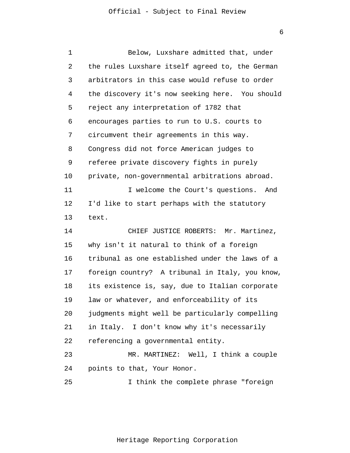| 1  | Below, Luxshare admitted that, under            |
|----|-------------------------------------------------|
| 2  | the rules Luxshare itself agreed to, the German |
| 3  | arbitrators in this case would refuse to order  |
| 4  | the discovery it's now seeking here. You should |
| 5  | reject any interpretation of 1782 that          |
| 6  | encourages parties to run to U.S. courts to     |
| 7  | circumvent their agreements in this way.        |
| 8  | Congress did not force American judges to       |
| 9  | referee private discovery fights in purely      |
| 10 | private, non-governmental arbitrations abroad.  |
| 11 | I welcome the Court's questions.<br>And         |
| 12 | I'd like to start perhaps with the statutory    |
| 13 | text.                                           |
| 14 | CHIEF JUSTICE ROBERTS: Mr. Martinez,            |
| 15 | why isn't it natural to think of a foreign      |
| 16 | tribunal as one established under the laws of a |
| 17 | foreign country? A tribunal in Italy, you know, |
| 18 | its existence is, say, due to Italian corporate |
| 19 | law or whatever, and enforceability of its      |
| 20 | judgments might well be particularly compelling |
| 21 | in Italy. I don't know why it's necessarily     |
| 22 | referencing a governmental entity.              |
| 23 | MR. MARTINEZ: Well, I think a couple            |
| 24 | points to that, Your Honor.                     |
| 25 | I think the complete phrase "foreign            |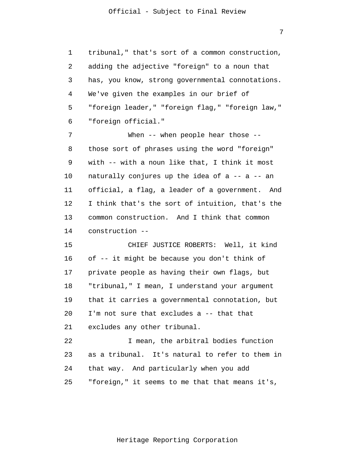7

1 2 3 4 5 6 tribunal," that's sort of a common construction, adding the adjective "foreign" to a noun that has, you know, strong governmental connotations. We've given the examples in our brief of "foreign leader," "foreign flag," "foreign law," "foreign official."

7 8 9 10 11 12 13 14 When -- when people hear those -those sort of phrases using the word "foreign" with -- with a noun like that, I think it most naturally conjures up the idea of a -- a -- an official, a flag, a leader of a government. And I think that's the sort of intuition, that's the common construction. And I think that common construction --

15 16 17 18 19 20 21 CHIEF JUSTICE ROBERTS: Well, it kind of -- it might be because you don't think of private people as having their own flags, but "tribunal," I mean, I understand your argument that it carries a governmental connotation, but I'm not sure that excludes a -- that that excludes any other tribunal.

22 23 24 25 I mean, the arbitral bodies function as a tribunal. It's natural to refer to them in that way. And particularly when you add "foreign," it seems to me that that means it's,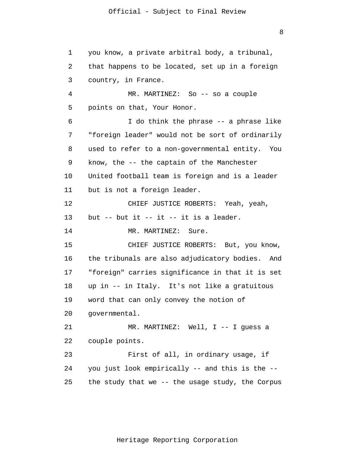1 2 3 4 5 6 7 8 9 10 11 12 13 14 15 16 17 18 19 20 21 22 23 24 25 you know, a private arbitral body, a tribunal, that happens to be located, set up in a foreign country, in France. MR. MARTINEZ: So -- so a couple points on that, Your Honor. I do think the phrase -- a phrase like "foreign leader" would not be sort of ordinarily used to refer to a non-governmental entity. You know, the -- the captain of the Manchester United football team is foreign and is a leader but is not a foreign leader. CHIEF JUSTICE ROBERTS: Yeah, yeah, but  $--$  but it  $--$  it  $--$  it is a leader. MR. MARTINEZ: Sure. CHIEF JUSTICE ROBERTS: But, you know, the tribunals are also adjudicatory bodies. And "foreign" carries significance in that it is set up in -- in Italy. It's not like a gratuitous word that can only convey the notion of governmental. MR. MARTINEZ: Well, I -- I guess a couple points. First of all, in ordinary usage, if you just look empirically -- and this is the - the study that we -- the usage study, the Corpus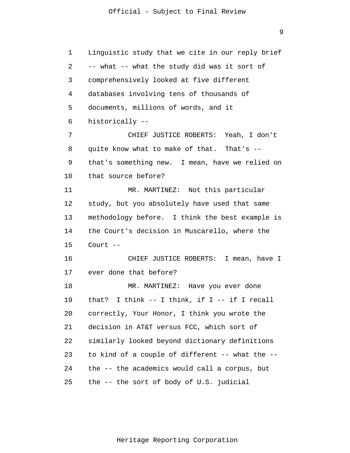9

| $\mathbf 1$ | Linguistic study that we cite in our reply brief  |
|-------------|---------------------------------------------------|
| 2           | -- what -- what the study did was it sort of      |
| 3           | comprehensively looked at five different          |
| 4           | databases involving tens of thousands of          |
| 5           | documents, millions of words, and it              |
| 6           | historically --                                   |
| 7           | CHIEF JUSTICE ROBERTS: Yeah, I don't              |
| 8           | quite know what to make of that. That's --        |
| 9           | that's something new. I mean, have we relied on   |
| 10          | that source before?                               |
| 11          | MR. MARTINEZ: Not this particular                 |
| 12          | study, but you absolutely have used that same     |
| 13          | methodology before. I think the best example is   |
| 14          | the Court's decision in Muscarello, where the     |
| 15          | Court $--$                                        |
| 16          | CHIEF JUSTICE ROBERTS: I mean, have I             |
| 17          | ever done that before?                            |
| 18          | MR. MARTINEZ: Have you ever done                  |
| 19          | that? I think $--$ I think, if I $--$ if I recall |
| 20          | correctly, Your Honor, I think you wrote the      |
| 21          | decision in AT&T versus FCC, which sort of        |
| 22          | similarly looked beyond dictionary definitions    |
| 23          | to kind of a couple of different -- what the --   |
| 24          | the -- the academics would call a corpus, but     |
| 25          | the -- the sort of body of U.S. judicial          |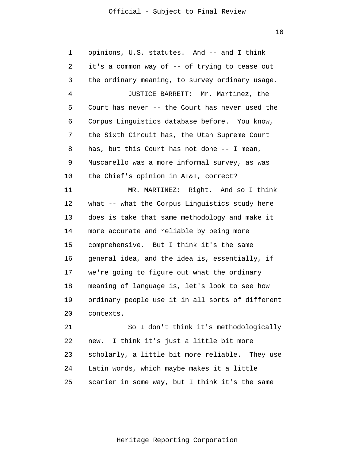10

1 2 3 4 5 6 7 8 9 10 11 12 13 14 15 16 17 18 19 20 21 22 23 24 25 opinions, U.S. statutes. And -- and I think it's a common way of -- of trying to tease out the ordinary meaning, to survey ordinary usage. JUSTICE BARRETT: Mr. Martinez, the Court has never -- the Court has never used the Corpus Linguistics database before. You know, the Sixth Circuit has, the Utah Supreme Court has, but this Court has not done -- I mean, Muscarello was a more informal survey, as was the Chief's opinion in AT&T, correct? MR. MARTINEZ: Right. And so I think what -- what the Corpus Linguistics study here does is take that same methodology and make it more accurate and reliable by being more comprehensive. But I think it's the same general idea, and the idea is, essentially, if we're going to figure out what the ordinary meaning of language is, let's look to see how ordinary people use it in all sorts of different contexts. So I don't think it's methodologically new. I think it's just a little bit more scholarly, a little bit more reliable. They use Latin words, which maybe makes it a little scarier in some way, but I think it's the same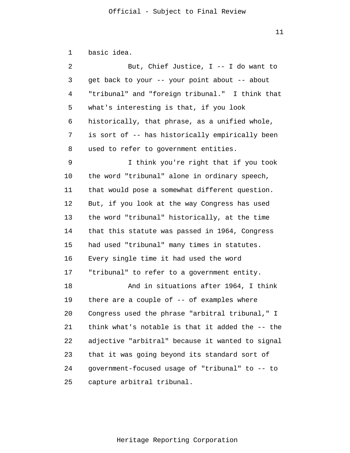1 2 3 4 5 6 7 8 9 10 11 12 13 14 15 16 17 18 19 20 21 22 23 24 25 basic idea. But, Chief Justice, I -- I do want to get back to your -- your point about -- about "tribunal" and "foreign tribunal." I think that what's interesting is that, if you look historically, that phrase, as a unified whole, is sort of -- has historically empirically been used to refer to government entities. I think you're right that if you took the word "tribunal" alone in ordinary speech, that would pose a somewhat different question. But, if you look at the way Congress has used the word "tribunal" historically, at the time that this statute was passed in 1964, Congress had used "tribunal" many times in statutes. Every single time it had used the word "tribunal" to refer to a government entity. And in situations after 1964, I think there are a couple of -- of examples where Congress used the phrase "arbitral tribunal," I think what's notable is that it added the -- the adjective "arbitral" because it wanted to signal that it was going beyond its standard sort of government-focused usage of "tribunal" to -- to capture arbitral tribunal.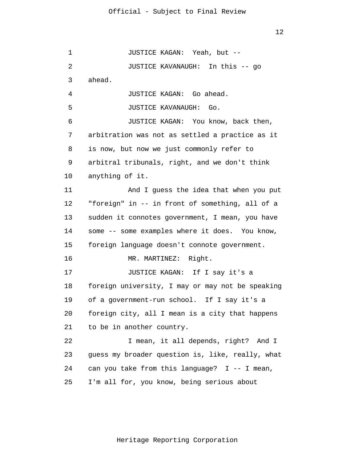1 2 3 4 5 6 7 8 9 10 11 12 13 14 15 16 17 18 19 20 21 22 23 24 25 JUSTICE KAGAN: Yeah, but -- JUSTICE KAVANAUGH: In this -- go ahead. JUSTICE KAGAN: Go ahead. JUSTICE KAVANAUGH: Go. JUSTICE KAGAN: You know, back then, arbitration was not as settled a practice as it is now, but now we just commonly refer to arbitral tribunals, right, and we don't think anything of it. And I guess the idea that when you put "foreign" in -- in front of something, all of a sudden it connotes government, I mean, you have some -- some examples where it does. You know, foreign language doesn't connote government. MR. MARTINEZ: Right. JUSTICE KAGAN: If I say it's a foreign university, I may or may not be speaking of a government-run school. If I say it's a foreign city, all I mean is a city that happens to be in another country. I mean, it all depends, right? And I guess my broader question is, like, really, what can you take from this language?  $I$  -- I mean, I'm all for, you know, being serious about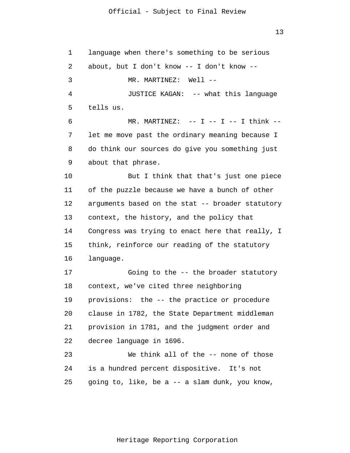1 2 3 4 5 6 7 8 9 10 11 12 13 14 15 16 17 18 19 20 21 22 23 24 25 language when there's something to be serious about, but I don't know -- I don't know -- MR. MARTINEZ: Well -- JUSTICE KAGAN: -- what this language tells us.  $MR.$  MARTINEZ:  $--$  I  $--$  I  $--$  I think  $-$ let me move past the ordinary meaning because I do think our sources do give you something just about that phrase. But I think that that's just one piece of the puzzle because we have a bunch of other arguments based on the stat -- broader statutory context, the history, and the policy that Congress was trying to enact here that really, I think, reinforce our reading of the statutory language. Going to the -- the broader statutory context, we've cited three neighboring provisions: the -- the practice or procedure clause in 1782, the State Department middleman provision in 1781, and the judgment order and decree language in 1696. We think all of the -- none of those is a hundred percent dispositive. It's not going to, like, be a -- a slam dunk, you know,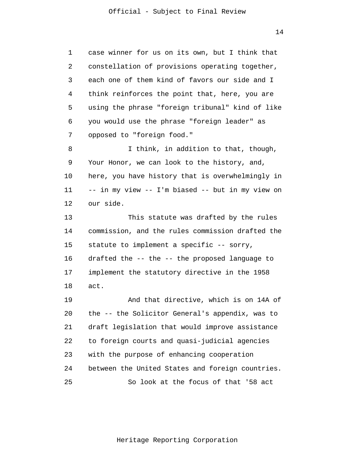1 2 3 4 5 6 7 8 9 10 11 12 13 14 15 16 17 18 19 20 21 22 23 24 25 case winner for us on its own, but I think that constellation of provisions operating together, each one of them kind of favors our side and I think reinforces the point that, here, you are using the phrase "foreign tribunal" kind of like you would use the phrase "foreign leader" as opposed to "foreign food." I think, in addition to that, though, Your Honor, we can look to the history, and, here, you have history that is overwhelmingly in -- in my view -- I'm biased -- but in my view on our side. This statute was drafted by the rules commission, and the rules commission drafted the statute to implement a specific -- sorry, drafted the -- the -- the proposed language to implement the statutory directive in the 1958 act. And that directive, which is on 14A of the -- the Solicitor General's appendix, was to draft legislation that would improve assistance to foreign courts and quasi-judicial agencies with the purpose of enhancing cooperation between the United States and foreign countries. So look at the focus of that '58 act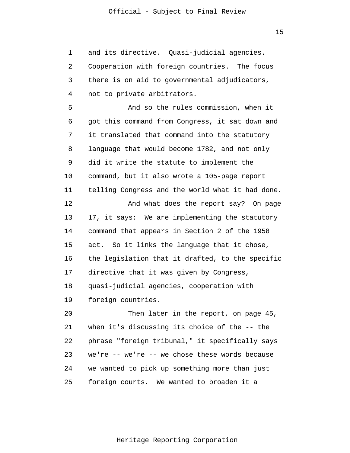1 2 3 4 5 6 7 8 9 10 11 12 13 14 15 16 17 18 19 20 21 22 23 24 25 and its directive. Quasi-judicial agencies. Cooperation with foreign countries. The focus there is on aid to governmental adjudicators, not to private arbitrators. And so the rules commission, when it got this command from Congress, it sat down and it translated that command into the statutory language that would become 1782, and not only did it write the statute to implement the command, but it also wrote a 105-page report telling Congress and the world what it had done. And what does the report say? On page 17, it says: We are implementing the statutory command that appears in Section 2 of the 1958 act. So it links the language that it chose, the legislation that it drafted, to the specific directive that it was given by Congress, quasi-judicial agencies, cooperation with foreign countries. Then later in the report, on page 45, when it's discussing its choice of the -- the phrase "foreign tribunal," it specifically says we're -- we're -- we chose these words because we wanted to pick up something more than just foreign courts. We wanted to broaden it a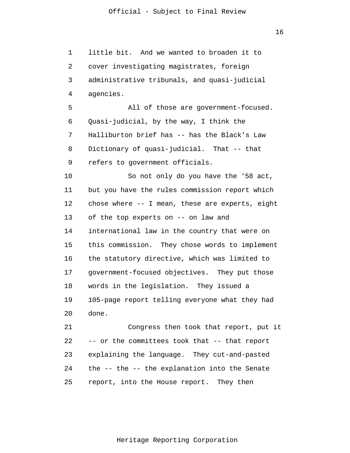16

1 2 3 4 5 6 7 8 9 10 11 12 13 14 15 16 17 18 19 20 21 22 23 24 25 little bit. And we wanted to broaden it to cover investigating magistrates, foreign administrative tribunals, and quasi-judicial agencies. All of those are government-focused. Quasi-judicial, by the way, I think the Halliburton brief has -- has the Black's Law Dictionary of quasi-judicial. That -- that refers to government officials. So not only do you have the '58 act, but you have the rules commission report which chose where -- I mean, these are experts, eight of the top experts on -- on law and international law in the country that were on this commission. They chose words to implement the statutory directive, which was limited to government-focused objectives. They put those words in the legislation. They issued a 105-page report telling everyone what they had done. Congress then took that report, put it -- or the committees took that -- that report explaining the language. They cut-and-pasted the -- the -- the explanation into the Senate report, into the House report. They then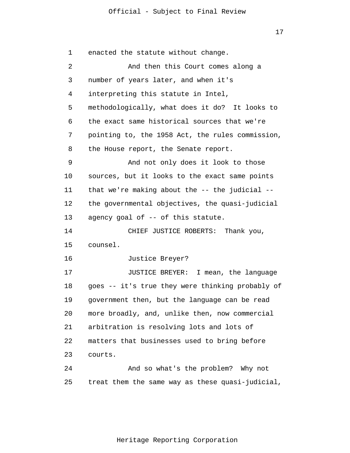1 2 3 4 5 6 7 8 9 10 11 12 13 14 15 16 17 18 19 20 21 22 23 24 25 enacted the statute without change. And then this Court comes along a number of years later, and when it's interpreting this statute in Intel, methodologically, what does it do? It looks to the exact same historical sources that we're pointing to, the 1958 Act, the rules commission, the House report, the Senate report. And not only does it look to those sources, but it looks to the exact same points that we're making about the  $-$ - the judicial  $-$ the governmental objectives, the quasi-judicial agency goal of -- of this statute. CHIEF JUSTICE ROBERTS: Thank you, counsel. Justice Breyer? JUSTICE BREYER: I mean, the language goes -- it's true they were thinking probably of government then, but the language can be read more broadly, and, unlike then, now commercial arbitration is resolving lots and lots of matters that businesses used to bring before courts. And so what's the problem? Why not treat them the same way as these quasi-judicial,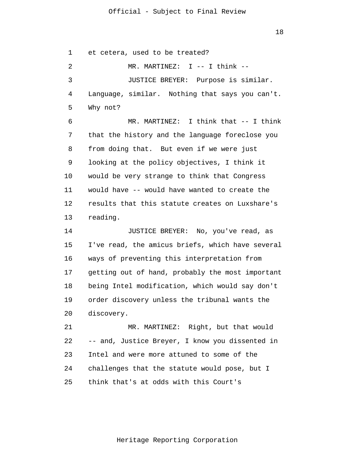18

1 2 3 4 5 6 7 8 9 10 11 12 13 14 15 16 17 18 19 20 21 22 23 24 et cetera, used to be treated? MR. MARTINEZ: I -- I think -- JUSTICE BREYER: Purpose is similar. Language, similar. Nothing that says you can't. Why not? MR. MARTINEZ: I think that -- I think that the history and the language foreclose you from doing that. But even if we were just looking at the policy objectives, I think it would be very strange to think that Congress would have -- would have wanted to create the results that this statute creates on Luxshare's reading. JUSTICE BREYER: No, you've read, as I've read, the amicus briefs, which have several ways of preventing this interpretation from getting out of hand, probably the most important being Intel modification, which would say don't order discovery unless the tribunal wants the discovery. MR. MARTINEZ: Right, but that would -- and, Justice Breyer, I know you dissented in Intel and were more attuned to some of the challenges that the statute would pose, but I

25 think that's at odds with this Court's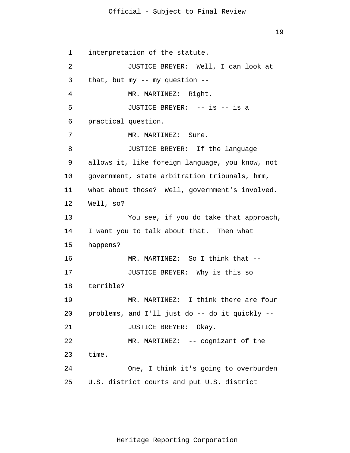1 2 3 4 5 6 7 8 9 10 11 12 13 14 15 16 17 18 19 20 21 22 23 24 25 interpretation of the statute. JUSTICE BREYER: Well, I can look at that, but my  $--$  my question  $--$ MR. MARTINEZ: Right. JUSTICE BREYER: -- is -- is a practical question. MR. MARTINEZ: Sure. JUSTICE BREYER: If the language allows it, like foreign language, you know, not government, state arbitration tribunals, hmm, what about those? Well, government's involved. Well, so? You see, if you do take that approach, I want you to talk about that. Then what happens? MR. MARTINEZ: So I think that --JUSTICE BREYER: Why is this so terrible? MR. MARTINEZ: I think there are four problems, and I'll just do -- do it quickly -- JUSTICE BREYER: Okay. MR. MARTINEZ: -- cognizant of the time. One, I think it's going to overburden U.S. district courts and put U.S. district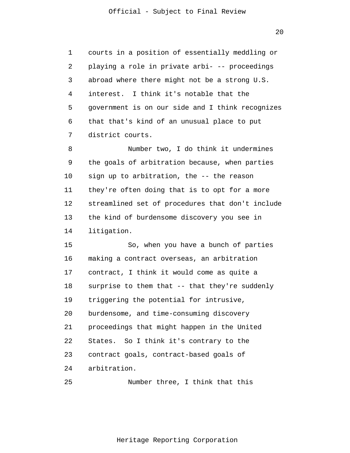$20^{\circ}$ 

1 2 3 4 5 6 7 courts in a position of essentially meddling or playing a role in private arbi- -- proceedings abroad where there might not be a strong U.S. interest. I think it's notable that the government is on our side and I think recognizes that that's kind of an unusual place to put district courts.

8 9 10 11 12 13 14 Number two, I do think it undermines the goals of arbitration because, when parties sign up to arbitration, the -- the reason they're often doing that is to opt for a more streamlined set of procedures that don't include the kind of burdensome discovery you see in litigation.

15 16 17 18 19 20 21 22 23 24 So, when you have a bunch of parties making a contract overseas, an arbitration contract, I think it would come as quite a surprise to them that -- that they're suddenly triggering the potential for intrusive, burdensome, and time-consuming discovery proceedings that might happen in the United States. So I think it's contrary to the contract goals, contract-based goals of arbitration.

25 Number three, I think that this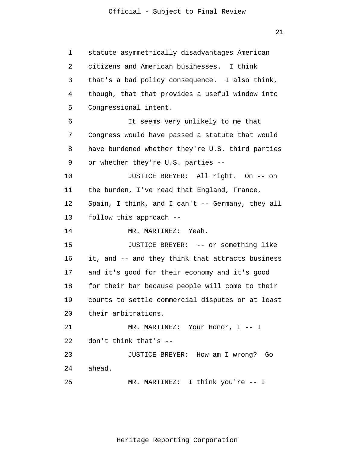1 2 3 4 5 6 7 8 9 10 11 12 13 14 15 16 17 18 19 20 21 22 23 24 25 statute asymmetrically disadvantages American citizens and American businesses. I think that's a bad policy consequence. I also think, though, that that provides a useful window into Congressional intent. It seems very unlikely to me that Congress would have passed a statute that would have burdened whether they're U.S. third parties or whether they're U.S. parties -- JUSTICE BREYER: All right. On -- on the burden, I've read that England, France, Spain, I think, and I can't -- Germany, they all follow this approach -- MR. MARTINEZ: Yeah. JUSTICE BREYER: -- or something like it, and -- and they think that attracts business and it's good for their economy and it's good for their bar because people will come to their courts to settle commercial disputes or at least their arbitrations. MR. MARTINEZ: Your Honor, I -- I don't think that's -- JUSTICE BREYER: How am I wrong? Go ahead. MR. MARTINEZ: I think you're -- I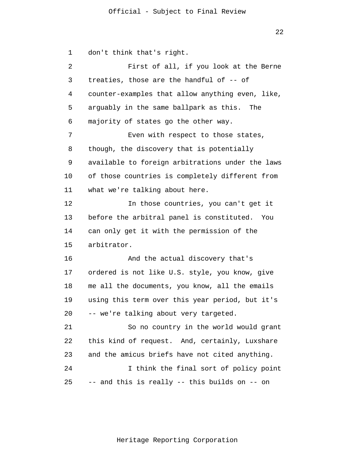1 2 3 4 5 6 7 8 9 10 11 12 13 14 15 16 17 18 19 20 21 22 23 24 25 don't think that's right. First of all, if you look at the Berne treaties, those are the handful of -- of counter-examples that allow anything even, like, arguably in the same ballpark as this. The majority of states go the other way. Even with respect to those states, though, the discovery that is potentially available to foreign arbitrations under the laws of those countries is completely different from what we're talking about here. In those countries, you can't get it before the arbitral panel is constituted. You can only get it with the permission of the arbitrator. And the actual discovery that's ordered is not like U.S. style, you know, give me all the documents, you know, all the emails using this term over this year period, but it's -- we're talking about very targeted. So no country in the world would grant this kind of request. And, certainly, Luxshare and the amicus briefs have not cited anything. I think the final sort of policy point -- and this is really -- this builds on -- on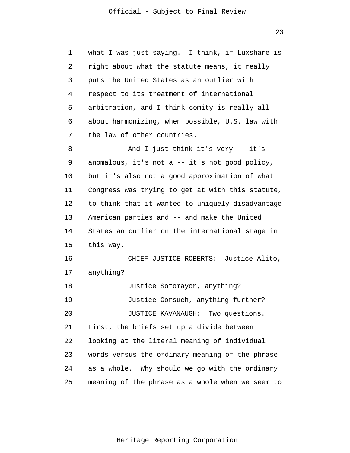1 2 3 4 5 6 7 8 9 10 11 12 13 14 15 16 17 18 19 20 21 22 23 24 25 what I was just saying. I think, if Luxshare is right about what the statute means, it really puts the United States as an outlier with respect to its treatment of international arbitration, and I think comity is really all about harmonizing, when possible, U.S. law with the law of other countries. And I just think it's very -- it's anomalous, it's not a -- it's not good policy, but it's also not a good approximation of what Congress was trying to get at with this statute, to think that it wanted to uniquely disadvantage American parties and -- and make the United States an outlier on the international stage in this way. CHIEF JUSTICE ROBERTS: Justice Alito, anything? Justice Sotomayor, anything? Justice Gorsuch, anything further? JUSTICE KAVANAUGH: Two questions. First, the briefs set up a divide between looking at the literal meaning of individual words versus the ordinary meaning of the phrase as a whole. Why should we go with the ordinary meaning of the phrase as a whole when we seem to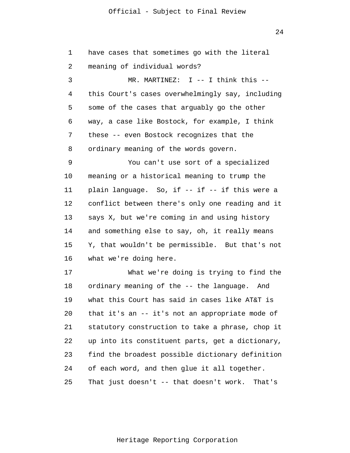24

| 1  | have cases that sometimes go with the literal     |
|----|---------------------------------------------------|
| 2  | meaning of individual words?                      |
| 3  | MR. MARTINEZ: $I$ -- I think this --              |
| 4  | this Court's cases overwhelmingly say, including  |
| 5  | some of the cases that arguably go the other      |
| 6  | way, a case like Bostock, for example, I think    |
| 7  | these -- even Bostock recognizes that the         |
| 8  | ordinary meaning of the words govern.             |
| 9  | You can't use sort of a specialized               |
| 10 | meaning or a historical meaning to trump the      |
| 11 | plain language. So, if -- if -- if this were a    |
| 12 | conflict between there's only one reading and it  |
| 13 | says X, but we're coming in and using history     |
| 14 | and something else to say, oh, it really means    |
| 15 | Y, that wouldn't be permissible. But that's not   |
| 16 | what we're doing here.                            |
| 17 | What we're doing is trying to find the            |
| 18 | ordinary meaning of the -- the language. And      |
| 19 | what this Court has said in cases like AT&T is    |
| 20 | that it's an -- it's not an appropriate mode of   |
| 21 | statutory construction to take a phrase, chop it  |
| 22 | up into its constituent parts, get a dictionary,  |
| 23 | find the broadest possible dictionary definition  |
| 24 | of each word, and then glue it all together.      |
| 25 | That just doesn't -- that doesn't work.<br>That's |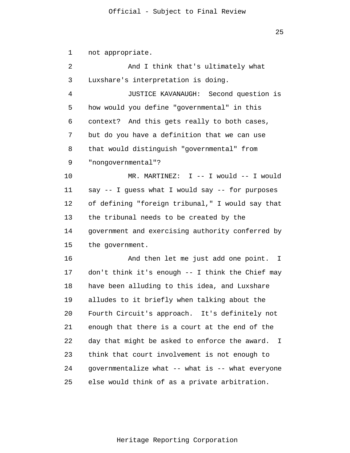1 2 3 4 5 6 7 8 9 10 11 12 13 14 15 16 17 18 19 20 21 22 23 24 25 not appropriate. And I think that's ultimately what Luxshare's interpretation is doing. JUSTICE KAVANAUGH: Second question is how would you define "governmental" in this context? And this gets really to both cases, but do you have a definition that we can use that would distinguish "governmental" from "nongovernmental"? MR. MARTINEZ: I -- I would -- I would say -- I guess what I would say -- for purposes of defining "foreign tribunal," I would say that the tribunal needs to be created by the government and exercising authority conferred by the government. And then let me just add one point. I don't think it's enough -- I think the Chief may have been alluding to this idea, and Luxshare alludes to it briefly when talking about the Fourth Circuit's approach. It's definitely not enough that there is a court at the end of the day that might be asked to enforce the award. I think that court involvement is not enough to governmentalize what -- what is -- what everyone else would think of as a private arbitration.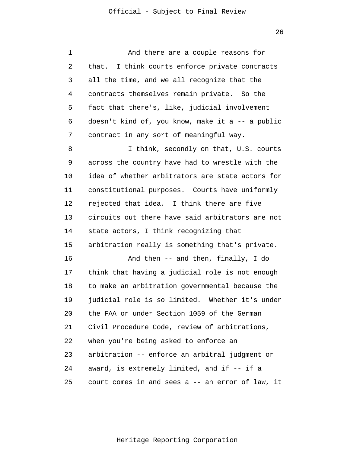1 2 3 4 5 6 7 8 9 10 11 12 13 14 15 16 17 18 19 20 21 22 23 24 25 And there are a couple reasons for that. I think courts enforce private contracts all the time, and we all recognize that the contracts themselves remain private. So the fact that there's, like, judicial involvement doesn't kind of, you know, make it a -- a public contract in any sort of meaningful way. I think, secondly on that, U.S. courts across the country have had to wrestle with the idea of whether arbitrators are state actors for constitutional purposes. Courts have uniformly rejected that idea. I think there are five circuits out there have said arbitrators are not state actors, I think recognizing that arbitration really is something that's private. And then -- and then, finally, I do think that having a judicial role is not enough to make an arbitration governmental because the judicial role is so limited. Whether it's under the FAA or under Section 1059 of the German Civil Procedure Code, review of arbitrations, when you're being asked to enforce an arbitration -- enforce an arbitral judgment or award, is extremely limited, and if -- if a court comes in and sees a -- an error of law, it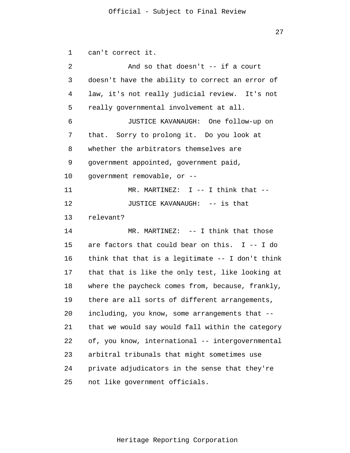1 2 3 4 5 6 7 8 9 10 11 12 13 14 15 16 17 18 19 20 21 22 23 24 25 can't correct it. And so that doesn't -- if a court doesn't have the ability to correct an error of law, it's not really judicial review. It's not really governmental involvement at all. JUSTICE KAVANAUGH: One follow-up on that. Sorry to prolong it. Do you look at whether the arbitrators themselves are government appointed, government paid, government removable, or -- MR. MARTINEZ:  $I = - I$  think that  $-$ JUSTICE KAVANAUGH: -- is that relevant? MR. MARTINEZ: -- I think that those are factors that could bear on this. I -- I do think that that is a legitimate -- I don't think that that is like the only test, like looking at where the paycheck comes from, because, frankly, there are all sorts of different arrangements, including, you know, some arrangements that - that we would say would fall within the category of, you know, international -- intergovernmental arbitral tribunals that might sometimes use private adjudicators in the sense that they're not like government officials.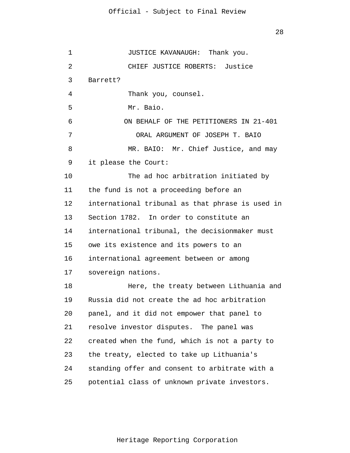1 2 3 4 5 6 7 8 9 10 11 12 13 14 15 16 17 18 19 20 21 22 23 24 25 JUSTICE KAVANAUGH: Thank you. CHIEF JUSTICE ROBERTS: Justice Barrett? Thank you, counsel. Mr. Baio. ON BEHALF OF THE PETITIONERS IN 21-401 ORAL ARGUMENT OF JOSEPH T. BAIO MR. BAIO: Mr. Chief Justice, and may it please the Court: The ad hoc arbitration initiated by the fund is not a proceeding before an international tribunal as that phrase is used in Section 1782. In order to constitute an international tribunal, the decisionmaker must owe its existence and its powers to an international agreement between or among sovereign nations. Here, the treaty between Lithuania and Russia did not create the ad hoc arbitration panel, and it did not empower that panel to resolve investor disputes. The panel was created when the fund, which is not a party to the treaty, elected to take up Lithuania's standing offer and consent to arbitrate with a potential class of unknown private investors.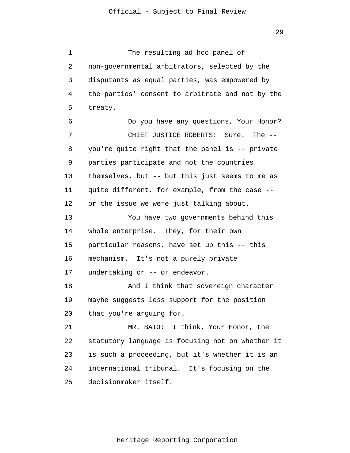1 2 3 4 5 6 7 8 9 10 11 12 13 14 15 16 17 18 19 20 21 22 23 24 25 The resulting ad hoc panel of non-governmental arbitrators, selected by the disputants as equal parties, was empowered by the parties' consent to arbitrate and not by the treaty. Do you have any questions, Your Honor? CHIEF JUSTICE ROBERTS: Sure. The - you're quite right that the panel is -- private parties participate and not the countries themselves, but -- but this just seems to me as quite different, for example, from the case - or the issue we were just talking about. You have two governments behind this whole enterprise. They, for their own particular reasons, have set up this -- this mechanism. It's not a purely private undertaking or -- or endeavor. And I think that sovereign character maybe suggests less support for the position that you're arguing for. MR. BAIO: I think, Your Honor, the statutory language is focusing not on whether it is such a proceeding, but it's whether it is an international tribunal. It's focusing on the decisionmaker itself.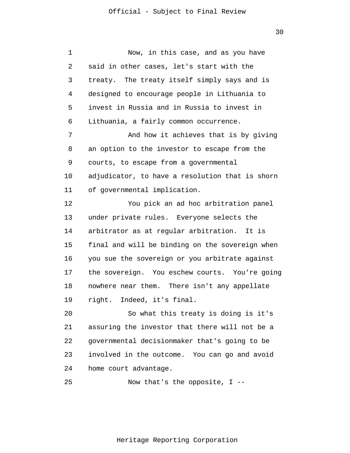1 2 3 4 5 6 7 8 9 10 11 12 13 14 15 16 17 18 19 20 21 22 23 24 25 Now, in this case, and as you have said in other cases, let's start with the treaty. The treaty itself simply says and is designed to encourage people in Lithuania to invest in Russia and in Russia to invest in Lithuania, a fairly common occurrence. And how it achieves that is by giving an option to the investor to escape from the courts, to escape from a governmental adjudicator, to have a resolution that is shorn of governmental implication. You pick an ad hoc arbitration panel under private rules. Everyone selects the arbitrator as at regular arbitration. It is final and will be binding on the sovereign when you sue the sovereign or you arbitrate against the sovereign. You eschew courts. You're going nowhere near them. There isn't any appellate right. Indeed, it's final. So what this treaty is doing is it's assuring the investor that there will not be a governmental decisionmaker that's going to be involved in the outcome. You can go and avoid home court advantage. Now that's the opposite, I --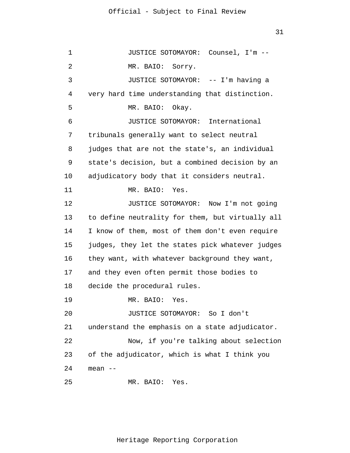1 2 3 4 5 6 7 8 9 10 11 12 13 14 15 16 17 18 19 20 21 22 23 24 25 JUSTICE SOTOMAYOR: Counsel, I'm -- MR. BAIO: Sorry. JUSTICE SOTOMAYOR: -- I'm having a very hard time understanding that distinction. MR. BAIO: Okay. JUSTICE SOTOMAYOR: International tribunals generally want to select neutral judges that are not the state's, an individual state's decision, but a combined decision by an adjudicatory body that it considers neutral. MR. BAIO: Yes. JUSTICE SOTOMAYOR: Now I'm not going to define neutrality for them, but virtually all I know of them, most of them don't even require judges, they let the states pick whatever judges they want, with whatever background they want, and they even often permit those bodies to decide the procedural rules. MR. BAIO: Yes. JUSTICE SOTOMAYOR: So I don't understand the emphasis on a state adjudicator. Now, if you're talking about selection of the adjudicator, which is what I think you mean -- MR. BAIO: Yes.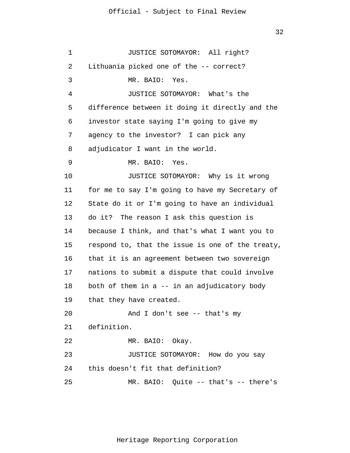1 2 3 4 5 6 7 8 9 10 11 12 13 14 15 16 17 18 19 20 21 22 23 24 25 JUSTICE SOTOMAYOR: All right? Lithuania picked one of the -- correct? MR. BAIO: Yes. JUSTICE SOTOMAYOR: What's the difference between it doing it directly and the investor state saying I'm going to give my agency to the investor? I can pick any adjudicator I want in the world. MR. BAIO: Yes. JUSTICE SOTOMAYOR: Why is it wrong for me to say I'm going to have my Secretary of State do it or I'm going to have an individual do it? The reason I ask this question is because I think, and that's what I want you to respond to, that the issue is one of the treaty, that it is an agreement between two sovereign nations to submit a dispute that could involve both of them in a -- in an adjudicatory body that they have created. And I don't see -- that's my definition. MR. BAIO: Okay. JUSTICE SOTOMAYOR: How do you say this doesn't fit that definition? MR. BAIO: Quite -- that's -- there's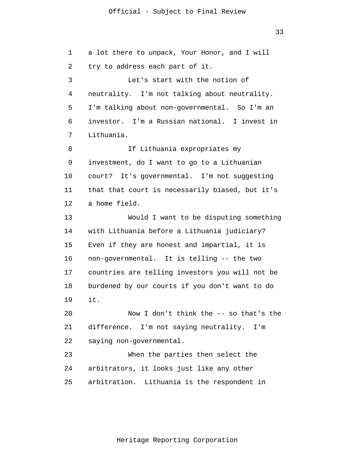1 2 3 4 5 6 7 8 9 10 11 12 13 14 15 16 17 18 19 20 21 22 23 24 25 a lot there to unpack, Your Honor, and I will try to address each part of it. Let's start with the notion of neutrality. I'm not talking about neutrality. I'm talking about non-governmental. So I'm an investor. I'm a Russian national. I invest in Lithuania. If Lithuania expropriates my investment, do I want to go to a Lithuanian court? It's governmental. I'm not suggesting that that court is necessarily biased, but it's a home field. Would I want to be disputing something with Lithuania before a Lithuania judiciary? Even if they are honest and impartial, it is non-governmental. It is telling -- the two countries are telling investors you will not be burdened by our courts if you don't want to do it. Now I don't think the -- so that's the difference. I'm not saying neutrality. I'm saying non-governmental. When the parties then select the arbitrators, it looks just like any other arbitration. Lithuania is the respondent in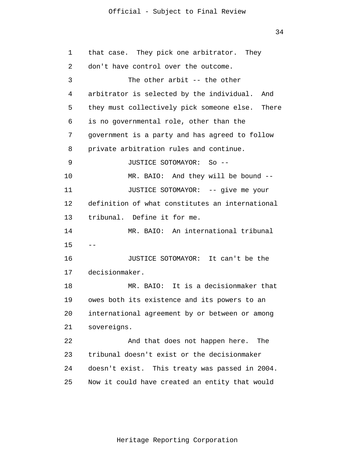34

| 1  | that case. They pick one arbitrator. They       |
|----|-------------------------------------------------|
| 2  | don't have control over the outcome.            |
| 3  | The other arbit $-$ - the other                 |
| 4  | arbitrator is selected by the individual. And   |
| 5  | they must collectively pick someone else. There |
| 6  | is no governmental role, other than the         |
| 7  | government is a party and has agreed to follow  |
| 8  | private arbitration rules and continue.         |
| 9  | JUSTICE SOTOMAYOR: So --                        |
| 10 | MR. BAIO: And they will be bound --             |
| 11 | JUSTICE SOTOMAYOR: -- give me your              |
| 12 | definition of what constitutes an international |
| 13 | tribunal. Define it for me.                     |
| 14 | MR. BAIO: An international tribunal             |
| 15 |                                                 |
| 16 | JUSTICE SOTOMAYOR: It can't be the              |
| 17 | decisionmaker.                                  |
| 18 | MR. BAIO: It is a decisionmaker that            |
| 19 | owes both its existence and its powers to an    |
| 20 | international agreement by or between or among  |
| 21 | sovereigns.                                     |
| 22 | And that does not happen here.<br>The           |
| 23 | tribunal doesn't exist or the decisionmaker     |
| 24 | doesn't exist. This treaty was passed in 2004.  |
| 25 | Now it could have created an entity that would  |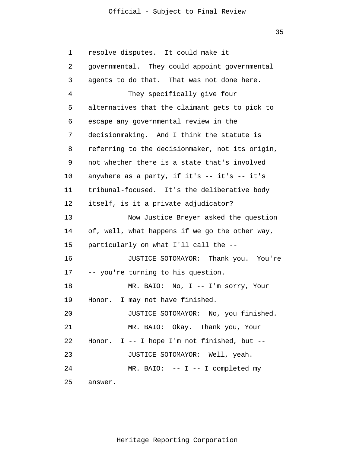35

1 2 3 4 5 6 7 8 9 10 11 12 13 14 15 16 17 18 19 20 21 22 23 24 25 resolve disputes. It could make it governmental. They could appoint governmental agents to do that. That was not done here. They specifically give four alternatives that the claimant gets to pick to escape any governmental review in the decisionmaking. And I think the statute is referring to the decisionmaker, not its origin, not whether there is a state that's involved anywhere as a party, if it's -- it's -- it's tribunal-focused. It's the deliberative body itself, is it a private adjudicator? Now Justice Breyer asked the question of, well, what happens if we go the other way, particularly on what I'll call the -- JUSTICE SOTOMAYOR: Thank you. You're -- you're turning to his question. MR. BAIO: No, I -- I'm sorry, Your Honor. I may not have finished. JUSTICE SOTOMAYOR: No, you finished. MR. BAIO: Okay. Thank you, Your Honor.  $I - - I$  hope I'm not finished, but  $- -$ JUSTICE SOTOMAYOR: Well, yeah. MR. BAIO:  $-- I -- I$  completed my answer.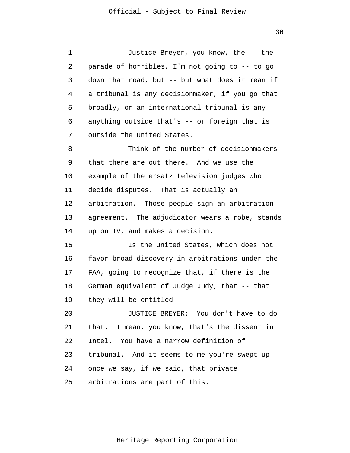1 2 3 4 5 6 7 8 9 10 11 12 13 14 15 16 17 18 19 20 21 22 23 24 25 Justice Breyer, you know, the -- the parade of horribles, I'm not going to -- to go down that road, but -- but what does it mean if a tribunal is any decisionmaker, if you go that broadly, or an international tribunal is any - anything outside that's -- or foreign that is outside the United States. Think of the number of decisionmakers that there are out there. And we use the example of the ersatz television judges who decide disputes. That is actually an arbitration. Those people sign an arbitration agreement. The adjudicator wears a robe, stands up on TV, and makes a decision. Is the United States, which does not favor broad discovery in arbitrations under the FAA, going to recognize that, if there is the German equivalent of Judge Judy, that -- that they will be entitled -- JUSTICE BREYER: You don't have to do that. I mean, you know, that's the dissent in Intel. You have a narrow definition of tribunal. And it seems to me you're swept up once we say, if we said, that private arbitrations are part of this.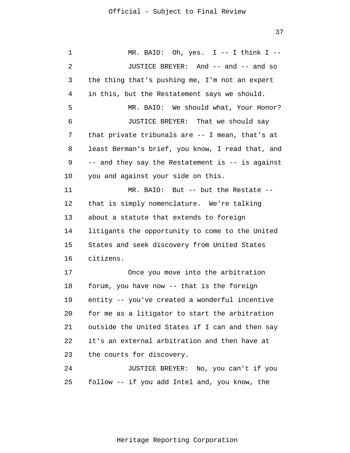1 2 3 4 5 6 7 8 9 10 11 12 13 14 15 16 17 18 19 20 21 22 23 24 25 MR. BAIO: Oh, yes.  $I$  -- I think I --JUSTICE BREYER: And -- and -- and so the thing that's pushing me, I'm not an expert in this, but the Restatement says we should. MR. BAIO: We should what, Your Honor? JUSTICE BREYER: That we should say that private tribunals are -- I mean, that's at least Berman's brief, you know, I read that, and -- and they say the Restatement is -- is against you and against your side on this. MR. BAIO: But -- but the Restate - that is simply nomenclature. We're talking about a statute that extends to foreign litigants the opportunity to come to the United States and seek discovery from United States citizens. Once you move into the arbitration forum, you have now -- that is the foreign entity -- you've created a wonderful incentive for me as a litigator to start the arbitration outside the United States if I can and then say it's an external arbitration and then have at the courts for discovery. JUSTICE BREYER: No, you can't if you follow -- if you add Intel and, you know, the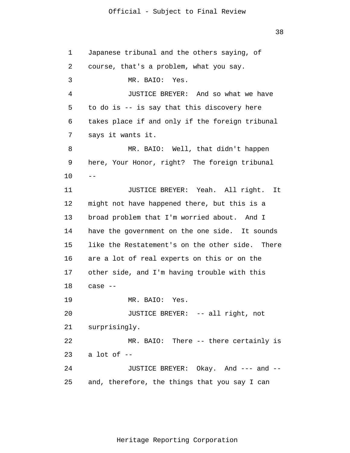1 2 3 4 5 6 7 8 9 10 11 12 13 14 15 16 17 18 19 20 21 22 23 24 25  $-$  Japanese tribunal and the others saying, of course, that's a problem, what you say. MR. BAIO: Yes. JUSTICE BREYER: And so what we have to do is -- is say that this discovery here takes place if and only if the foreign tribunal says it wants it. MR. BAIO: Well, that didn't happen here, Your Honor, right? The foreign tribunal JUSTICE BREYER: Yeah. All right. It might not have happened there, but this is a broad problem that I'm worried about. And I have the government on the one side. It sounds like the Restatement's on the other side. There are a lot of real experts on this or on the other side, and I'm having trouble with this case -- MR. BAIO: Yes. JUSTICE BREYER: -- all right, not surprisingly. MR. BAIO: There -- there certainly is a lot of -- JUSTICE BREYER: Okay. And --- and - and, therefore, the things that you say I can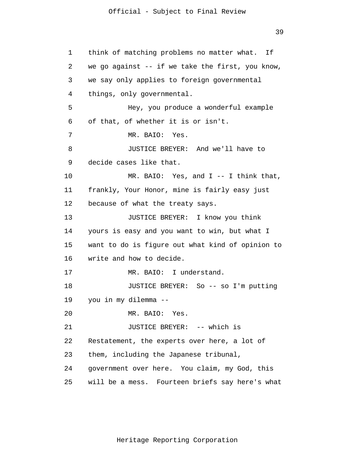39

1 2 3 4 5 6 7 8 9 10 11 12 13 14 15 16 17 18 19 20 21 22 23 24 25 think of matching problems no matter what. If we go against  $-$  if we take the first, you know, we say only applies to foreign governmental things, only governmental. Hey, you produce a wonderful example of that, of whether it is or isn't. MR. BAIO: Yes. JUSTICE BREYER: And we'll have to decide cases like that. MR. BAIO: Yes, and I -- I think that, frankly, Your Honor, mine is fairly easy just because of what the treaty says. JUSTICE BREYER: I know you think yours is easy and you want to win, but what I want to do is figure out what kind of opinion to write and how to decide. MR. BAIO: I understand. JUSTICE BREYER: So -- so I'm putting you in my dilemma -- MR. BAIO: Yes. JUSTICE BREYER: -- which is Restatement, the experts over here, a lot of them, including the Japanese tribunal, government over here. You claim, my God, this will be a mess. Fourteen briefs say here's what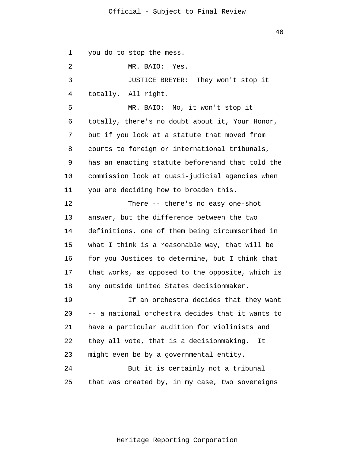1 2 3 4 5 6 7 8 9 10 11 12 13 14 15 16 17 18 19 20 21 22 23 24 25 you do to stop the mess. MR. BAIO: Yes. JUSTICE BREYER: They won't stop it totally. All right. MR. BAIO: No, it won't stop it totally, there's no doubt about it, Your Honor, but if you look at a statute that moved from courts to foreign or international tribunals, has an enacting statute beforehand that told the commission look at quasi-judicial agencies when you are deciding how to broaden this. There -- there's no easy one-shot answer, but the difference between the two definitions, one of them being circumscribed in what I think is a reasonable way, that will be for you Justices to determine, but I think that that works, as opposed to the opposite, which is any outside United States decisionmaker. If an orchestra decides that they want -- a national orchestra decides that it wants to have a particular audition for violinists and they all vote, that is a decisionmaking. It might even be by a governmental entity. But it is certainly not a tribunal that was created by, in my case, two sovereigns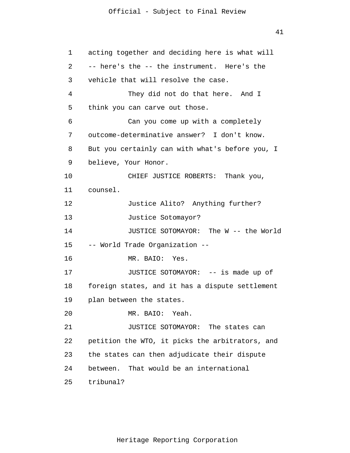1 2 3 4 5 6 7 8 9 10 11 12 13 14 15 16 17 18 19 20 21 22 23 24 25 acting together and deciding here is what will -- here's the -- the instrument. Here's the vehicle that will resolve the case. They did not do that here. And I think you can carve out those. Can you come up with a completely outcome-determinative answer? I don't know. But you certainly can with what's before you, I believe, Your Honor. CHIEF JUSTICE ROBERTS: Thank you, counsel. Justice Alito? Anything further? Justice Sotomayor? JUSTICE SOTOMAYOR: The W -- the World -- World Trade Organization -- MR. BAIO: Yes. JUSTICE SOTOMAYOR: -- is made up of foreign states, and it has a dispute settlement plan between the states. MR. BAIO: Yeah. JUSTICE SOTOMAYOR: The states can petition the WTO, it picks the arbitrators, and the states can then adjudicate their dispute between. That would be an international tribunal?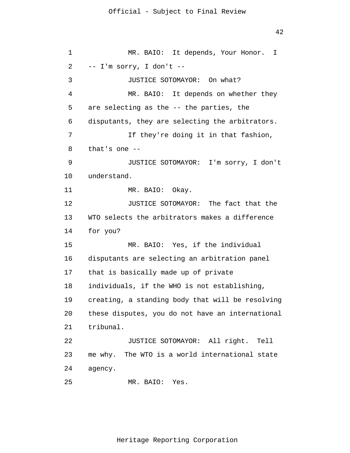```
1 
 2 
 3 
 4 
 5 
 6 
 7 
 8 
 9 
10 
11 
12 
13 
14 
15 
16 
17 
18 
19 
20 
21 
22 
23 
24 
25 
                 MR. BAIO: It depends, Your Honor. I 
      -- I'm sorry, I don't --
                JUSTICE SOTOMAYOR: On what?
                 MR. BAIO: It depends on whether they
       are selecting as the -- the parties, the 
      disputants, they are selecting the arbitrators.
                  If they're doing it in that fashion,
       that's one --
                JUSTICE SOTOMAYOR: I'm sorry, I don't 
      understand. 
                MR. BAIO: Okay. 
                JUSTICE SOTOMAYOR: The fact that the 
      WTO selects the arbitrators makes a difference 
      for you? 
                MR. BAIO: Yes, if the individual 
      disputants are selecting an arbitration panel 
      that is basically made up of private 
      individuals, if the WHO is not establishing, 
      creating, a standing body that will be resolving 
      these disputes, you do not have an international 
      tribunal. 
                JUSTICE SOTOMAYOR: All right. Tell 
      me why. The WTO is a world international state 
      agency. 
                MR. BAIO: Yes.
```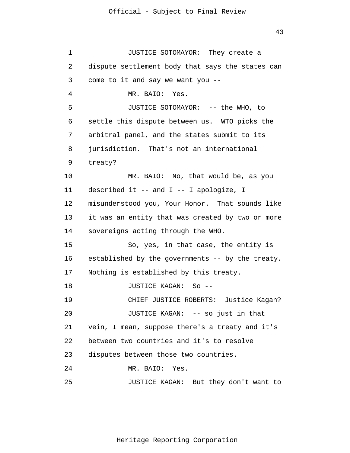1 2 3 4 5 6 7 8 9 10 11 12 13 14 15 16 17 18 19 20 21 22 23 24 25 JUSTICE SOTOMAYOR: They create a dispute settlement body that says the states can come to it and say we want you -- MR. BAIO: Yes. JUSTICE SOTOMAYOR: -- the WHO, to settle this dispute between us. WTO picks the arbitral panel, and the states submit to its jurisdiction. That's not an international treaty? MR. BAIO: No, that would be, as you described it -- and I -- I apologize, I misunderstood you, Your Honor. That sounds like it was an entity that was created by two or more sovereigns acting through the WHO. So, yes, in that case, the entity is established by the governments -- by the treaty. Nothing is established by this treaty. JUSTICE KAGAN: So -- CHIEF JUSTICE ROBERTS: Justice Kagan? JUSTICE KAGAN: -- so just in that vein, I mean, suppose there's a treaty and it's between two countries and it's to resolve disputes between those two countries. MR. BAIO: Yes. JUSTICE KAGAN: But they don't want to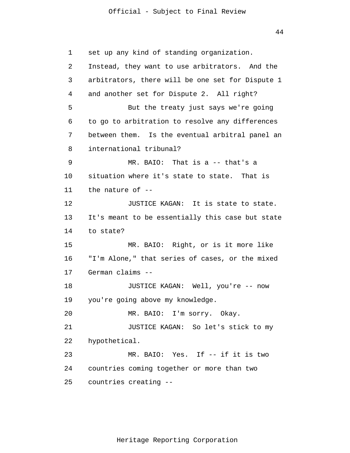44

1 2 3 4 5 6 7 8 9 10 11 12 13 14 15 16 17 18 19 20 21 22 23 24 25 set up any kind of standing organization. Instead, they want to use arbitrators. And the arbitrators, there will be one set for Dispute 1 and another set for Dispute 2. All right? But the treaty just says we're going to go to arbitration to resolve any differences between them. Is the eventual arbitral panel an international tribunal? MR. BAIO: That is a -- that's a situation where it's state to state. That is the nature of -- JUSTICE KAGAN: It is state to state. It's meant to be essentially this case but state to state? MR. BAIO: Right, or is it more like "I'm Alone," that series of cases, or the mixed German claims -- JUSTICE KAGAN: Well, you're -- now you're going above my knowledge. MR. BAIO: I'm sorry. Okay. JUSTICE KAGAN: So let's stick to my hypothetical. MR. BAIO: Yes. If -- if it is two countries coming together or more than two countries creating --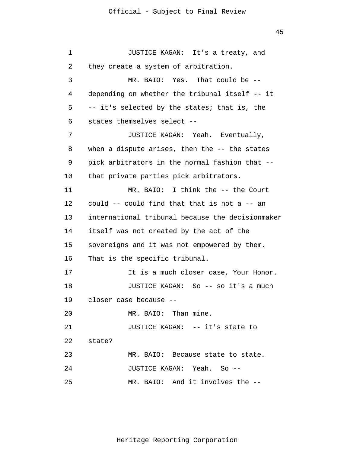```
1 
 2 
 3 
 4 
 5 
 6 
 7 
 8 
 9 
10 
11 
12 
13 
14 
15 
16 
17 
18 
19 
20 
21 
22 
23 
24 
25 
                JUSTICE KAGAN: It's a treaty, and 
      they create a system of arbitration.
                 MR. BAIO: Yes. That could be --
      depending on whether the tribunal itself -- it 
      -- it's selected by the states; that is, the
       states themselves select --
                JUSTICE KAGAN: Yeah. Eventually, 
      when a dispute arises, then the -- the states
      pick arbitrators in the normal fashion that --
      that private parties pick arbitrators. 
                MR. BAIO: I think the -- the Court 
      could -- could find that that is not a -- an 
      international tribunal because the decisionmaker 
      itself was not created by the act of the 
      sovereigns and it was not empowered by them. 
      That is the specific tribunal. 
                It is a much closer case, Your Honor. 
                JUSTICE KAGAN: So -- so it's a much 
      closer case because --
                MR. BAIO: Than mine. 
                JUSTICE KAGAN: -- it's state to 
      state? 
                MR. BAIO: Because state to state. 
                JUSTICE KAGAN: Yeah. So --
                MR. BAIO: And it involves the --
```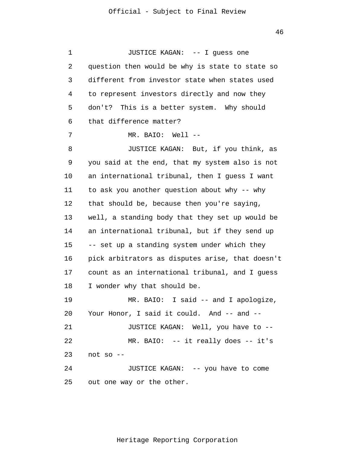1 2 3 4 5 6 7 8 9 10 11 12 13 14 15 16 17 18 19 20 21 22 23 24 25 JUSTICE KAGAN: -- I guess one question then would be why is state to state so different from investor state when states used to represent investors directly and now they don't? This is a better system. Why should that difference matter? MR. BAIO: Well -- JUSTICE KAGAN: But, if you think, as you said at the end, that my system also is not an international tribunal, then I guess I want to ask you another question about why -- why that should be, because then you're saying, well, a standing body that they set up would be an international tribunal, but if they send up -- set up a standing system under which they pick arbitrators as disputes arise, that doesn't count as an international tribunal, and I guess I wonder why that should be. MR. BAIO: I said -- and I apologize, Your Honor, I said it could. And -- and --JUSTICE KAGAN: Well, you have to -- MR. BAIO: -- it really does -- it's not so -- JUSTICE KAGAN: -- you have to come out one way or the other.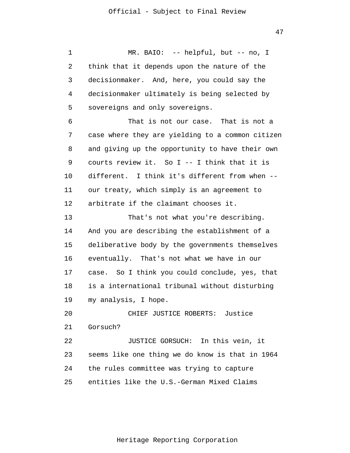1 2 3 4 5 6 7 8 9 10 11 12 13 14 15 16 17 18 19 20 21 22 23 24 25 MR. BAIO: -- helpful, but -- no, I think that it depends upon the nature of the decisionmaker. And, here, you could say the decisionmaker ultimately is being selected by sovereigns and only sovereigns. That is not our case. That is not a case where they are yielding to a common citizen and giving up the opportunity to have their own courts review it. So I -- I think that it is different. I think it's different from when - our treaty, which simply is an agreement to arbitrate if the claimant chooses it. That's not what you're describing. And you are describing the establishment of a deliberative body by the governments themselves eventually. That's not what we have in our case. So I think you could conclude, yes, that is a international tribunal without disturbing my analysis, I hope. CHIEF JUSTICE ROBERTS: Justice Gorsuch? JUSTICE GORSUCH: In this vein, it seems like one thing we do know is that in 1964 the rules committee was trying to capture entities like the U.S.-German Mixed Claims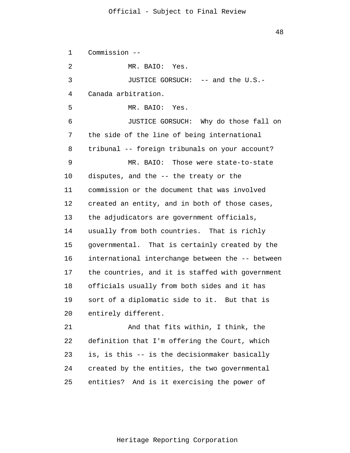1 2 3 4 5 6 7 8 9 10 11 12 13 14 15 16 17 18 19 20 21 22 23 24 25 Commission -- MR. BAIO: Yes. JUSTICE GORSUCH: -- and the U.S.- Canada arbitration. MR. BAIO: Yes. JUSTICE GORSUCH: Why do those fall on the side of the line of being international tribunal -- foreign tribunals on your account? MR. BAIO: Those were state-to-state disputes, and the -- the treaty or the commission or the document that was involved created an entity, and in both of those cases, the adjudicators are government officials, usually from both countries. That is richly governmental. That is certainly created by the international interchange between the -- between the countries, and it is staffed with government officials usually from both sides and it has sort of a diplomatic side to it. But that is entirely different. And that fits within, I think, the definition that I'm offering the Court, which is, is this -- is the decisionmaker basically created by the entities, the two governmental entities? And is it exercising the power of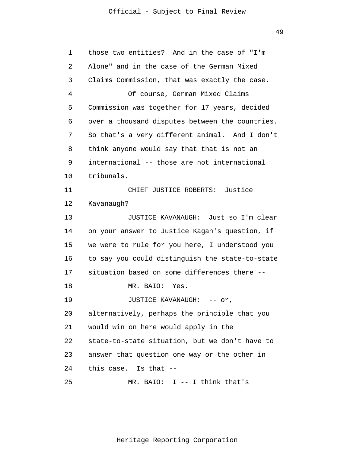| 1  | those two entities? And in the case of "I'm     |
|----|-------------------------------------------------|
| 2  | Alone" and in the case of the German Mixed      |
| 3  | Claims Commission, that was exactly the case.   |
| 4  | Of course, German Mixed Claims                  |
| 5  | Commission was together for 17 years, decided   |
| 6  | over a thousand disputes between the countries. |
| 7  | So that's a very different animal. And I don't  |
| 8  | think anyone would say that that is not an      |
| 9  | international -- those are not international    |
| 10 | tribunals.                                      |
| 11 | CHIEF JUSTICE ROBERTS: Justice                  |
| 12 | Kavanaugh?                                      |
| 13 | JUSTICE KAVANAUGH: Just so I'm clear            |
| 14 | on your answer to Justice Kagan's question, if  |
| 15 | we were to rule for you here, I understood you  |
| 16 | to say you could distinguish the state-to-state |
| 17 | situation based on some differences there --    |
| 18 | MR. BAIO:<br>Yes.                               |
| 19 | JUSTICE KAVANAUGH: -- or,                       |
| 20 | alternatively, perhaps the principle that you   |
| 21 | would win on here would apply in the            |
| 22 | state-to-state situation, but we don't have to  |
| 23 | answer that question one way or the other in    |
| 24 | this case. Is that --                           |
| 25 | MR. BAIO: $I$ -- I think that's                 |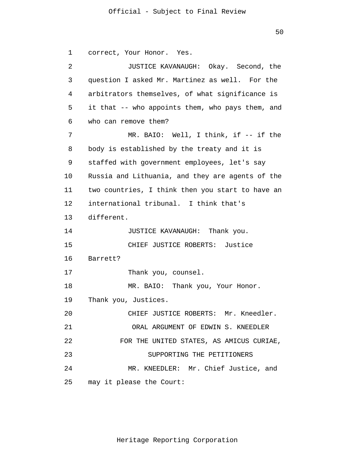50

```
1 
 2 
 3 
 4 
 5 
 6 
 7 
 8 
 9 
10 
11 
12 
13 
14 
15 
16 
17 
18 
19 
20 
21 
22 
23 
24 
25 
       correct, Your Honor. Yes.
                 JUSTICE KAVANAUGH: Okay. Second, the
       question I asked Mr. Martinez as well. For the 
      arbitrators themselves, of what significance is
       it that -- who appoints them, who pays them, and 
      who can remove them?
                MR. BAIO: Well, I think, if -- if the
      body is established by the treaty and it is 
      staffed with government employees, let's say 
      Russia and Lithuania, and they are agents of the 
      two countries, I think then you start to have an 
      international tribunal. I think that's 
      different. 
                JUSTICE KAVANAUGH: Thank you. 
                CHIEF JUSTICE ROBERTS: Justice 
      Barrett? 
                Thank you, counsel. 
                MR. BAIO: Thank you, Your Honor. 
      Thank you, Justices. 
                CHIEF JUSTICE ROBERTS: Mr. Kneedler.
                  ORAL ARGUMENT OF EDWIN S. KNEEDLER 
              FOR THE UNITED STATES, AS AMICUS CURIAE,
                       SUPPORTING THE PETITIONERS 
                MR. KNEEDLER: Mr. Chief Justice, and 
      may it please the Court:
```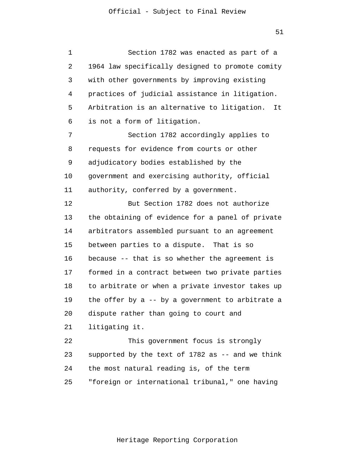1 2 3 4 5 6 7 8 9 10 11 12 13 14 15 16 17 18 19 20 21 22 23 24 25 Section 1782 was enacted as part of a 1964 law specifically designed to promote comity with other governments by improving existing practices of judicial assistance in litigation. Arbitration is an alternative to litigation. It is not a form of litigation. Section 1782 accordingly applies to requests for evidence from courts or other adjudicatory bodies established by the government and exercising authority, official authority, conferred by a government. But Section 1782 does not authorize the obtaining of evidence for a panel of private arbitrators assembled pursuant to an agreement between parties to a dispute. That is so because -- that is so whether the agreement is formed in a contract between two private parties to arbitrate or when a private investor takes up the offer by a -- by a government to arbitrate a dispute rather than going to court and litigating it. This government focus is strongly supported by the text of  $1782$  as  $-$  and we think the most natural reading is, of the term "foreign or international tribunal," one having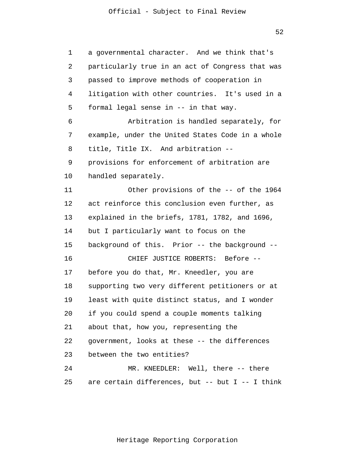52

1 2 3 4 5 6 7 8 9 10 11 12 13 14 15 16 17 18 19 20 21 22 23 24 25 a governmental character. And we think that's particularly true in an act of Congress that was passed to improve methods of cooperation in litigation with other countries. It's used in a formal legal sense in -- in that way. Arbitration is handled separately, for example, under the United States Code in a whole title, Title IX. And arbitration - provisions for enforcement of arbitration are handled separately. Other provisions of the -- of the 1964 act reinforce this conclusion even further, as explained in the briefs, 1781, 1782, and 1696, but I particularly want to focus on the background of this. Prior -- the background -- CHIEF JUSTICE ROBERTS: Before - before you do that, Mr. Kneedler, you are supporting two very different petitioners or at least with quite distinct status, and I wonder if you could spend a couple moments talking about that, how you, representing the government, looks at these -- the differences between the two entities? MR. KNEEDLER: Well, there -- there are certain differences, but  $-$ - but I  $-$ - I think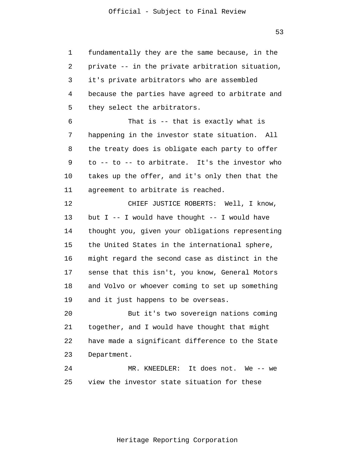1 4 fundamentally they are the same because, in the private -- in the private arbitration situation, it's private arbitrators who are assembled because the parties have agreed to arbitrate and they select the arbitrators.

2

3

5

6 7 8 9 10 11 That is -- that is exactly what is happening in the investor state situation. All the treaty does is obligate each party to offer to -- to -- to arbitrate. It's the investor who takes up the offer, and it's only then that the agreement to arbitrate is reached.

12 13 14 15 16 17 18 19 CHIEF JUSTICE ROBERTS: Well, I know, but  $I$  -- I would have thought -- I would have thought you, given your obligations representing the United States in the international sphere, might regard the second case as distinct in the sense that this isn't, you know, General Motors and Volvo or whoever coming to set up something and it just happens to be overseas.

20 21 22 23 But it's two sovereign nations coming together, and I would have thought that might have made a significant difference to the State Department.

24 25 MR. KNEEDLER: It does not. We -- we view the investor state situation for these

53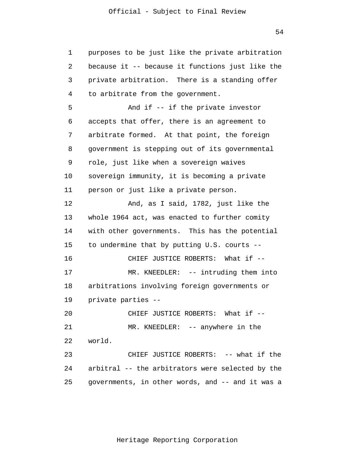1 2 3 4 5 6 7 8 9 10 11 12 13 14 15 16 17 18 19 20 21 22 23 24 25 purposes to be just like the private arbitration because it -- because it functions just like the private arbitration. There is a standing offer to arbitrate from the government. And if -- if the private investor accepts that offer, there is an agreement to arbitrate formed. At that point, the foreign government is stepping out of its governmental role, just like when a sovereign waives sovereign immunity, it is becoming a private person or just like a private person. And, as I said, 1782, just like the whole 1964 act, was enacted to further comity with other governments. This has the potential to undermine that by putting U.S. courts -- CHIEF JUSTICE ROBERTS: What if -- MR. KNEEDLER: -- intruding them into arbitrations involving foreign governments or private parties -- CHIEF JUSTICE ROBERTS: What if -- MR. KNEEDLER: -- anywhere in the world. CHIEF JUSTICE ROBERTS: -- what if the arbitral -- the arbitrators were selected by the governments, in other words, and -- and it was a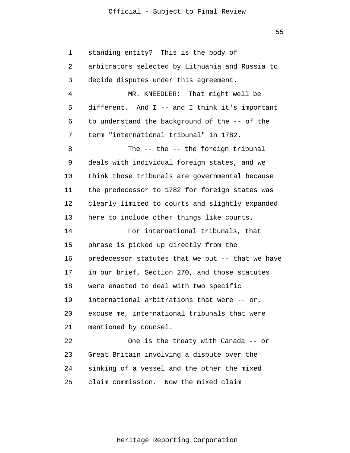1 2 3 4 5 6 7 8 9 10 11 12 13 14 15 16 17 18 19 20 21 22 23 24 25 standing entity? This is the body of arbitrators selected by Lithuania and Russia to decide disputes under this agreement. MR. KNEEDLER: That might well be different. And I -- and I think it's important to understand the background of the -- of the term "international tribunal" in 1782. The -- the -- the foreign tribunal deals with individual foreign states, and we think those tribunals are governmental because the predecessor to 1782 for foreign states was clearly limited to courts and slightly expanded here to include other things like courts. For international tribunals, that phrase is picked up directly from the predecessor statutes that we put -- that we have in our brief, Section 270, and those statutes were enacted to deal with two specific international arbitrations that were -- or, excuse me, international tribunals that were mentioned by counsel. One is the treaty with Canada -- or Great Britain involving a dispute over the sinking of a vessel and the other the mixed claim commission. Now the mixed claim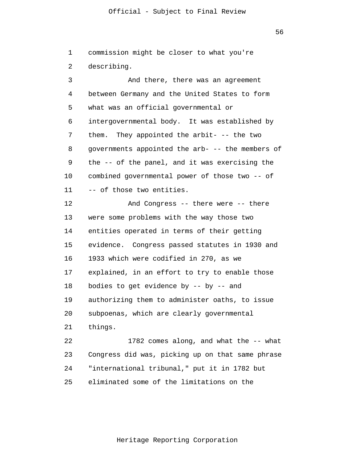56

1 2 commission might be closer to what you're describing.

3 4 5 6 7 8 9 10 11 12 13 14 15 16 17 18 19 20 21 22 23 24 And there, there was an agreement between Germany and the United States to form what was an official governmental or intergovernmental body. It was established by them. They appointed the arbit- -- the two governments appointed the arb- -- the members of the -- of the panel, and it was exercising the combined governmental power of those two -- of -- of those two entities. And Congress -- there were -- there were some problems with the way those two entities operated in terms of their getting evidence. Congress passed statutes in 1930 and 1933 which were codified in 270, as we explained, in an effort to try to enable those bodies to get evidence by -- by -- and authorizing them to administer oaths, to issue subpoenas, which are clearly governmental things. 1782 comes along, and what the -- what Congress did was, picking up on that same phrase "international tribunal," put it in 1782 but

25 eliminated some of the limitations on the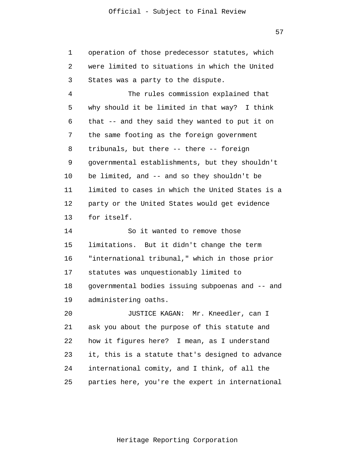1 2 3 operation of those predecessor statutes, which were limited to situations in which the United States was a party to the dispute.

4 5 6 7 8 9 10 11 12 13 The rules commission explained that why should it be limited in that way? I think that -- and they said they wanted to put it on the same footing as the foreign government tribunals, but there -- there -- foreign governmental establishments, but they shouldn't be limited, and -- and so they shouldn't be limited to cases in which the United States is a party or the United States would get evidence for itself.

14 15 16 17 18 19 So it wanted to remove those limitations. But it didn't change the term "international tribunal," which in those prior statutes was unquestionably limited to governmental bodies issuing subpoenas and -- and administering oaths.

20 21 22 23 24 25 JUSTICE KAGAN: Mr. Kneedler, can I ask you about the purpose of this statute and how it figures here? I mean, as I understand it, this is a statute that's designed to advance international comity, and I think, of all the parties here, you're the expert in international

57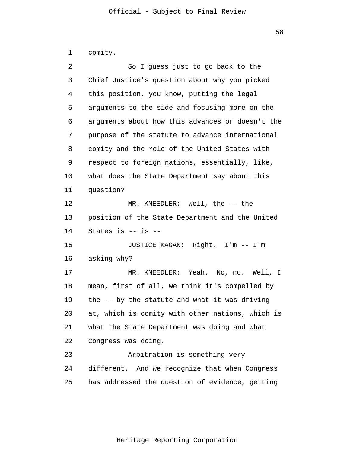1 2 3 4 5 6 7 8 9 10 11 12 13 14 15 16 17 18 19 20 21 22 23 24 25 comity. So I guess just to go back to the Chief Justice's question about why you picked this position, you know, putting the legal arguments to the side and focusing more on the arguments about how this advances or doesn't the purpose of the statute to advance international comity and the role of the United States with respect to foreign nations, essentially, like, what does the State Department say about this question? MR. KNEEDLER: Well, the -- the position of the State Department and the United States is -- is -- JUSTICE KAGAN: Right. I'm -- I'm asking why? MR. KNEEDLER: Yeah. No, no. Well, I mean, first of all, we think it's compelled by the -- by the statute and what it was driving at, which is comity with other nations, which is what the State Department was doing and what Congress was doing. Arbitration is something very different. And we recognize that when Congress has addressed the question of evidence, getting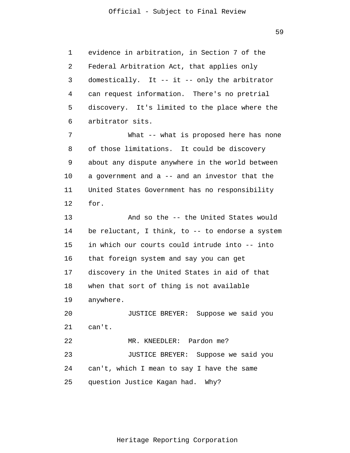59

1 2 3 4 5 6 7 8 9 10 11 12 13 evidence in arbitration, in Section 7 of the Federal Arbitration Act, that applies only domestically. It -- it -- only the arbitrator can request information. There's no pretrial discovery. It's limited to the place where the arbitrator sits. What -- what is proposed here has none of those limitations. It could be discovery about any dispute anywhere in the world between a government and a -- and an investor that the United States Government has no responsibility for. And so the -- the United States would

14 15 16 17 18 19 be reluctant, I think, to -- to endorse a system in which our courts could intrude into -- into that foreign system and say you can get discovery in the United States in aid of that when that sort of thing is not available anywhere.

20 21 22 JUSTICE BREYER: Suppose we said you can't. MR. KNEEDLER: Pardon me?

23 24 25 JUSTICE BREYER: Suppose we said you can't, which I mean to say I have the same question Justice Kagan had. Why?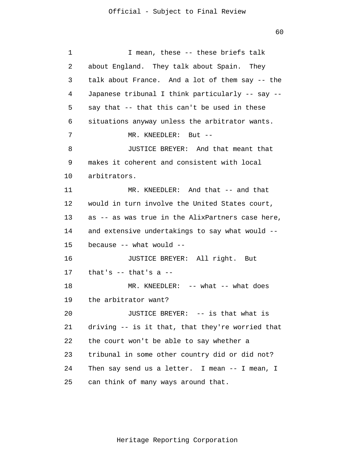1 2 3 4 5 6 7 8 9 10 11 12 13 14 15 16 17 18 19 20 21 22 23 24 25 I mean, these -- these briefs talk about England. They talk about Spain. They talk about France. And a lot of them say -- the Japanese tribunal I think particularly -- say - say that -- that this can't be used in these situations anyway unless the arbitrator wants. MR. KNEEDLER: But -- JUSTICE BREYER: And that meant that makes it coherent and consistent with local arbitrators. MR. KNEEDLER: And that -- and that would in turn involve the United States court, as -- as was true in the AlixPartners case here, and extensive undertakings to say what would - because -- what would -- JUSTICE BREYER: All right. But that's -- that's a -- MR. KNEEDLER: -- what -- what does the arbitrator want? JUSTICE BREYER: -- is that what is driving -- is it that, that they're worried that the court won't be able to say whether a tribunal in some other country did or did not? Then say send us a letter. I mean -- I mean, I can think of many ways around that.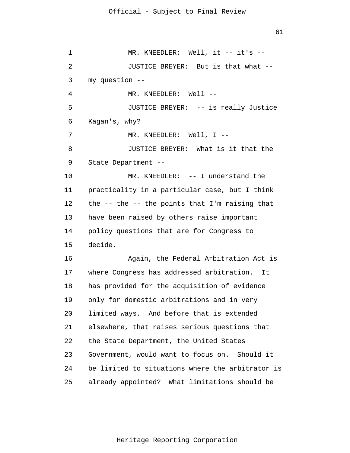1 2 3 4 5 6 7 8 9 10 11 12 13 14 15 16 17 18 19 20 21 22 23 24 25 MR. KNEEDLER: Well, it -- it's --JUSTICE BREYER: But is that what - my question -- MR. KNEEDLER: Well --JUSTICE BREYER: -- is really Justice Kagan's, why? MR. KNEEDLER: Well, I --JUSTICE BREYER: What is it that the State Department -- MR. KNEEDLER: -- I understand the practicality in a particular case, but I think the -- the -- the points that I'm raising that have been raised by others raise important policy questions that are for Congress to decide. Again, the Federal Arbitration Act is where Congress has addressed arbitration. It has provided for the acquisition of evidence only for domestic arbitrations and in very limited ways. And before that is extended elsewhere, that raises serious questions that the State Department, the United States Government, would want to focus on. Should it be limited to situations where the arbitrator is already appointed? What limitations should be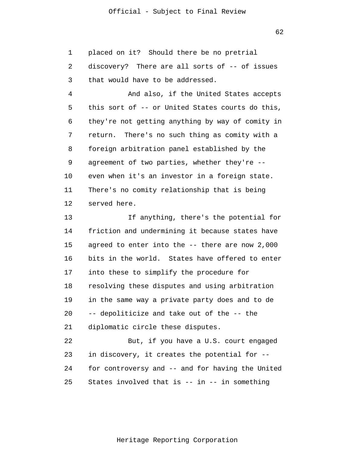1 placed on it? Should there be no pretrial

2 3 discovery? There are all sorts of -- of issues that would have to be addressed.

4 5 6 7 8 9 10 11 12 And also, if the United States accepts this sort of -- or United States courts do this, they're not getting anything by way of comity in return. There's no such thing as comity with a foreign arbitration panel established by the agreement of two parties, whether they're - even when it's an investor in a foreign state. There's no comity relationship that is being served here.

13 14 15 16 17 18 19 20 21 22 23 If anything, there's the potential for friction and undermining it because states have agreed to enter into the -- there are now 2,000 bits in the world. States have offered to enter into these to simplify the procedure for resolving these disputes and using arbitration in the same way a private party does and to de -- depoliticize and take out of the -- the diplomatic circle these disputes. But, if you have a U.S. court engaged in discovery, it creates the potential for --

25 States involved that is  $--$  in  $--$  in something

for controversy and -- and for having the United

24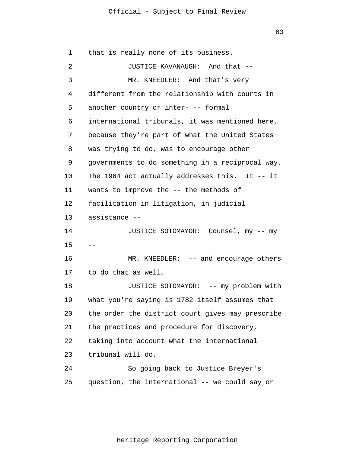63

1 2 3 4 5 6 7 8 9 10 11 12 13 14 15 16 17 18 19 20 21 22 23 24 25 - that is really none of its business. JUSTICE KAVANAUGH: And that -- MR. KNEEDLER: And that's very different from the relationship with courts in another country or inter- -- formal international tribunals, it was mentioned here, because they're part of what the United States was trying to do, was to encourage other governments to do something in a reciprocal way. The 1964 act actually addresses this. It -- it wants to improve the -- the methods of facilitation in litigation, in judicial assistance -- JUSTICE SOTOMAYOR: Counsel, my -- my MR. KNEEDLER: -- and encourage others to do that as well. JUSTICE SOTOMAYOR: -- my problem with what you're saying is 1782 itself assumes that the order the district court gives may prescribe the practices and procedure for discovery, taking into account what the international tribunal will do. So going back to Justice Breyer's question, the international -- we could say or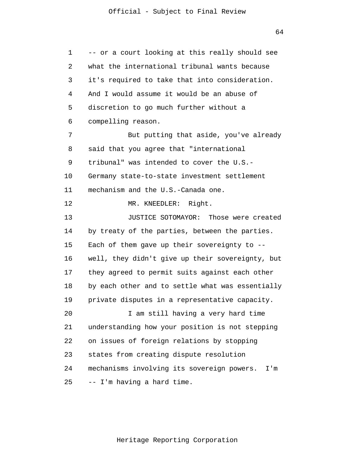64

1 2 3 4 5 6 7 8 9 10 11 12 13 14 15 16 17 18 19 20 21 22 23 24 25 -- or a court looking at this really should see what the international tribunal wants because it's required to take that into consideration. And I would assume it would be an abuse of discretion to go much further without a compelling reason. But putting that aside, you've already said that you agree that "international tribunal" was intended to cover the U.S.- Germany state-to-state investment settlement mechanism and the U.S.-Canada one. MR. KNEEDLER: Right. JUSTICE SOTOMAYOR: Those were created by treaty of the parties, between the parties. Each of them gave up their sovereignty to - well, they didn't give up their sovereignty, but they agreed to permit suits against each other by each other and to settle what was essentially private disputes in a representative capacity. I am still having a very hard time understanding how your position is not stepping on issues of foreign relations by stopping states from creating dispute resolution mechanisms involving its sovereign powers. I'm -- I'm having a hard time.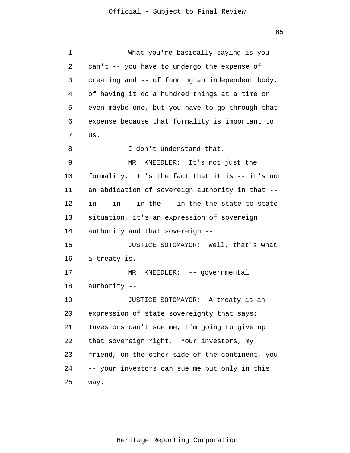1 2 3 4 5 6 7 8 9 10 11 12 13 14 15 16 17 18 19 20 21 22 23 24 25 What you're basically saying is you can't -- you have to undergo the expense of creating and -- of funding an independent body, of having it do a hundred things at a time or even maybe one, but you have to go through that expense because that formality is important to us. I don't understand that. MR. KNEEDLER: It's not just the formality. It's the fact that it is -- it's not an abdication of sovereign authority in that - in -- in -- in the -- in the the state-to-state situation, it's an expression of sovereign authority and that sovereign -- JUSTICE SOTOMAYOR: Well, that's what a treaty is. MR. KNEEDLER: -- governmental authority -- JUSTICE SOTOMAYOR: A treaty is an expression of state sovereignty that says: Investors can't sue me, I'm going to give up that sovereign right. Your investors, my friend, on the other side of the continent, you -- your investors can sue me but only in this way.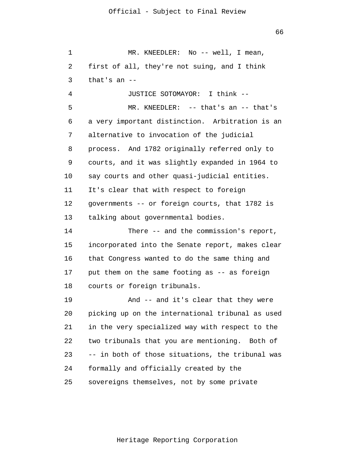1 2 3 MR. KNEEDLER: No -- well, I mean, first of all, they're not suing, and I think that's an --

4 5 6 7 8 9 10 11 12 13 JUSTICE SOTOMAYOR: I think -- MR. KNEEDLER: -- that's an -- that's a very important distinction. Arbitration is an alternative to invocation of the judicial process. And 1782 originally referred only to courts, and it was slightly expanded in 1964 to say courts and other quasi-judicial entities. It's clear that with respect to foreign governments -- or foreign courts, that 1782 is talking about governmental bodies.

14 15 16 17 18 There -- and the commission's report, incorporated into the Senate report, makes clear that Congress wanted to do the same thing and put them on the same footing as -- as foreign courts or foreign tribunals.

19 20 21 22 23 24 25 And -- and it's clear that they were picking up on the international tribunal as used in the very specialized way with respect to the two tribunals that you are mentioning. Both of -- in both of those situations, the tribunal was formally and officially created by the sovereigns themselves, not by some private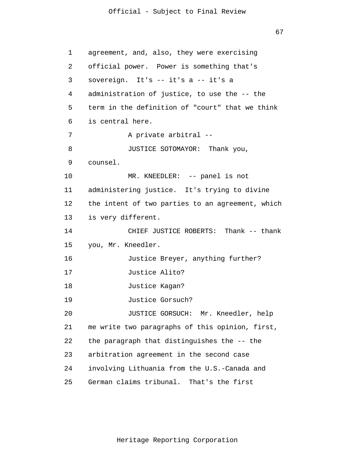67

1 2 3 4 5 6 7 8 9 10 11 12 13 14 15 16 17 18 19 20 21 22 23 24 25 agreement, and, also, they were exercising official power. Power is something that's sovereign. It's -- it's a -- it's a administration of justice, to use the -- the term in the definition of "court" that we think is central here. A private arbitral -- JUSTICE SOTOMAYOR: Thank you, counsel. MR. KNEEDLER: -- panel is not administering justice. It's trying to divine the intent of two parties to an agreement, which is very different. CHIEF JUSTICE ROBERTS: Thank -- thank you, Mr. Kneedler. Justice Breyer, anything further? Justice Alito? Justice Kagan? Justice Gorsuch? JUSTICE GORSUCH: Mr. Kneedler, help me write two paragraphs of this opinion, first, the paragraph that distinguishes the -- the arbitration agreement in the second case involving Lithuania from the U.S.-Canada and German claims tribunal. That's the first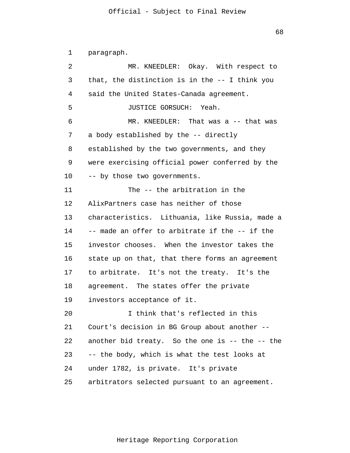1 2 3 4 5 6 7 8 9 10 11 12 13 14 15 16 17 18 19 20 21 22 23 24 25 paragraph. MR. KNEEDLER: Okay. With respect to that, the distinction is in the -- I think you said the United States-Canada agreement. JUSTICE GORSUCH: Yeah. MR. KNEEDLER: That was a -- that was a body established by the -- directly established by the two governments, and they were exercising official power conferred by the -- by those two governments. The -- the arbitration in the AlixPartners case has neither of those characteristics. Lithuania, like Russia, made a -- made an offer to arbitrate if the -- if the investor chooses. When the investor takes the state up on that, that there forms an agreement to arbitrate. It's not the treaty. It's the agreement. The states offer the private investors acceptance of it. I think that's reflected in this Court's decision in BG Group about another - another bid treaty. So the one is -- the -- the -- the body, which is what the test looks at under 1782, is private. It's private arbitrators selected pursuant to an agreement.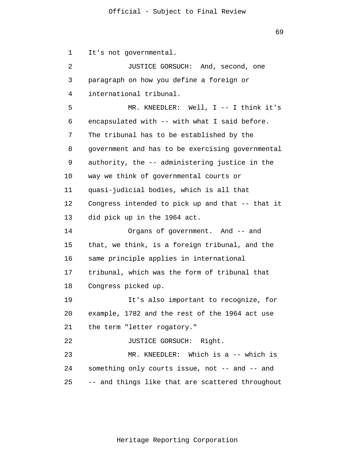69

2 3 4 JUSTICE GORSUCH: And, second, one paragraph on how you define a foreign or international tribunal.

It's not governmental.

1

5 6 7 8 9 10 11 12 13 14 15 16 17 MR. KNEEDLER: Well, I -- I think it's encapsulated with -- with what I said before. The tribunal has to be established by the government and has to be exercising governmental authority, the -- administering justice in the way we think of governmental courts or quasi-judicial bodies, which is all that Congress intended to pick up and that -- that it did pick up in the 1964 act. Organs of government. And -- and that, we think, is a foreign tribunal, and the same principle applies in international tribunal, which was the form of tribunal that

18 Congress picked up.

19 20 21 It's also important to recognize, for example, 1782 and the rest of the 1964 act use the term "letter rogatory."

22 JUSTICE GORSUCH: Right.

23 24 25 MR. KNEEDLER: Which is a -- which is something only courts issue, not -- and -- and -- and things like that are scattered throughout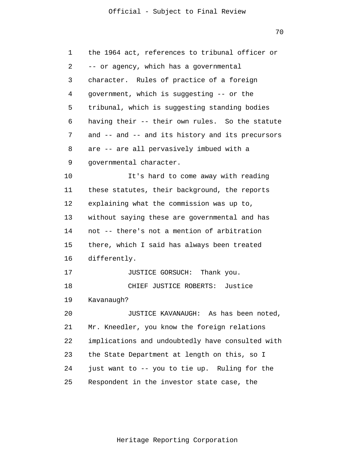70

| 1  | the 1964 act, references to tribunal officer or  |
|----|--------------------------------------------------|
| 2  | -- or agency, which has a governmental           |
| 3  | character. Rules of practice of a foreign        |
| 4  | government, which is suggesting -- or the        |
| 5  | tribunal, which is suggesting standing bodies    |
| 6  | having their -- their own rules. So the statute  |
| 7  | and -- and -- and its history and its precursors |
| 8  | are -- are all pervasively imbued with a         |
| 9  | governmental character.                          |
| 10 | It's hard to come away with reading              |
| 11 | these statutes, their background, the reports    |
| 12 | explaining what the commission was up to,        |
| 13 | without saying these are governmental and has    |
| 14 | not -- there's not a mention of arbitration      |
| 15 | there, which I said has always been treated      |
| 16 | differently.                                     |
| 17 | Thank you.<br>JUSTICE GORSUCH:                   |
| 18 | CHIEF JUSTICE ROBERTS: Justice                   |
| 19 | Kavanaugh?                                       |
| 20 | JUSTICE KAVANAUGH: As has been noted,            |
| 21 | Mr. Kneedler, you know the foreign relations     |
| 22 | implications and undoubtedly have consulted with |
| 23 | the State Department at length on this, so I     |
| 24 | just want to -- you to tie up. Ruling for the    |
| 25 | Respondent in the investor state case, the       |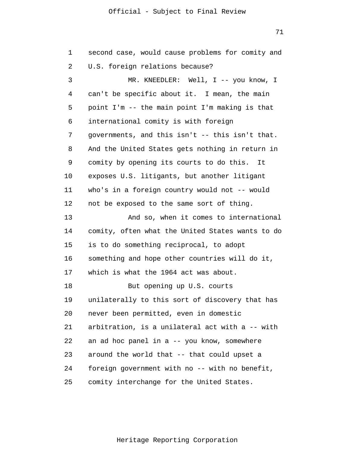71

| 1  | second case, would cause problems for comity and |
|----|--------------------------------------------------|
| 2  | U.S. foreign relations because?                  |
| 3  | MR. KNEEDLER: Well, I -- you know, I             |
| 4  | can't be specific about it. I mean, the main     |
| 5  | point I'm -- the main point I'm making is that   |
| 6  | international comity is with foreign             |
| 7  | governments, and this isn't -- this isn't that.  |
| 8  | And the United States gets nothing in return in  |
| 9  | comity by opening its courts to do this.<br>It   |
| 10 | exposes U.S. litigants, but another litigant     |
| 11 | who's in a foreign country would not -- would    |
| 12 | not be exposed to the same sort of thing.        |
| 13 | And so, when it comes to international           |
| 14 | comity, often what the United States wants to do |
| 15 | is to do something reciprocal, to adopt          |
| 16 | something and hope other countries will do it,   |
| 17 | which is what the 1964 act was about.            |
| 18 | But opening up U.S. courts                       |
| 19 | unilaterally to this sort of discovery that has  |
| 20 | never been permitted, even in domestic           |
| 21 | arbitration, is a unilateral act with a -- with  |
| 22 | an ad hoc panel in a -- you know, somewhere      |
| 23 | around the world that -- that could upset a      |
| 24 | foreign government with no -- with no benefit,   |
| 25 | comity interchange for the United States.        |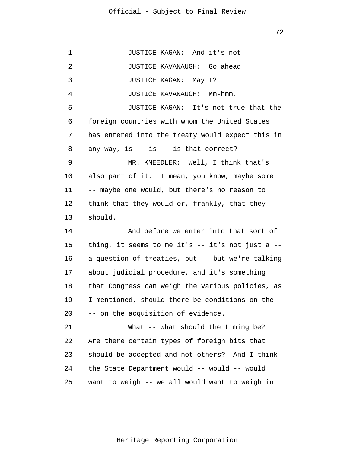1 2 3 4 5 6 7 8 9 10 11 12 13 14 15 16 17 18 19 20 21 22 23 24 25 JUSTICE KAGAN: And it's not -- JUSTICE KAVANAUGH: Go ahead. JUSTICE KAGAN: May I? JUSTICE KAVANAUGH: Mm-hmm. JUSTICE KAGAN: It's not true that the foreign countries with whom the United States has entered into the treaty would expect this in any way, is  $-$  is  $-$  is that correct? MR. KNEEDLER: Well, I think that's also part of it. I mean, you know, maybe some -- maybe one would, but there's no reason to think that they would or, frankly, that they should. And before we enter into that sort of thing, it seems to me it's  $--$  it's not just a  $-$ a question of treaties, but -- but we're talking about judicial procedure, and it's something that Congress can weigh the various policies, as I mentioned, should there be conditions on the -- on the acquisition of evidence. What -- what should the timing be? Are there certain types of foreign bits that should be accepted and not others? And I think the State Department would -- would -- would want to weigh -- we all would want to weigh in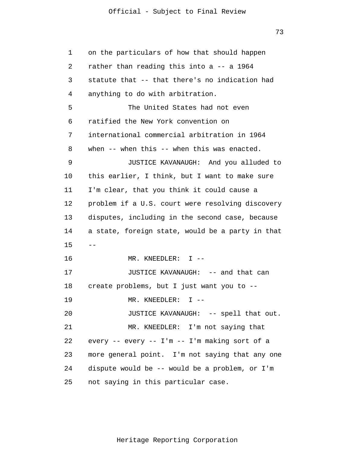73

| 1  | on the particulars of how that should happen      |
|----|---------------------------------------------------|
| 2  | rather than reading this into a -- a 1964         |
| 3  | statute that -- that there's no indication had    |
| 4  | anything to do with arbitration.                  |
| 5  | The United States had not even                    |
| 6  | ratified the New York convention on               |
| 7  | international commercial arbitration in 1964      |
| 8  | when -- when this -- when this was enacted.       |
| 9  | JUSTICE KAVANAUGH: And you alluded to             |
| 10 | this earlier, I think, but I want to make sure    |
| 11 | I'm clear, that you think it could cause a        |
| 12 | problem if a U.S. court were resolving discovery  |
| 13 | disputes, including in the second case, because   |
| 14 | a state, foreign state, would be a party in that  |
| 15 | ——                                                |
| 16 | MR. KNEEDLER: $I$ --                              |
| 17 | JUSTICE KAVANAUGH: -- and that can                |
| 18 | create problems, but I just want you to --        |
| 19 | MR. KNEEDLER: $I$ --                              |
| 20 | JUSTICE KAVANAUGH: -- spell that out.             |
| 21 | MR. KNEEDLER: I'm not saying that                 |
| 22 | every -- every -- $I'm$ -- $I'm$ making sort of a |
| 23 | more general point. I'm not saying that any one   |
| 24 | dispute would be -- would be a problem, or I'm    |
| 25 | not saying in this particular case.               |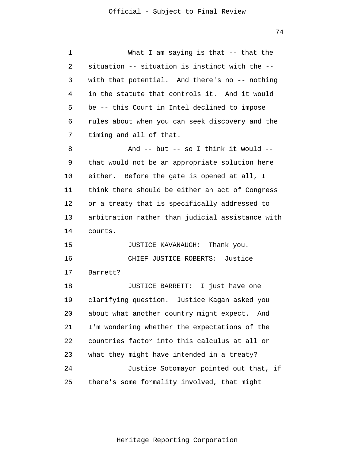1 2 3 4 5 6 7 8 9 10 11 12 13 14 15 16 17 18 19 20 21 22 23 24 25 What I am saying is that -- that the situation -- situation is instinct with the - with that potential. And there's no -- nothing in the statute that controls it. And it would be -- this Court in Intel declined to impose rules about when you can seek discovery and the timing and all of that. And -- but -- so I think it would - that would not be an appropriate solution here either. Before the gate is opened at all, I think there should be either an act of Congress or a treaty that is specifically addressed to arbitration rather than judicial assistance with courts. JUSTICE KAVANAUGH: Thank you. CHIEF JUSTICE ROBERTS: Justice Barrett? JUSTICE BARRETT: I just have one clarifying question. Justice Kagan asked you about what another country might expect. And I'm wondering whether the expectations of the countries factor into this calculus at all or what they might have intended in a treaty? Justice Sotomayor pointed out that, if there's some formality involved, that might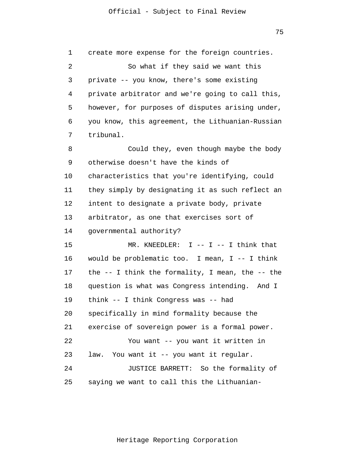1 2 3 4 5 6 7 8 9 10 11 12 13 14 15 16 17 18 19 20 21 22 23 24 25 create more expense for the foreign countries. So what if they said we want this private -- you know, there's some existing private arbitrator and we're going to call this, however, for purposes of disputes arising under, you know, this agreement, the Lithuanian-Russian tribunal. Could they, even though maybe the body otherwise doesn't have the kinds of characteristics that you're identifying, could they simply by designating it as such reflect an intent to designate a private body, private arbitrator, as one that exercises sort of governmental authority?  $MR.$  KNEEDLER: I -- I -- I think that would be problematic too. I mean,  $I$  -- I think the -- I think the formality, I mean, the -- the question is what was Congress intending. And I think -- I think Congress was -- had specifically in mind formality because the exercise of sovereign power is a formal power. You want -- you want it written in law. You want it -- you want it regular. JUSTICE BARRETT: So the formality of saying we want to call this the Lithuanian-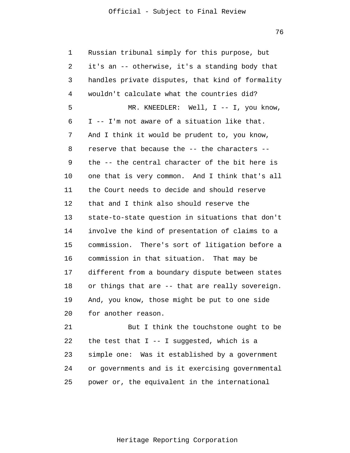76

1 2 3 4 5 6 7 8 9 10 11 12 13 14 15 16 17 18 19 20 21 22 23 Russian tribunal simply for this purpose, but it's an -- otherwise, it's a standing body that handles private disputes, that kind of formality wouldn't calculate what the countries did? MR. KNEEDLER: Well, I -- I, you know, I -- I'm not aware of a situation like that. And I think it would be prudent to, you know, reserve that because the -- the characters - the -- the central character of the bit here is one that is very common. And I think that's all the Court needs to decide and should reserve that and I think also should reserve the state-to-state question in situations that don't involve the kind of presentation of claims to a commission. There's sort of litigation before a commission in that situation. That may be different from a boundary dispute between states or things that are -- that are really sovereign. And, you know, those might be put to one side for another reason. But I think the touchstone ought to be the test that  $I - - I$  suggested, which is a simple one: Was it established by a government

25 power or, the equivalent in the international

or governments and is it exercising governmental

24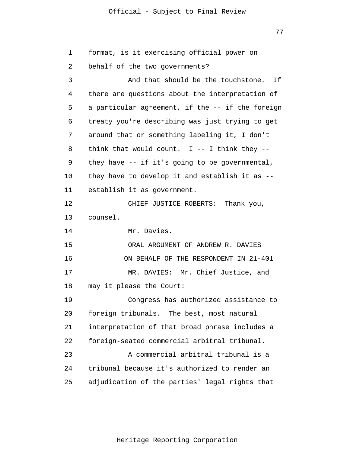77

1 2 3 4 5 6 7 8 9 10 11 12 13 14 15 16 17 18 19 20 21 22 23 24 25 format, is it exercising official power on behalf of the two governments? And that should be the touchstone. If there are questions about the interpretation of a particular agreement, if the -- if the foreign treaty you're describing was just trying to get around that or something labeling it, I don't think that would count.  $I$  -- I think they -they have -- if it's going to be governmental, they have to develop it and establish it as - establish it as government. CHIEF JUSTICE ROBERTS: Thank you, counsel. Mr. Davies. ORAL ARGUMENT OF ANDREW R. DAVIES ON BEHALF OF THE RESPONDENT IN 21-401 MR. DAVIES: Mr. Chief Justice, and may it please the Court: Congress has authorized assistance to foreign tribunals. The best, most natural interpretation of that broad phrase includes a foreign-seated commercial arbitral tribunal. A commercial arbitral tribunal is a tribunal because it's authorized to render an adjudication of the parties' legal rights that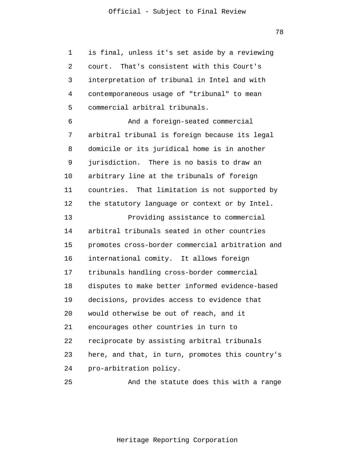1 2 3 4 5 6 7 8 9 10 11 12 13 14 15 16 17 18 19 20 21 22 23 24 is final, unless it's set aside by a reviewing court. That's consistent with this Court's interpretation of tribunal in Intel and with contemporaneous usage of "tribunal" to mean commercial arbitral tribunals. And a foreign-seated commercial arbitral tribunal is foreign because its legal domicile or its juridical home is in another jurisdiction. There is no basis to draw an arbitrary line at the tribunals of foreign countries. That limitation is not supported by the statutory language or context or by Intel. Providing assistance to commercial arbitral tribunals seated in other countries promotes cross-border commercial arbitration and international comity. It allows foreign tribunals handling cross-border commercial disputes to make better informed evidence-based decisions, provides access to evidence that would otherwise be out of reach, and it encourages other countries in turn to reciprocate by assisting arbitral tribunals here, and that, in turn, promotes this country's pro-arbitration policy.

And the statute does this with a range

25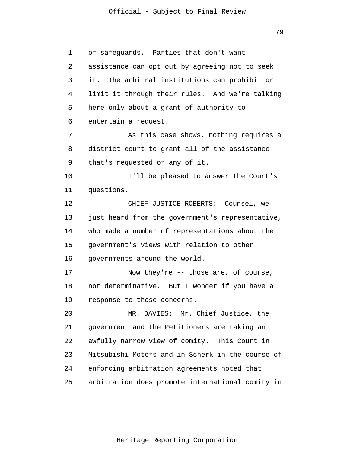79

1 2 3 4 5 6 7 8 9 10 11 12 13 14 15 16 17 18 19 20 21 22 23 24 25 of safeguards. Parties that don't want assistance can opt out by agreeing not to seek it. The arbitral institutions can prohibit or limit it through their rules. And we're talking here only about a grant of authority to entertain a request. As this case shows, nothing requires a district court to grant all of the assistance that's requested or any of it. I'll be pleased to answer the Court's questions. CHIEF JUSTICE ROBERTS: Counsel, we just heard from the government's representative, who made a number of representations about the government's views with relation to other governments around the world. Now they're -- those are, of course, not determinative. But I wonder if you have a response to those concerns. MR. DAVIES: Mr. Chief Justice, the government and the Petitioners are taking an awfully narrow view of comity. This Court in Mitsubishi Motors and in Scherk in the course of enforcing arbitration agreements noted that arbitration does promote international comity in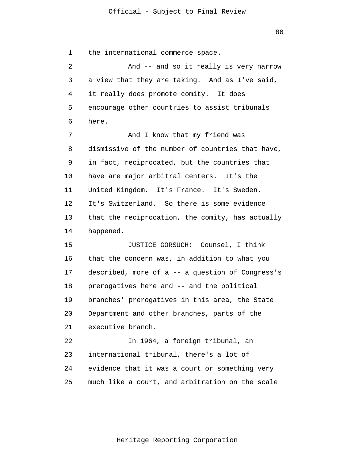80

1 2 3 4 5 6 7 8 9 10 11 12 13 14 15 16 17 18 19 20 21 22 23 24 25 the international commerce space. And -- and so it really is very narrow a view that they are taking. And as I've said, it really does promote comity. It does encourage other countries to assist tribunals here. And I know that my friend was dismissive of the number of countries that have, in fact, reciprocated, but the countries that have are major arbitral centers. It's the United Kingdom. It's France. It's Sweden. It's Switzerland. So there is some evidence that the reciprocation, the comity, has actually happened. JUSTICE GORSUCH: Counsel, I think that the concern was, in addition to what you described, more of a -- a question of Congress's prerogatives here and -- and the political branches' prerogatives in this area, the State Department and other branches, parts of the executive branch. In 1964, a foreign tribunal, an international tribunal, there's a lot of evidence that it was a court or something very much like a court, and arbitration on the scale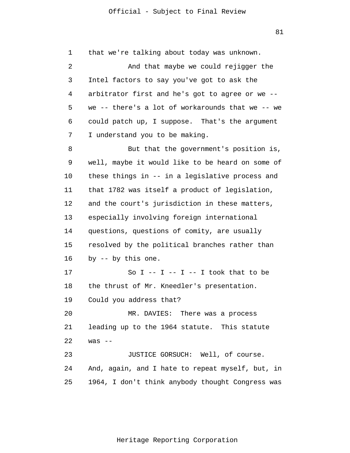1 2 3 4 5 6 7 8 9 10 11 12 13 14 15 16 17 18 19 20 21 22 23 24 25 that we're talking about today was unknown. And that maybe we could rejigger the Intel factors to say you've got to ask the arbitrator first and he's got to agree or we - we -- there's a lot of workarounds that we -- we could patch up, I suppose. That's the argument I understand you to be making. But that the government's position is, well, maybe it would like to be heard on some of these things in -- in a legislative process and that 1782 was itself a product of legislation, and the court's jurisdiction in these matters, especially involving foreign international questions, questions of comity, are usually resolved by the political branches rather than by -- by this one. So  $I$  --  $I$  --  $I$  --  $I$  took that to be the thrust of Mr. Kneedler's presentation. Could you address that? MR. DAVIES: There was a process leading up to the 1964 statute. This statute was  $--$ JUSTICE GORSUCH: Well, of course. And, again, and I hate to repeat myself, but, in 1964, I don't think anybody thought Congress was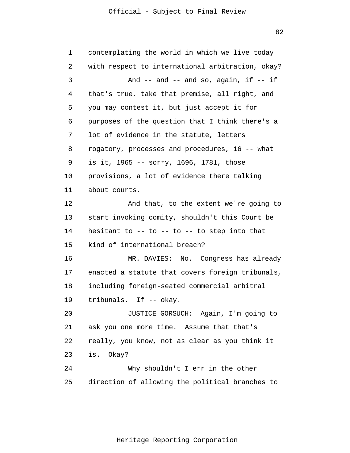82

1 2 3 4 5 6 7 8 9 10 11 12 13 14 15 16 17 18 19 20 21 22 23 24 25 contemplating the world in which we live today with respect to international arbitration, okay? And  $--$  and  $--$  and so, again, if  $--$  if that's true, take that premise, all right, and you may contest it, but just accept it for purposes of the question that I think there's a lot of evidence in the statute, letters rogatory, processes and procedures, 16 -- what is it, 1965 -- sorry, 1696, 1781, those provisions, a lot of evidence there talking about courts. And that, to the extent we're going to start invoking comity, shouldn't this Court be hesitant to  $-$ - to  $-$ - to  $-$  to step into that kind of international breach? MR. DAVIES: No. Congress has already enacted a statute that covers foreign tribunals, including foreign-seated commercial arbitral tribunals. If -- okay. JUSTICE GORSUCH: Again, I'm going to ask you one more time. Assume that that's really, you know, not as clear as you think it is. Okay? Why shouldn't I err in the other direction of allowing the political branches to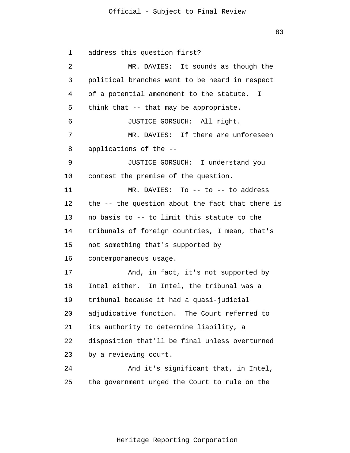83

1 2 3 4 5 6 7 8 9 10 11 12 13 14 15 16 17 18 19 20 21 22 23 24 25 address this question first? MR. DAVIES: It sounds as though the political branches want to be heard in respect of a potential amendment to the statute. I think that -- that may be appropriate. JUSTICE GORSUCH: All right. MR. DAVIES: If there are unforeseen applications of the -- JUSTICE GORSUCH: I understand you contest the premise of the question. MR. DAVIES: To -- to -- to address the -- the question about the fact that there is no basis to -- to limit this statute to the tribunals of foreign countries, I mean, that's not something that's supported by contemporaneous usage. And, in fact, it's not supported by Intel either. In Intel, the tribunal was a tribunal because it had a quasi-judicial adjudicative function. The Court referred to its authority to determine liability, a disposition that'll be final unless overturned by a reviewing court. And it's significant that, in Intel, the government urged the Court to rule on the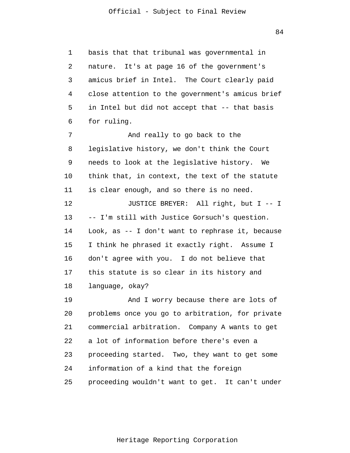1 2 3 4 5 6 7 8 9 10 11 12 13 14 15 16 17 18 19 20 21 22 23 24 25 basis that that tribunal was governmental in nature. It's at page 16 of the government's amicus brief in Intel. The Court clearly paid close attention to the government's amicus brief in Intel but did not accept that -- that basis for ruling. And really to go back to the legislative history, we don't think the Court needs to look at the legislative history. We think that, in context, the text of the statute is clear enough, and so there is no need. JUSTICE BREYER: All right, but I -- I -- I'm still with Justice Gorsuch's question. Look, as -- I don't want to rephrase it, because I think he phrased it exactly right. Assume I don't agree with you. I do not believe that this statute is so clear in its history and language, okay? And I worry because there are lots of problems once you go to arbitration, for private commercial arbitration. Company A wants to get a lot of information before there's even a proceeding started. Two, they want to get some information of a kind that the foreign proceeding wouldn't want to get. It can't under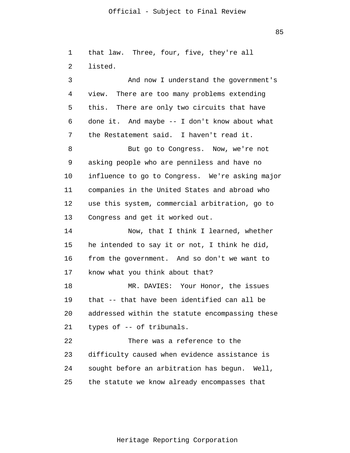85

1 2 3 4 5 that law. Three, four, five, they're all listed. And now I understand the government's view. There are too many problems extending this. There are only two circuits that have

6 7 done it. And maybe -- I don't know about what the Restatement said. I haven't read it.

8 9 10 11 12 13 But go to Congress. Now, we're not asking people who are penniless and have no influence to go to Congress. We're asking major companies in the United States and abroad who use this system, commercial arbitration, go to Congress and get it worked out.

14 15 16 17 Now, that I think I learned, whether he intended to say it or not, I think he did, from the government. And so don't we want to know what you think about that?

18 19 20 21 MR. DAVIES: Your Honor, the issues that -- that have been identified can all be addressed within the statute encompassing these types of -- of tribunals.

22 23 24 25 There was a reference to the difficulty caused when evidence assistance is sought before an arbitration has begun. Well, the statute we know already encompasses that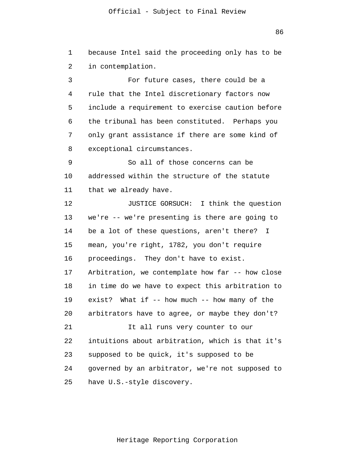86

1 2 3 4 5 6 7 8 9 10 11 12 13 14 15 16 17 18 19 20 21 22 23 24 25 because Intel said the proceeding only has to be in contemplation. For future cases, there could be a rule that the Intel discretionary factors now include a requirement to exercise caution before the tribunal has been constituted. Perhaps you only grant assistance if there are some kind of exceptional circumstances. So all of those concerns can be addressed within the structure of the statute that we already have. JUSTICE GORSUCH: I think the question we're -- we're presenting is there are going to be a lot of these questions, aren't there? I mean, you're right, 1782, you don't require proceedings. They don't have to exist. Arbitration, we contemplate how far -- how close in time do we have to expect this arbitration to exist? What if -- how much -- how many of the arbitrators have to agree, or maybe they don't? It all runs very counter to our intuitions about arbitration, which is that it's supposed to be quick, it's supposed to be governed by an arbitrator, we're not supposed to have U.S.-style discovery.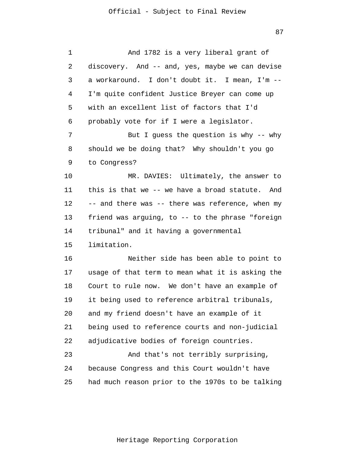| 1  | And 1782 is a very liberal grant of              |
|----|--------------------------------------------------|
| 2  | discovery. And -- and, yes, maybe we can devise  |
| 3  | a workaround. I don't doubt it. I mean, I'm --   |
| 4  | I'm quite confident Justice Breyer can come up   |
| 5  | with an excellent list of factors that I'd       |
| 6  | probably vote for if I were a legislator.        |
| 7  | But I guess the question is why $-$ - why        |
| 8  | should we be doing that? Why shouldn't you go    |
| 9  | to Congress?                                     |
| 10 | MR. DAVIES: Ultimately, the answer to            |
| 11 | this is that we -- we have a broad statute. And  |
| 12 | -- and there was -- there was reference, when my |
| 13 | friend was arguing, to -- to the phrase "foreign |
| 14 | tribunal" and it having a governmental           |
| 15 | limitation.                                      |
| 16 | Neither side has been able to point to           |
| 17 | usage of that term to mean what it is asking the |
| 18 | Court to rule now. We don't have an example of   |
| 19 | it being used to reference arbitral tribunals,   |
| 20 | and my friend doesn't have an example of it      |
| 21 | being used to reference courts and non-judicial  |
| 22 | adjudicative bodies of foreign countries.        |
| 23 | And that's not terribly surprising,              |
| 24 | because Congress and this Court wouldn't have    |
| 25 | had much reason prior to the 1970s to be talking |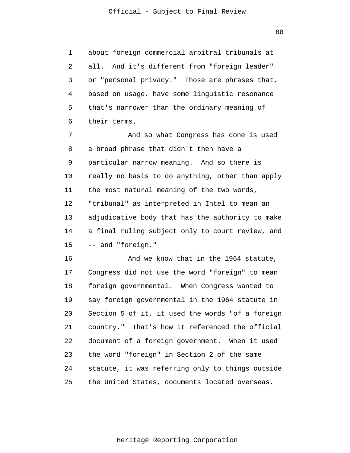1 2 3 4 5 6 about foreign commercial arbitral tribunals at all. And it's different from "foreign leader" or "personal privacy." Those are phrases that, based on usage, have some linguistic resonance that's narrower than the ordinary meaning of their terms.

7 8 9 10 11 12 13 14 15 And so what Congress has done is used a broad phrase that didn't then have a particular narrow meaning. And so there is really no basis to do anything, other than apply the most natural meaning of the two words, "tribunal" as interpreted in Intel to mean an adjudicative body that has the authority to make a final ruling subject only to court review, and -- and "foreign."

16 17 18 19 20 21 22 23 24 25 And we know that in the 1964 statute, Congress did not use the word "foreign" to mean foreign governmental. When Congress wanted to say foreign governmental in the 1964 statute in Section 5 of it, it used the words "of a foreign country." That's how it referenced the official document of a foreign government. When it used the word "foreign" in Section 2 of the same statute, it was referring only to things outside the United States, documents located overseas.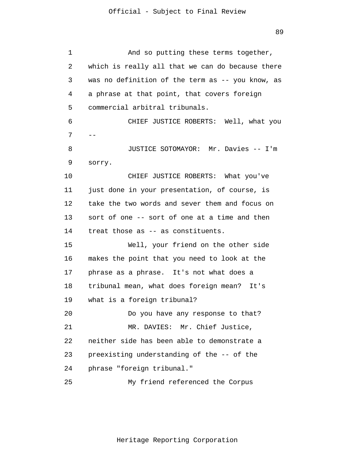1 2 3 4 5 6 7 8 9 10 11 12 13 14 15 16 17 18 19 20 21 22 23 24 25 -- And so putting these terms together, which is really all that we can do because there was no definition of the term as -- you know, as a phrase at that point, that covers foreign commercial arbitral tribunals. CHIEF JUSTICE ROBERTS: Well, what you JUSTICE SOTOMAYOR: Mr. Davies -- I'm sorry. CHIEF JUSTICE ROBERTS: What you've just done in your presentation, of course, is take the two words and sever them and focus on sort of one -- sort of one at a time and then treat those as -- as constituents. Well, your friend on the other side makes the point that you need to look at the phrase as a phrase. It's not what does a tribunal mean, what does foreign mean? It's what is a foreign tribunal? Do you have any response to that? MR. DAVIES: Mr. Chief Justice, neither side has been able to demonstrate a preexisting understanding of the -- of the phrase "foreign tribunal." My friend referenced the Corpus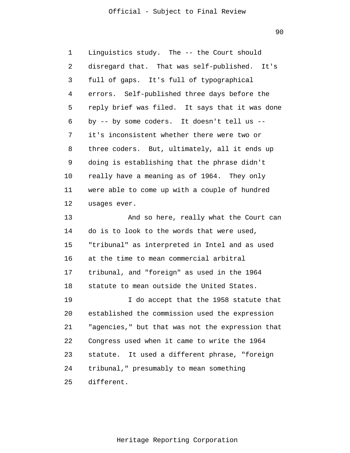90

1 2 3 4 5 6 7 8 9 10 11 12 13 14 15 16 17 18 19 20 21 22 23 24 25 Linguistics study. The -- the Court should disregard that. That was self-published. It's full of gaps. It's full of typographical errors. Self-published three days before the reply brief was filed. It says that it was done by -- by some coders. It doesn't tell us - it's inconsistent whether there were two or three coders. But, ultimately, all it ends up doing is establishing that the phrase didn't really have a meaning as of 1964. They only were able to come up with a couple of hundred usages ever. And so here, really what the Court can do is to look to the words that were used, "tribunal" as interpreted in Intel and as used at the time to mean commercial arbitral tribunal, and "foreign" as used in the 1964 statute to mean outside the United States. I do accept that the 1958 statute that established the commission used the expression "agencies," but that was not the expression that Congress used when it came to write the 1964 statute. It used a different phrase, "foreign tribunal," presumably to mean something different.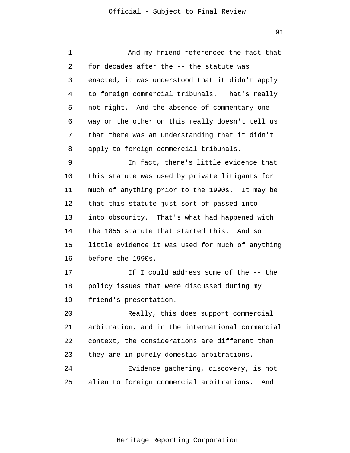| 1  | And my friend referenced the fact that           |
|----|--------------------------------------------------|
| 2  | for decades after the -- the statute was         |
| 3  | enacted, it was understood that it didn't apply  |
| 4  | to foreign commercial tribunals. That's really   |
| 5  | not right. And the absence of commentary one     |
| 6  | way or the other on this really doesn't tell us  |
| 7  | that there was an understanding that it didn't   |
| 8  | apply to foreign commercial tribunals.           |
| 9  | In fact, there's little evidence that            |
| 10 | this statute was used by private litigants for   |
| 11 | much of anything prior to the 1990s. It may be   |
| 12 | that this statute just sort of passed into --    |
| 13 | into obscurity. That's what had happened with    |
| 14 | the 1855 statute that started this. And so       |
| 15 | little evidence it was used for much of anything |
| 16 | before the 1990s.                                |
| 17 | If I could address some of the -- the            |
| 18 | policy issues that were discussed during my      |
| 19 | friend's presentation.                           |
| 20 | Really, this does support commercial             |
| 21 | arbitration, and in the international commercial |
| 22 | context, the considerations are different than   |
| 23 | they are in purely domestic arbitrations.        |
| 24 | Evidence gathering, discovery, is not            |
| 25 | alien to foreign commercial arbitrations.<br>And |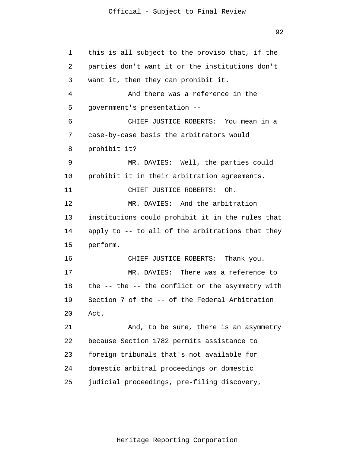92

1 2 3 4 5 6 7 8 9 10 11 12 13 14 15 16 17 18 19 20 21 22 23 24 25 this is all subject to the proviso that, if the parties don't want it or the institutions don't want it, then they can prohibit it. And there was a reference in the government's presentation -- CHIEF JUSTICE ROBERTS: You mean in a case-by-case basis the arbitrators would prohibit it? MR. DAVIES: Well, the parties could prohibit it in their arbitration agreements. CHIEF JUSTICE ROBERTS: Oh. MR. DAVIES: And the arbitration institutions could prohibit it in the rules that apply to -- to all of the arbitrations that they perform. CHIEF JUSTICE ROBERTS: Thank you. MR. DAVIES: There was a reference to the -- the -- the conflict or the asymmetry with Section 7 of the -- of the Federal Arbitration Act. And, to be sure, there is an asymmetry because Section 1782 permits assistance to foreign tribunals that's not available for domestic arbitral proceedings or domestic judicial proceedings, pre-filing discovery,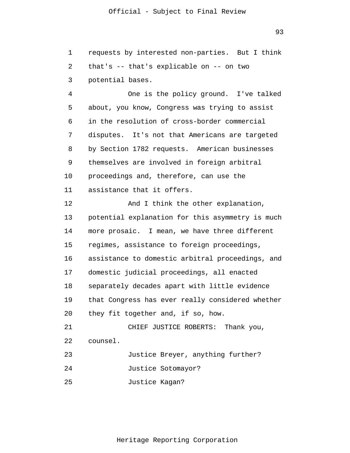1 2 3 4 5 6 requests by interested non-parties. But I think that's -- that's explicable on -- on two potential bases. One is the policy ground. I've talked about, you know, Congress was trying to assist in the resolution of cross-border commercial

7 8 9 10 disputes. It's not that Americans are targeted by Section 1782 requests. American businesses themselves are involved in foreign arbitral proceedings and, therefore, can use the

11 assistance that it offers.

12 13 14 15 16 17 18 19 20 21 22 23 24 And I think the other explanation, potential explanation for this asymmetry is much more prosaic. I mean, we have three different regimes, assistance to foreign proceedings, assistance to domestic arbitral proceedings, and domestic judicial proceedings, all enacted separately decades apart with little evidence that Congress has ever really considered whether they fit together and, if so, how. CHIEF JUSTICE ROBERTS: Thank you, counsel. Justice Breyer, anything further? Justice Sotomayor?

25 Justice Kagan?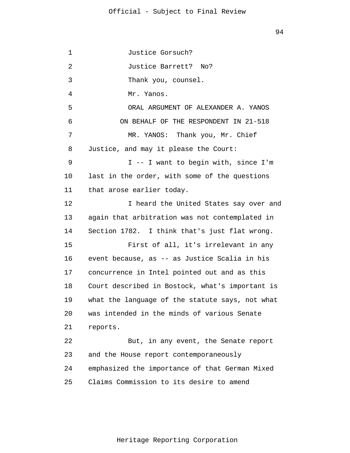1 2 3 4 5 6 7 8 9 10 11 12 13 14 15 16 17 18 19 20 21 22 23 24 25 Justice Gorsuch? Justice Barrett? No? Thank you, counsel. Mr. Yanos. ORAL ARGUMENT OF ALEXANDER A. YANOS ON BEHALF OF THE RESPONDENT IN 21-518 MR. YANOS: Thank you, Mr. Chief Justice, and may it please the Court: I -- I want to begin with, since I'm last in the order, with some of the questions that arose earlier today. I heard the United States say over and again that arbitration was not contemplated in Section 1782. I think that's just flat wrong. First of all, it's irrelevant in any event because, as -- as Justice Scalia in his concurrence in Intel pointed out and as this Court described in Bostock, what's important is what the language of the statute says, not what was intended in the minds of various Senate reports. But, in any event, the Senate report and the House report contemporaneously emphasized the importance of that German Mixed Claims Commission to its desire to amend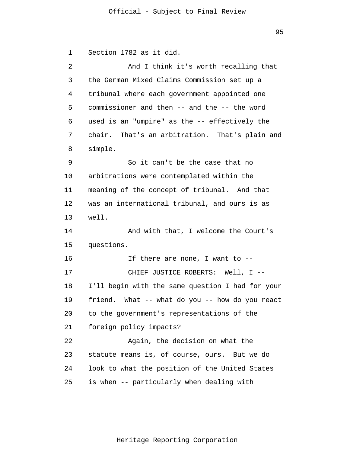1 2 3 4 5 6 7 8 9 10 11 12 13 14 15 16 17 18 19 20 21 22 23 24 25 Section 1782 as it did. And I think it's worth recalling that the German Mixed Claims Commission set up a tribunal where each government appointed one commissioner and then -- and the -- the word used is an "umpire" as the -- effectively the chair. That's an arbitration. That's plain and simple. So it can't be the case that no arbitrations were contemplated within the meaning of the concept of tribunal. And that was an international tribunal, and ours is as well. And with that, I welcome the Court's questions. If there are none, I want to -- CHIEF JUSTICE ROBERTS: Well, I -- I'll begin with the same question I had for your friend. What -- what do you -- how do you react to the government's representations of the foreign policy impacts? Again, the decision on what the statute means is, of course, ours. But we do look to what the position of the United States is when -- particularly when dealing with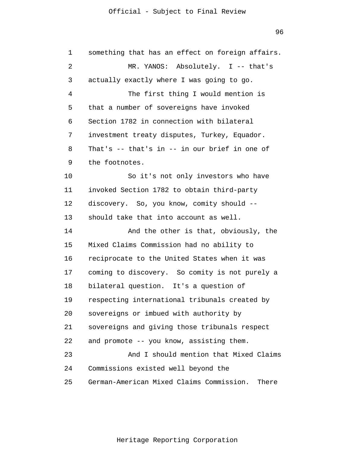96

1 2 3 4 5 6 7 8 9 10 11 12 13 14 15 16 17 18 19 20 21 22 23 24 25 something that has an effect on foreign affairs. MR. YANOS: Absolutely. I -- that's actually exactly where I was going to go. The first thing I would mention is that a number of sovereigns have invoked Section 1782 in connection with bilateral investment treaty disputes, Turkey, Equador. That's -- that's in -- in our brief in one of the footnotes. So it's not only investors who have invoked Section 1782 to obtain third-party discovery. So, you know, comity should - should take that into account as well. And the other is that, obviously, the Mixed Claims Commission had no ability to reciprocate to the United States when it was coming to discovery. So comity is not purely a bilateral question. It's a question of respecting international tribunals created by sovereigns or imbued with authority by sovereigns and giving those tribunals respect and promote -- you know, assisting them. And I should mention that Mixed Claims Commissions existed well beyond the German-American Mixed Claims Commission. There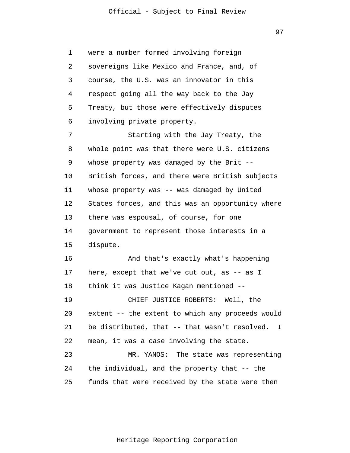97

1 2 3 4 5 6 7 8 9 10 11 12 13 14 15 16 17 18 19 20 21 22 23 24 25 were a number formed involving foreign sovereigns like Mexico and France, and, of course, the U.S. was an innovator in this respect going all the way back to the Jay Treaty, but those were effectively disputes involving private property. Starting with the Jay Treaty, the whole point was that there were U.S. citizens whose property was damaged by the Brit --British forces, and there were British subjects whose property was -- was damaged by United States forces, and this was an opportunity where there was espousal, of course, for one government to represent those interests in a dispute. And that's exactly what's happening here, except that we've cut out, as -- as I think it was Justice Kagan mentioned -- CHIEF JUSTICE ROBERTS: Well, the extent -- the extent to which any proceeds would be distributed, that -- that wasn't resolved. I mean, it was a case involving the state. MR. YANOS: The state was representing the individual, and the property that -- the funds that were received by the state were then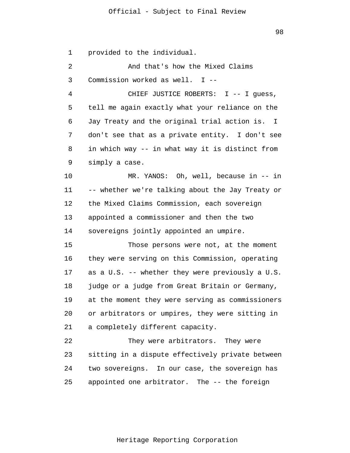1 provided to the individual.

2 3 And that's how the Mixed Claims Commission worked as well. I --

4 5 6 7 8 9 CHIEF JUSTICE ROBERTS: I -- I quess, tell me again exactly what your reliance on the Jay Treaty and the original trial action is. I don't see that as a private entity. I don't see in which way -- in what way it is distinct from simply a case.

10 11 12 13 14 MR. YANOS: Oh, well, because in -- in -- whether we're talking about the Jay Treaty or the Mixed Claims Commission, each sovereign appointed a commissioner and then the two sovereigns jointly appointed an umpire.

15 16 17 18 19 20 21 Those persons were not, at the moment they were serving on this Commission, operating as a U.S. -- whether they were previously a U.S. judge or a judge from Great Britain or Germany, at the moment they were serving as commissioners or arbitrators or umpires, they were sitting in a completely different capacity.

22 23 24 25 They were arbitrators. They were sitting in a dispute effectively private between two sovereigns. In our case, the sovereign has appointed one arbitrator. The -- the foreign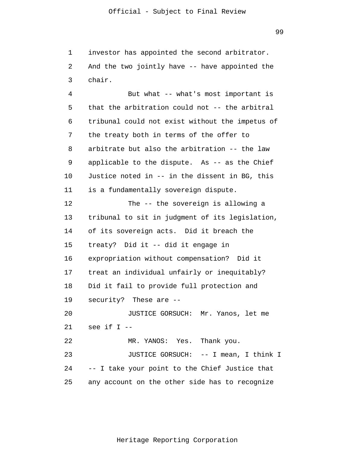1 2 3 investor has appointed the second arbitrator. And the two jointly have -- have appointed the chair.

4 5 6 7 8 9 10 11 12 13 14 15 16 17 18 19 20 21 22 23 24 25 But what -- what's most important is that the arbitration could not -- the arbitral tribunal could not exist without the impetus of the treaty both in terms of the offer to arbitrate but also the arbitration -- the law applicable to the dispute. As -- as the Chief Justice noted in -- in the dissent in BG, this is a fundamentally sovereign dispute. The -- the sovereign is allowing a tribunal to sit in judgment of its legislation, of its sovereign acts. Did it breach the treaty? Did it -- did it engage in expropriation without compensation? Did it treat an individual unfairly or inequitably? Did it fail to provide full protection and security? These are -- JUSTICE GORSUCH: Mr. Yanos, let me see if I -- MR. YANOS: Yes. Thank you. JUSTICE GORSUCH: -- I mean, I think I -- I take your point to the Chief Justice that any account on the other side has to recognize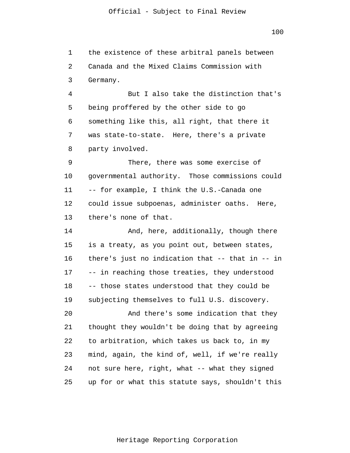1 2 3 the existence of these arbitral panels between Canada and the Mixed Claims Commission with Germany.

4 5 6 7 8 But I also take the distinction that's being proffered by the other side to go something like this, all right, that there it was state-to-state. Here, there's a private party involved.

9 10 11 12 13 There, there was some exercise of governmental authority. Those commissions could -- for example, I think the U.S.-Canada one could issue subpoenas, administer oaths. Here, there's none of that.

14 15 16 17 18 19 20 21 And, here, additionally, though there is a treaty, as you point out, between states, there's just no indication that -- that in -- in -- in reaching those treaties, they understood -- those states understood that they could be subjecting themselves to full U.S. discovery. And there's some indication that they thought they wouldn't be doing that by agreeing

22 23 24 25 to arbitration, which takes us back to, in my mind, again, the kind of, well, if we're really not sure here, right, what -- what they signed up for or what this statute says, shouldn't this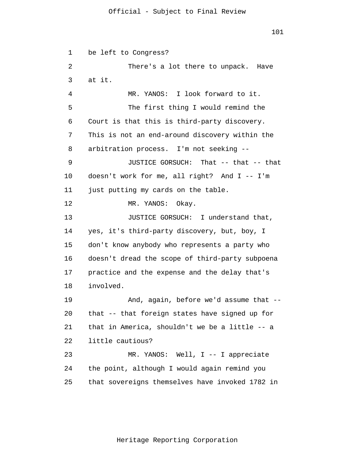1 2 3 4 5 6 7 8 9 10 11 12 13 14 15 16 17 18 19 20 21 22 23 24 25 be left to Congress? There's a lot there to unpack. Have at it. MR. YANOS: I look forward to it. The first thing I would remind the Court is that this is third-party discovery. This is not an end-around discovery within the arbitration process. I'm not seeking -- JUSTICE GORSUCH: That -- that -- that doesn't work for me, all right? And I -- I'm just putting my cards on the table. MR. YANOS: Okay. JUSTICE GORSUCH: I understand that, yes, it's third-party discovery, but, boy, I don't know anybody who represents a party who doesn't dread the scope of third-party subpoena practice and the expense and the delay that's involved. And, again, before we'd assume that - that -- that foreign states have signed up for that in America, shouldn't we be a little -- a little cautious? MR. YANOS: Well, I -- I appreciate the point, although I would again remind you that sovereigns themselves have invoked 1782 in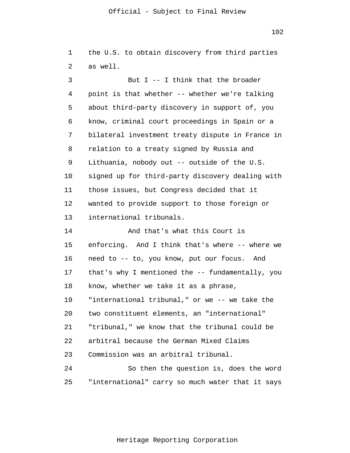102

1 2 3 the U.S. to obtain discovery from third parties as well. But  $I -I$  think that the broader

4 5 6 7 8 9 10 11 12 13 point is that whether -- whether we're talking about third-party discovery in support of, you know, criminal court proceedings in Spain or a bilateral investment treaty dispute in France in relation to a treaty signed by Russia and Lithuania, nobody out -- outside of the U.S. signed up for third-party discovery dealing with those issues, but Congress decided that it wanted to provide support to those foreign or international tribunals.

14 15 16 17 18 19 20 21 22 23 24 And that's what this Court is enforcing. And I think that's where -- where we need to -- to, you know, put our focus. And that's why I mentioned the -- fundamentally, you know, whether we take it as a phrase, "international tribunal," or we -- we take the two constituent elements, an "international" "tribunal," we know that the tribunal could be arbitral because the German Mixed Claims Commission was an arbitral tribunal. So then the question is, does the word

25 "international" carry so much water that it says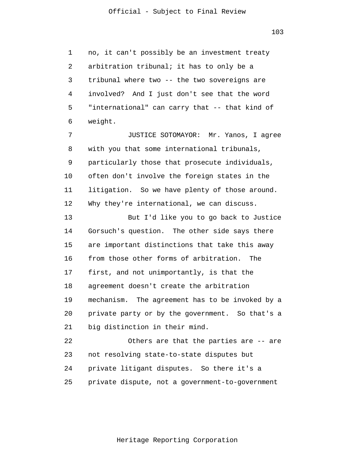1 2 3 4 5 6 no, it can't possibly be an investment treaty arbitration tribunal; it has to only be a tribunal where two -- the two sovereigns are involved? And I just don't see that the word "international" can carry that -- that kind of weight.

7 8 9 10 11 12 JUSTICE SOTOMAYOR: Mr. Yanos, I agree with you that some international tribunals, particularly those that prosecute individuals, often don't involve the foreign states in the litigation. So we have plenty of those around. Why they're international, we can discuss.

13 14 15 16 17 18 19 20 21 But I'd like you to go back to Justice Gorsuch's question. The other side says there are important distinctions that take this away from those other forms of arbitration. The first, and not unimportantly, is that the agreement doesn't create the arbitration mechanism. The agreement has to be invoked by a private party or by the government. So that's a big distinction in their mind.

22 23 24 25 Others are that the parties are -- are not resolving state-to-state disputes but private litigant disputes. So there it's a private dispute, not a government-to-government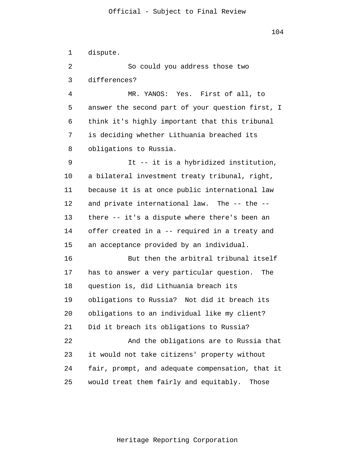1 2 3 4 5 6 7 8 9 10 11 12 13 14 15 16 17 18 19 20 21 22 23 24 25 dispute. So could you address those two differences? MR. YANOS: Yes. First of all, to answer the second part of your question first, I think it's highly important that this tribunal is deciding whether Lithuania breached its obligations to Russia. It -- it is a hybridized institution, a bilateral investment treaty tribunal, right, because it is at once public international law and private international law. The -- the - there -- it's a dispute where there's been an offer created in a -- required in a treaty and an acceptance provided by an individual. But then the arbitral tribunal itself has to answer a very particular question. The question is, did Lithuania breach its obligations to Russia? Not did it breach its obligations to an individual like my client? Did it breach its obligations to Russia? And the obligations are to Russia that it would not take citizens' property without fair, prompt, and adequate compensation, that it would treat them fairly and equitably. Those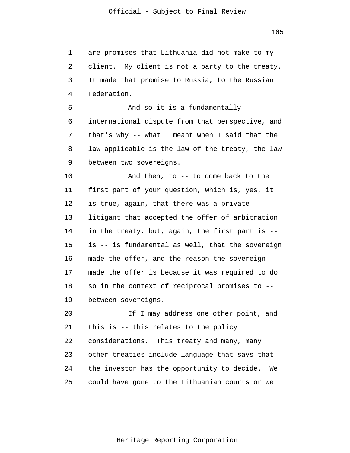1 2 3 4 5 6 7 8 9 10 11 12 13 14 15 16 17 18 19 20 21 22 23 24 25 are promises that Lithuania did not make to my client. My client is not a party to the treaty. It made that promise to Russia, to the Russian Federation. And so it is a fundamentally international dispute from that perspective, and that's why -- what I meant when I said that the law applicable is the law of the treaty, the law between two sovereigns. And then, to -- to come back to the first part of your question, which is, yes, it is true, again, that there was a private litigant that accepted the offer of arbitration in the treaty, but, again, the first part is - is -- is fundamental as well, that the sovereign made the offer, and the reason the sovereign made the offer is because it was required to do so in the context of reciprocal promises to - between sovereigns. If I may address one other point, and this is -- this relates to the policy considerations. This treaty and many, many other treaties include language that says that the investor has the opportunity to decide. We could have gone to the Lithuanian courts or we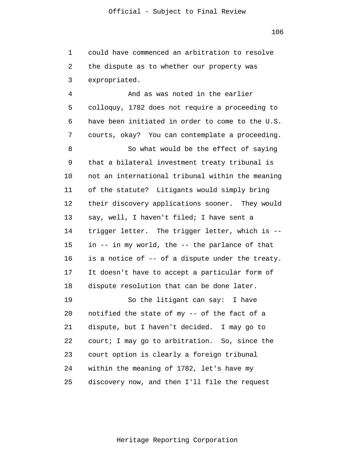1 2 3 could have commenced an arbitration to resolve the dispute as to whether our property was expropriated.

4 5 6 7 8 9 10 11 12 13 14 15 16 17 18 19 20 21 22 23 And as was noted in the earlier colloquy, 1782 does not require a proceeding to have been initiated in order to come to the U.S. courts, okay? You can contemplate a proceeding. So what would be the effect of saying that a bilateral investment treaty tribunal is not an international tribunal within the meaning of the statute? Litigants would simply bring their discovery applications sooner. They would say, well, I haven't filed; I have sent a trigger letter. The trigger letter, which is - in -- in my world, the -- the parlance of that is a notice of -- of a dispute under the treaty. It doesn't have to accept a particular form of dispute resolution that can be done later. So the litigant can say: I have notified the state of my -- of the fact of a dispute, but I haven't decided. I may go to court; I may go to arbitration. So, since the court option is clearly a foreign tribunal

25 within the meaning of 1782, let's have my discovery now, and then I'll file the request

24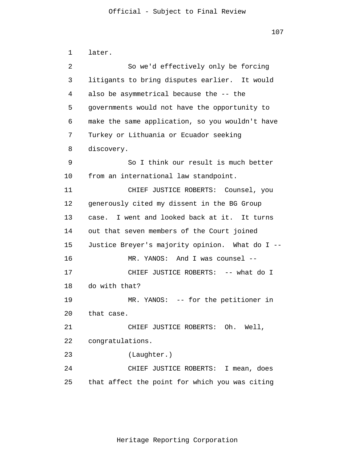```
1 
 2 
 3 
 4 
 5 
 6 
 7 
 8 
 9 
10 
11 
12 
13 
14 
15 
16 
17 
18 
19 
20 
21 
22 
23 
24 
25 
      later.
                 So we'd effectively only be forcing
       litigants to bring disputes earlier. It would 
      also be asymmetrical because the -- the
       governments would not have the opportunity to
       make the same application, so you wouldn't have 
      Turkey or Lithuania or Ecuador seeking
       discovery.
                 So I think our result is much better 
      from an international law standpoint. 
                CHIEF JUSTICE ROBERTS: Counsel, you 
      generously cited my dissent in the BG Group 
      case. I went and looked back at it. It turns 
      out that seven members of the Court joined 
      Justice Breyer's majority opinion. What do I --
                MR. YANOS: And I was counsel --
                CHIEF JUSTICE ROBERTS: -- what do I
      do with that? 
                MR. YANOS: -- for the petitioner in
      that case. 
                CHIEF JUSTICE ROBERTS: Oh. Well, 
      congratulations. 
                (Laughter.) 
                CHIEF JUSTICE ROBERTS: I mean, does 
      that affect the point for which you was citing
```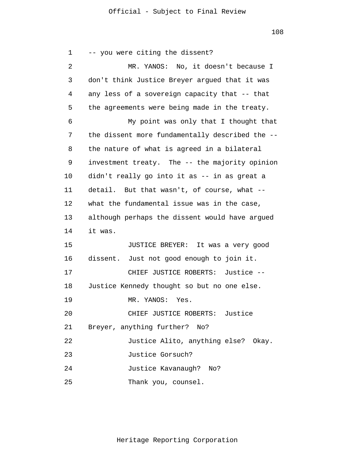108

1 2 3 4 5 6 7 8 9 10 11 12 13 14 15 16 17 18 19 20 21 22 23 24 25 -- you were citing the dissent? MR. YANOS: No, it doesn't because I don't think Justice Breyer argued that it was any less of a sovereign capacity that -- that the agreements were being made in the treaty. My point was only that I thought that the dissent more fundamentally described the - the nature of what is agreed in a bilateral investment treaty. The -- the majority opinion didn't really go into it as -- in as great a detail. But that wasn't, of course, what - what the fundamental issue was in the case, although perhaps the dissent would have argued it was. JUSTICE BREYER: It was a very good dissent. Just not good enough to join it. CHIEF JUSTICE ROBERTS: Justice -- Justice Kennedy thought so but no one else. MR. YANOS: Yes. CHIEF JUSTICE ROBERTS: Justice Breyer, anything further? No? Justice Alito, anything else? Okay. Justice Gorsuch? Justice Kavanaugh? No? Thank you, counsel.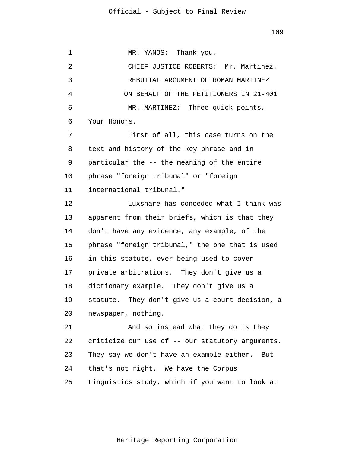1 2 3 4 5 6 7 8 9 10 11 12 13 14 15 16 17 18 19 20 21 22 23 24 25 MR. YANOS: Thank you. CHIEF JUSTICE ROBERTS: Mr. Martinez. REBUTTAL ARGUMENT OF ROMAN MARTINEZ ON BEHALF OF THE PETITIONERS IN 21-401 MR. MARTINEZ: Three quick points, Your Honors. First of all, this case turns on the text and history of the key phrase and in particular the -- the meaning of the entire phrase "foreign tribunal" or "foreign international tribunal." Luxshare has conceded what I think was apparent from their briefs, which is that they don't have any evidence, any example, of the phrase "foreign tribunal," the one that is used in this statute, ever being used to cover private arbitrations. They don't give us a dictionary example. They don't give us a statute. They don't give us a court decision, a newspaper, nothing. And so instead what they do is they criticize our use of -- our statutory arguments. They say we don't have an example either. But that's not right. We have the Corpus Linguistics study, which if you want to look at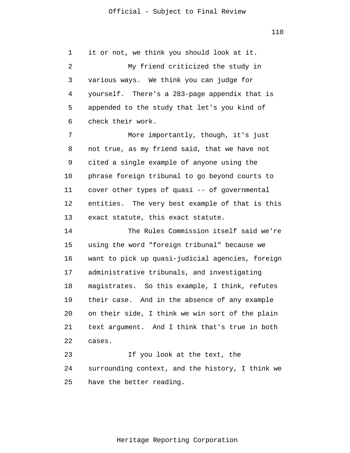1 2 3 4 5 6 7 8 9 10 11 12 13 14 15 16 17 18 19 20 it or not, we think you should look at it. My friend criticized the study in various ways. We think you can judge for yourself. There's a 283-page appendix that is appended to the study that let's you kind of check their work. More importantly, though, it's just not true, as my friend said, that we have not cited a single example of anyone using the phrase foreign tribunal to go beyond courts to cover other types of quasi -- of governmental entities. The very best example of that is this exact statute, this exact statute. The Rules Commission itself said we're using the word "foreign tribunal" because we want to pick up quasi-judicial agencies, foreign administrative tribunals, and investigating magistrates. So this example, I think, refutes their case. And in the absence of any example on their side, I think we win sort of the plain

21 22 text argument. And I think that's true in both cases.

23 24 25 If you look at the text, the surrounding context, and the history, I think we have the better reading.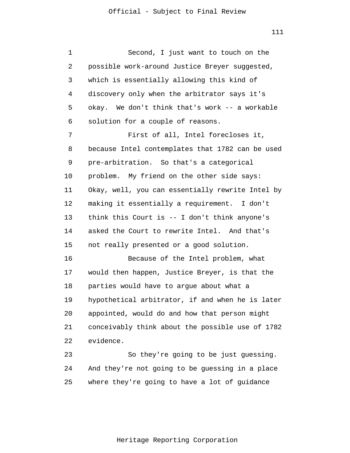1 2 3 4 5 6 7 8 9 10 11 12 13 14 15 16 17 18 19 20 21 22 23 24 25 Second, I just want to touch on the possible work-around Justice Breyer suggested, which is essentially allowing this kind of discovery only when the arbitrator says it's okay. We don't think that's work -- a workable solution for a couple of reasons. First of all, Intel forecloses it, because Intel contemplates that 1782 can be used pre-arbitration. So that's a categorical problem. My friend on the other side says: Okay, well, you can essentially rewrite Intel by making it essentially a requirement. I don't think this Court is -- I don't think anyone's asked the Court to rewrite Intel. And that's not really presented or a good solution. Because of the Intel problem, what would then happen, Justice Breyer, is that the parties would have to argue about what a hypothetical arbitrator, if and when he is later appointed, would do and how that person might conceivably think about the possible use of 1782 evidence. So they're going to be just guessing. And they're not going to be guessing in a place where they're going to have a lot of guidance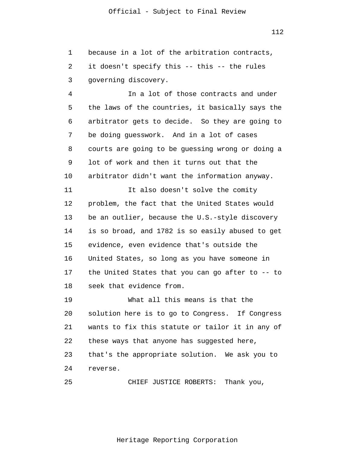1 2 3 because in a lot of the arbitration contracts, it doesn't specify this -- this -- the rules governing discovery.

4 5 6 7 8 9 10 11 12 13 14 15 16 17 18 In a lot of those contracts and under the laws of the countries, it basically says the arbitrator gets to decide. So they are going to be doing guesswork. And in a lot of cases courts are going to be guessing wrong or doing a lot of work and then it turns out that the arbitrator didn't want the information anyway. It also doesn't solve the comity problem, the fact that the United States would be an outlier, because the U.S.-style discovery is so broad, and 1782 is so easily abused to get evidence, even evidence that's outside the United States, so long as you have someone in the United States that you can go after to -- to seek that evidence from.

19 20 21 22 23 24 What all this means is that the solution here is to go to Congress. If Congress wants to fix this statute or tailor it in any of these ways that anyone has suggested here, that's the appropriate solution. We ask you to reverse.

25 CHIEF JUSTICE ROBERTS: Thank you,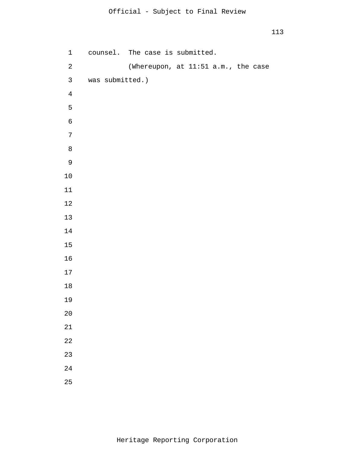| $\mathbf 1$  |                 | counsel. The case is submitted.     |  |  |  |
|--------------|-----------------|-------------------------------------|--|--|--|
| $\sqrt{2}$   |                 | (Whereupon, at 11:51 a.m., the case |  |  |  |
| $\mathsf{3}$ | was submitted.) |                                     |  |  |  |
| $\bf 4$      |                 |                                     |  |  |  |
| 5            |                 |                                     |  |  |  |
| $\epsilon$   |                 |                                     |  |  |  |
| $\sqrt{ }$   |                 |                                     |  |  |  |
| $\,8\,$      |                 |                                     |  |  |  |
| $\mathsf 9$  |                 |                                     |  |  |  |
| $10\,$       |                 |                                     |  |  |  |
| 11           |                 |                                     |  |  |  |
| $12\,$       |                 |                                     |  |  |  |
| $13$         |                 |                                     |  |  |  |
| 14           |                 |                                     |  |  |  |
| 15           |                 |                                     |  |  |  |
| 16           |                 |                                     |  |  |  |
| $17$         |                 |                                     |  |  |  |
| $18\,$       |                 |                                     |  |  |  |
| 19           |                 |                                     |  |  |  |
| $20$         |                 |                                     |  |  |  |
| 21           |                 |                                     |  |  |  |
| 22           |                 |                                     |  |  |  |
| 23           |                 |                                     |  |  |  |
| 24           |                 |                                     |  |  |  |
| 25           |                 |                                     |  |  |  |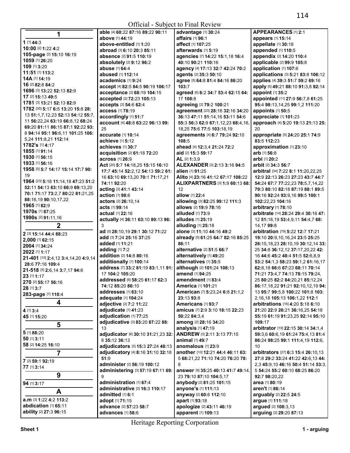| 1                                              | able [4] 60:22 87:16 89:22 90:11       | advantage [1] 30:24                   | APPEARANCES [1] 2:1                                                  |
|------------------------------------------------|----------------------------------------|---------------------------------------|----------------------------------------------------------------------|
|                                                | above [1] 44:19                        | affairs [1] 96:1                      | appears [1] 15:14                                                    |
| 1 [1] 44:3                                     | above-entitled [1] 1:20                | affect [1] 107:25                     | appellate [1] 30:18                                                  |
| 10:00 [2] 1:22 4:2                             | abroad [3] 6:10 20:3 85:11             | afterwards [1] 5:19                   | appended [1] 110:5                                                   |
| 105-page [2] 15:10 16:19                       | <b>absence</b> [2] <b>91:5 110:19</b>  | agencies [7] 14:22 15:1,18 16:4       | appendix [2] 14:20 110:4                                             |
| 1059 [1] 26:20                                 | absolutely [2] 9:12 96:2               | 40:10 90:21 110:16                    | applicable [2] 99:9 105:8                                            |
| 109 [1] 3:20                                   | abuse [1] 64:4                         | agency [4] 17:13 32:7 42:24 70:2      | application [1] 107:6                                                |
| 11:51 [1] 113:2                                | abused [1] 112:14                      | agents [2] 35:3 50:10                 | applications [3] 5:21 83:8 106:12                                    |
| 14A [1] 14:19                                  | academics [1] 9:24                     | agree [5] 64:8 81:4 84:16 86:20       | applies [4] 39:3 51:7 59:2 69:16                                     |
| 16 [2] 82:8 84:2                               | accept [4] 82:5 84:5 90:19 106:17      | 103:7                                 | apply [5] 49:21 88:10 91:3,8 92:14                                   |
| 1696 [3] 13:22 52:13 82:9                      | acceptance [2] 68:19 104:15            | agreed [6] 6:2 34:7 53:4 62:15 64:    | appoint [1] 35:2                                                     |
| 17 [2] 15:13 49:5                              | accepted [2] 72:23 105:13              | 17 108:8                              | appointed [11] 27:9 56:7,8 61:25                                     |
| 1781 [3] 13:21 52:13 82:9                      | accepts [2] 54:6 62:4                  | agreeing [2] 79:2 100:21              | 95:4 98:13,14,25 99:1,2 111:20                                       |
| 1782 [35] 5:17 6:5 13:20 15:8 28:              | access [1] 78:19                       | agreement [23] 28:16 32:16 34:20      | appoints [1] 50:5                                                    |
| 13 51:1,7,12,23 52:13 54:12 55:7,              | accordingly [1] 51:7                   | 36:13 47:11 51:14,16 53:11 54:6       | appreciate [1] 101:23                                                |
| 11 56:22,24 63:19 66:8,12 68:24                | account [4] 48:8 63:22 96:13 99:       | 55:3 56:3 62:9 67:1,12,23 68:4,16,    | approach [4] 5:20 19:13 21:13 25:                                    |
| 69:20 81:11 86:15 87:1 92:22 93:               | 25                                     | 18,25 75:6 77:5 103:18,19             | 20                                                                   |
| 8 94:14 95:1 96:6,11 101:25 106:               | accurate [1] 10:14                     | agreements [4] 6:7 79:24 92:10        | appropriate [5] 24:20 25:1 74:9                                      |
| 5,24 111:8,21 112:14                           | <b>achieve</b> [1] <b>5:12</b>         | 108:5                                 | 83:5 112:23                                                          |
| 1782's [1] 4:17                                | achieves [1] 30:7                      | ahead [4] 12:3,4 21:24 72:2           | approximation [1] 23:10                                              |
| 1855 [1] 91:14                                 | acquisition [2] 61:18 72:20            | aid [2] 15:3 59:17                    | arb [1] 56:8                                                         |
| 1930 [1] 56:15                                 | across [1] 26:9                        | AL [2] 1:3,9                          | arbi [1] 20:2                                                        |
| 1933 [1] 56:16                                 | Act [20] 5:7 14:18,25 15:15 16:10      | <b>ALEXANDER [3] 2:13 3:16 94:5</b>   | <b>arbit</b> [2] <b>34:3 56:7</b>                                    |
| 1958 [5] 5:7 14:17 15:14 17:7 90:              | 17:7 45:14 52:2,12 54:13 59:2 61:      | <b>alien</b> [1] <b>91:25</b>         | arbitral [34] 7:22 8:1 11:20,22,25                                   |
| 19                                             | 16 63:10 69:13,20 70:1 71:17,21        | Alito [4] 23:16 41:12 67:17 108:22    | 12:9 22:13 26:23 27:23 43:7 44:7                                     |
| 1964 [23] 5:18 11:14,18 47:23 51:2             | 74:11 92:20                            | <b>ALIXPARTNERS [3] 1:9 60:13 68:</b> | 54:24 67:7 77:22,23 78:5,7,14,22                                     |
| 52:11 54:13 63:10 66:9 69:13,20                | acting [2] 41:1 43:14                  | 12                                    | 79:3 80:10 82:18 87:19 88:1 89:5                                     |
| 70:1 71:17 73:2,7 80:22 81:21,25               | action [1] 98:6                        | allow [1] 22:4                        | 90:16 92:24 93:9,16 99:5 100:1                                       |
| 88:16,19 90:10,17,22                           | actors [2] 26:10.14                    | allowing [3] 82:25 99:12 111:3        | 102:22,23 104:16                                                     |
| 1965 [1] 82:9                                  | acts [1] 99:14                         | allows [2] 19:9 78:16                 | arbitrary [1] 78:10                                                  |
| <b>1970s</b> [1] 87:25                         | actual [1] 22:16                       | alluded [1] 73:9                      | arbitrate [14] 28:24 29:4 30:16 47:                                  |
| <b>1990s</b> [2] <b>91:11,16</b>               | actually [4] 36:11 63:10 80:13 96:     | alludes [1] 25:19                     | 12 51:18,19 53:4,9,11 54:4,7 68:                                     |
|                                                |                                        |                                       |                                                                      |
| $\mathbf 2$                                    | 3                                      | alluding [1] 25:18                    | 14,17 99:8                                                           |
| 2 [3] 15:14 44:4 88:23                         | ad [5] 28:10,19 29:1 30:12 71:22       | alone [3] 11:10 44:16 49:2            | arbitration [79] 5:22 12:7 17:21                                     |
|                                                | add [3] 7:24 25:16 37:25               | already [5] 61:25 64:7 82:16 85:25    | 19:10 20:9,10,16,24 23:5 25:25                                       |
| 2,000 [1] 62:15<br>2004 [1] 34:24              | added [1] 11:21                        | 86:11                                 | 26:15,18,23 28:10,19 30:12,14 33:                                    |
| 2022 [1] 1:17                                  | adding $[1]$ 7:2                       | alternative [2] 51:5 66:7             | 25 34:8 36:12,12 37:17,20,22 42:                                     |
| 21-401 [10] 2:4,12 3:4,14,20 4:9,14            | addition [2] 14:8 80:16                | alternatively [1] 49:20               | 16 44:6 45:2 48:4 51:5 52:6,8,9                                      |
| 28:6 77:16 109:4                               | additionally [1] 100:14                | alternatives [1] 35:5                 | 53:2 54:1,3 58:23 59:1,2 61:16,17                                    |
| 21-518 [5] 2:6,14 3:7,17 94:6                  | address [7] 33:2 81:19 83:1,11 91:     | although [2] 101:24 108:13            | 62:8,18 66:6 67:23 68:11 70:14                                       |
| 23 [1] 1:17                                    | 17 104:2 105:20                        | amend [1] 94:25                       | 71:21 73:4,7 74:13 78:15 79:24,                                      |
| 270 [2] 55:17 56:16                            | addressed [6] 58:25 61:17 62:3         | amendment [1] 83:4                    | 25 80:25 82:2 84:20.21 85:12.24                                      |
| 28 [1] 3:7                                     | <b>74:12 85:20 86:10</b>               | <b>America</b> [1] <b>101:21</b>      | 86:17,18,22 91:21 92:10,12,19 94:                                    |
| 283-page [1] 110:4                             | addresses [1] 63:10                    | American [7] 5:23,24 6:8 21:1,2       | 13 95:7 99:5,8 100:22 101:8 103:                                     |
|                                                | adequate [1] 104:24                    | 23:13 93:8                            | 2,16,18 105:13 106:1,22 112:1                                        |
| 4                                              | adjective [2] 7:2 11:22                | Americans [1] 93:7                    | arbitrations [16] 4:20 5:18 6:10                                     |
| 4 [1] 3:4                                      | adjudicate [1] 41:23                   | amicus [7] 2:9 3:10 18:15 22:23       | 21:20 22:9 26:21 36:16,25 54:18                                      |
| 45 [1] 15:20                                   | adjudication [1] 77:25                 | 50:22 84:3.4                          | 55:19 61:19 91:23,25 92:14 95:10                                     |
| 5                                              | adjudicative [3] 83:20 87:22 88:       | among [2] 28:16 34:20                 | 109:17                                                               |
| 5 [1] 88:20                                    | 13                                     | analysis [1] 47:19                    | arbitrator [19] 22:15 30:14 34:1,4                                   |
| 50 [1] 3:11                                    | adjudicator [6] 30:10 31:21,23 32:     | ANDREW [3] 2:11 3:13 77:15            | 59:3,6 60:6,19 61:24 75:4,13 81:4                                    |
| 58 [2] 14:25 16:10                             | 8 35:12 36:13                          | animal [1] 49:7                       | 86:24 98:25 99:1 111:4,19 112:6,                                     |
|                                                | adjudicators [3] 15:3 27:24 48:13      | anomalous [1] 23:9                    | 10                                                                   |
| $\overline{7}$                                 | adjudicatory [4] 8:16 31:10 32:18      | another [10] 12:21 44:4 46:11 63:     | arbitrators [27] 6:3 15:4 26:10.13                                   |
| 7 [2] 59:1 92:19                               | 51:9                                   | 5 68:21,22 71:10 74:20 76:20 78:<br>8 | 27:8 29:2 33:24 41:22 42:6,13 44:                                    |
| 77 [1] 3:14                                    | administer [2] 56:19 100:12            | answer [9] 35:25 40:13 41:7 49:14,    | 2,3 45:9,10 46:16 50:4 51:14 53:3,<br>5 54:24 55:2 60:10 68:25 86:20 |
| 9                                              | administering [3] 57:19 67:11 69:<br>9 | 23 79:10 87:10 104:5,17               | 92:7 98:20,22                                                        |
|                                                | administration [1] 67:4                | anybody [2] 81:25 101:15              | <b>area</b> [1] 80:19                                                |
| 94 [1] 3:17                                    | administrative [2] 16:3 110:17         | anyone's [1] 111:13                   | aren't [1] 86:14                                                     |
| A                                              | admitted [1] 6:1                       | anyway [2] 60:6 112:10                | arguably [2] 22:5 24:5                                               |
| a.m [3] 1:22 4:2 113:2                         | adopt [1] 71:15                        | apart [1] 93:18                       | argue [1] 111:18                                                     |
| abdication [1] 65:11<br>ability [2] 27:3 96:15 | advance [2] 57:23 58:7                 | apologize [2] 43:11 46:19             | argued [2] 108:3,13                                                  |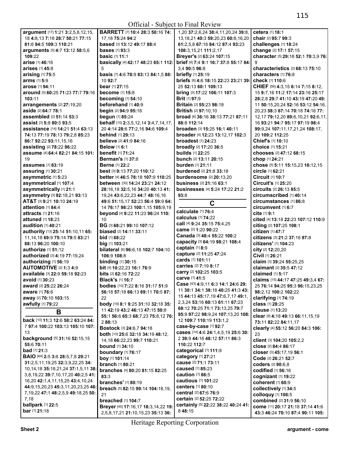|                                            |                                        | UIIIUM - SUDJECI IO FIIM REVIEW                |                                     |
|--------------------------------------------|----------------------------------------|------------------------------------------------|-------------------------------------|
| argument [17] 1:21 3:2,5,8,12,15,          | <b>BARRETT</b> [7] 10:4 28:3 50:16 74: | 1,20 37:2,6,24 38:4,11,20,24 39:8,             | cetera [1] 18:1                     |
| 18 4:8.13 7:18 28:7 50:21 77:15            | 17, 18 75: 24 94: 2                    | 13, 18, 21 40: 3 59: 20, 23 60: 8, 16, 20      | chair [2] 95:7 99:3                 |
| 81:6 94:5 109:3 110:21                     | based [3] 13:12 49:17 88:4             | 61:2,5,8 67:16 84:12 87:4 93:23                | challenges [1] 18:24                |
| arguments [5] 4:7 13:12 58:5,6             | <b>bases</b> $[1]$ 93:3                | 108:3,15,21 111:2,17                           | change [2] 17:1 57:15               |
| 109:22                                     | <b>basic</b> [1] 11:1                  | Breyer's [2] 63:24 107:15                      | character [5] 29:18 52:1 70:3,9 76: |
| <b>arise</b> [1] <b>46:1</b> 6             | basically [4] 42:17 48:23 65:1 112:    | brief [9] 7:4 9:1 16:7 37:8 55:17 84:          | 9                                   |
| arises [1] 45:8                            | 5                                      | 3.4 90:5 96:8                                  | characteristics [2] 68:13 75:10     |
| arising [1] 75:5                           | basis [7] 4:6 78:9 83:13 84:1,5 88:    | <b>briefly</b> [1] 25:19                       | characters [1] 76:8                 |
| arms [1] 5:9                               | 10 92:7                                | <b>briefs</b> [8] 4:6 18:15 22:23 23:21 39:    | check [1] 110:6                     |
| <b>arose</b> [1] <b>94:11</b>              | <b>bear</b> [1] 27:15                  | 25 52:13 60:1 109:13                           | CHIEF [56] 4:3,15 6:14 7:15 8:12,   |
| around [5] 60:25 71:23 77:7 79:16          | <b>become</b> [1] 15:8                 | bring [3] 17:22 106:11 107:3                   | 15 9:7.16 11:2 17:14 23:16 25:17    |
| 103:11                                     | <b>becoming</b> [1] 54:10              | Brit [1] 97:9                                  | 28:2.8 29:7 41:10 43:19 47:20 49:   |
| arrangements [2] 27:19,20                  | beforehand [1] 40:9                    | <b>Britain [2] 55:23 98:18</b>                 | 11 50:15,20,24 52:16 53:12 54:16,   |
| aside [2] 64:7 78:1                        | begin [2] 94:9 95:18                   | <b>British [2] 97:10.10</b>                    | 20,23 58:3 67:14 70:18 74:16 77:    |
| assembled [2] 51:14 53:3                   | begun [1] 85:24                        | broad [6] 36:16 38:13 77:21 87:11              | 12,17 79:12,20 89:6,10,21 92:6,11,  |
| assist ⊠ 5:8 80:5 93:5                     |                                        | 88:8 112:14                                    |                                     |
|                                            | behalf [15] 2:3,5,12,14 3:4,7,14,17,   |                                                | 16 93:21 94:7 95:17 97:19 98:4      |
| assistance [14] 14:21 51:4 63:13           | 20 4:14 28:6 77:2,16 94:6 109:4        | broaden [3] 15:25 16:1 40:11                   | 99:9,24 107:11,17,21,24 108:17,     |
| 74:13 77:19 78:13 79:2,8 85:23             | <b>behind</b> [1] 29:13                | broader [4] 12:23 13:12,17 102:3               | 20 109:2 112:25                     |
| 86:7 92:22 93:11,15,16                     | believe [2] 41:9 84:16                 | <b>broadest</b> $[1]$ 24:23                    | <b>Chief's</b> [1] 10:10            |
| assisting [2] 78:22 96:22                  | <b>Below</b> [1] 6:1                   | broadly [2] 17:20 36:5                         | <b>choice</b> [1] <b>15:21</b>      |
| assume [4] 64:4 82:21 84:15 101:           | <b>benefit</b> [1] 71:24               | <b>builds</b> [1] 22:25                        | chooses [2] 47:12 68:15             |
| 19                                         | <b>Berman's [1] 37:8</b>               | bunch [2] 13:11 20:15                          | chop [1] 24:21                      |
| <b>assumes</b> [1] <b>63:1</b> 9           | <b>Berne</b> [1] 22:2                  | burden [1] 21:11                               | chose [5] 5:11 15:15,23 16:12,15    |
| assuring [1] 30:21                         | best [3] 9:13 77:20 110:12             | <b>burdened</b> [2] 21:8 33:18                 | circle [1] 62:21                    |
| asymmetric [1] 5:23                        | better [4] 46:5 78:18 107:9 110:25     | burdensome [2] 20:13,20                        | Circuit [1] 10:7                    |
| asymmetrical [1] 107:4                     | between [30] 14:24 23:21 24:12         | business [2] 21:16 63:1                        | Circuit's [1] 25:20                 |
| asymmetrically [1] 21:1                    | 28:16,18 32:5,16 34:20 40:13 41:       | <b>businesses</b> [4] <b>5:24 17:22 21:2</b>   | circuits [2] 26:13 85:5             |
| asymmetry [3] 92:18,21 93:13               | 19,24 43:6,22,23 44:7 48:16,16         | 93:8                                           | circumscribed [1] 40:14             |
| AT&T [3] 9:21 10:10 24:19                  | 49:6 51:15.17 52:23 56:4 59:9 64:      | C                                              | circumstances [1] 86:8              |
| attention [1] 84:4                         | 14 76:17 98:23 100:1,15 105:9,19       |                                                | circumvent [1] 6:7                  |
| <b>attracts</b> [1] 21:16                  | beyond [4] 9:22 11:23 96:24 110:       | calculate [1] 76:4                             | cite [1] 9:1                        |
| <b>attuned</b> [1] 18:23                   | 10                                     | calculus [1] 74:22                             | cited [4] 13:18 22:23 107:12 110:9  |
| audition [1] 40:21                         | BG [3] 68:21 99:10 107:12              | call [4] 9:24 35:15 75:4,25                    | citing [2] 107:25 108:1             |
| authority [13] 25:14 51:10,11 65:          | biased [2] 14:11 33:11                 | came [2] 1:20 90:22                            | citizen [1] 47:7                    |
| 11, 14, 18 69: 9 75: 14 79: 5 83: 21       | <b>bid</b> $[1]$ 68:22                 | Canada [3] 48:4 55:22 100:2                    | citizens [3] 21:2 37:16 97:8        |
| 88:13 96:20 100:10                         | big [1] 103:21                         | capacity [3] 64:19 98:21 108:4                 | citizens' [1] 104:23                |
| <b>authorize</b> [1] <b>51:</b> 12         | bilateral [6] 96:6,18 102:7 104:10     | captain [1] 8:9                                | city [2] 12:20,20                   |
| authorized [3] 4:19 77:19,24               | 106:9 108:8                            | capture [2] 11:25 47:24                        | Civil [1] 26:21                     |
|                                            |                                        | cards [1] 101:11                               |                                     |
| authorizing [1] 56:19                      | <b>binding</b> [1] 30:15               | <b>carries</b> [2] <b>7:</b> 19 <b>8:</b> 17   | claim [3] 39:24 55:25,25            |
| <b>AUTOMOTIVE [2] 1:3 4:9</b>              | bit [4] 10:22,23 16:1 76:9             | carry [2] 102:25 103:5                         | claimant [2] 35:5 47:12             |
| available [3] 22:9 59:18 92:23             | <b>bits</b> [2] <b>62:16 72:22</b>     | carve [1] 41:5                                 | <b>claimed</b> [1] 5:17             |
| avoid [1] 30:23                            | <b>Black's [1] 16:7</b>                | Case [43] 4:9,11 6:3 14:1 24:6 29:             | claims [15] 44:17 47:25 49:3,4 67:  |
| award [2] 25:22 26:24                      | bodies [10] 7:22 8:16 31:17 51:9       | 11 30:1 34:1 38:18 40:25 41:3 43:              | 25 76:14 94:25 95:3 96:15,23,25     |
| aware [1] 76:6                             | 56:18 57:18 66:13 69:11 70:5 87:       |                                                | 98:2,12 100:2 102:22                |
| away [2] 70:10 103:15                      | 22                                     | 15 44:13 45:17,19 47:6,7,17 49:1,              | clarifying [1] 74:19                |
| awfully [1] 79:22                          | body [19] 8:1 9:25 31:10 32:18 35:     | 2,3,24 53:16 60:13 61:11 67:23                 | class [1] 28:25                     |
| В                                          | 11 42:19 43:2 46:13 47:15 50:8         | 68:12 70:25 71:1 73:13,25 79:7                 | clause [1] 13:20                    |
|                                            | 55:1 56:6 65:3 68:7,23 75:8,12 76:     | 95:9 97:22 98:9,24 107:13,20 108:              | clear [9] 4:18 49:13 66:11,15,19    |
| back [10] 11:3 12:6 58:2 63:24 84:         | 2 88:13                                | 12 109:7 110:19 113:1,2                        | 73:11 82:22 84:11,17                |
| 7 97:4 100:22 103:13 105:10 107:           | Bostock [3] 24:6,7 94:18               | case-by-case [1] 92:7                          | clearly [4] 55:12 56:20 84:3 106:   |
| 13                                         | both [10] 25:6 32:18 34:19 48:12.      | cases [14] 4:6 24:1,4,5,19 25:6 30:            | 23                                  |
| background [5] 31:16 52:15,15              | 14,18 66:22,23 99:7 110:21             | 2 39:9 44:16 48:12 57:11 86:3                  | client [3] 104:20 105:2,2           |
| 55:6 70:11                                 | <b>bound</b> [1] 34:10                 | 110:22 112:7                                   | close [2] 84:4 86:17                |
| <b>bad</b> [1] 21:3                        | boundary [1] 76:17                     | categorical [1] 111:9                          | closer [3] 45:17,19 56:1            |
| <b>BAIO</b> [64] 2:5 3:6 28:5,7,8 29:21    | boy [1] 101:14                         | <b>category</b> [1] 27:21                      | Code [2] 26:21 52:7                 |
| 31:2,5,11,19,25 32:3,9,22,25 34:           | <b>branch</b> [1] 80:21                | cause [2] 71:1 73:11                           | <b>coders</b> [2] 90:6,8            |
| 10, 14, 18 35: 18, 21, 24 37: 1, 5, 11 38: | branches [4] 80:20 81:15 82:25         | <b>caused</b> [1] 85:23                        | codified [1] 56:16                  |
| 3,8,19,22 39:7,10,17,20 40:2,5 41:         | 83:3                                   | caution $[1]$ 86:5                             | cognizant $[1]$ 19:22               |
| 16,20 42:1,4,11,15,25 43:4,10,24           | <b>branches'</b> [1] 80:19             | <b>cautious</b> [1] 101:22                     | coherent [1] 60:9                   |
| 44:9,15,20,23 45:3,11,20,23,25 46:         | breach [5] 82:15 99:14 104:18,19,      | <b>centers</b> [1] 80:10                       | collectively [1] 34:5               |
| 7, 19, 22 47:1 48: 2, 5, 9 49: 18, 25 50:  | 21                                     | central [2] 67:6 76:9                          | colloquy [1] 106:5                  |
| 7,18                                       | breached [1] 104:7                     | <b>certain</b> [2] <b>52:</b> 25 <b>72:</b> 22 | combined [2] 31:9 56:10             |
| ballpark [1] 22:5                          |                                        | certainly [5] 22:22 38:22 40:24 41:            |                                     |
| bar [1] 21:18                              | Breyer [45] 17:16,17 18:3,14,22 19:    | 8 48:15                                        | come [11] 20:17 21:18 37:14 41:6    |
|                                            | 2,5,8,17,21 21:10,15,23 35:13 36:      |                                                | 43:3 46:24 70:10 87:4 90:11 105:    |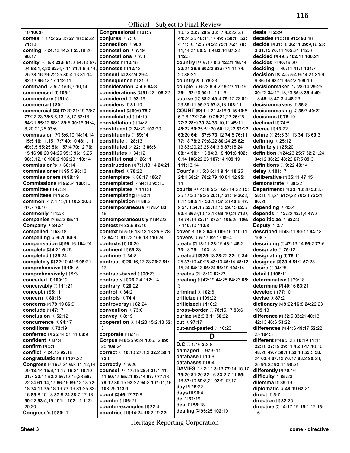| 10 106:6                                               | Congressional [1] 21:5                                        | 10,12 23:7 29:9 33:17 43:22,23                              | <b>deals</b> [1] <b>55:</b> 9                            |
|--------------------------------------------------------|---------------------------------------------------------------|-------------------------------------------------------------|----------------------------------------------------------|
| comes [5] 17:2 26:25 27:18 56:22                       | conjures [1] 7:10                                             | 44:24,25 48:14,17 49:6 50:11 52:                            | decades [3] 5:18 91:2 93:18                              |
| 71:13                                                  | connection [1] 96:6                                           | 4 71:16 72:6 74:22 75:1 76:4 78:                            | decide [9] 31:18 36:11 39:9,16 55:                       |
| coming [5] 24:13 44:24 53:18,20                        | connotation [1] 7:19                                          | 11, 14, 21 80: 5, 8, 9 83: 14 87: 22                        | 3 61:15 76:11 105:24 112:6                               |
| 96:17                                                  | connotations [1] 7:3                                          | 112:5                                                       | decided [3] 49:5 102:11 106:21                           |
| comity [26] 5:8 23:5 51:2 54:13 57:                    | <b>connote</b> [1] 12:15                                      | country [11] 6:17 8:3 12:21 16:14                           | decides [2] 40:19,20                                     |
| 24 58:1,8,20 62:6,7,11 71:1,6,9,14                     | <b>connotes</b> [1] <b>12:13</b>                              | 22:21 26:9 60:23 63:5 71:11 74:                             | deciding [3] 40:11 41:1 104:7                            |
| 25 78:16 79:22,25 80:4,13 81:14                        | <b>consent</b> [2] 28:24 29:4                                 | 20 88:21                                                    | decision [10] 4:5 5:4 9:14,21 31:9,                      |
| 82:13 96:12,17 112:11                                  | consequence [1] 21:3                                          | country's [1] 78:23                                         | 9 36:14 68:21 95:22 109:19                               |
| command [5] 5:7 15:6,7,10,14                           | consideration [2] 4:5 64:3<br>considerations [2] 91:22 105:22 | couple [9] 6:23 8:4,22 9:23 11:19<br>26:1 52:20 90:11 111:6 | decisionmaker [13] 28:14 29:25                           |
| commenced [1] 106:1<br>commentary [1] 91:5             | considered [1] 93:19                                          | course [10] 38:2 49:4 79:17,23 81:                          | 30:22 34:17,18,23 35:8 36:4 40:<br>18 45:13 47:3,4 48:23 |
| commerce [1] 80:1                                      | <b>considers</b> [1] 31:10                                    | 23 89:11 95:23 97:3,13 108:11                               | decisionmakers [1] 36:8                                  |
| commercial [22] 17:20 21:19 73:7                       | <b>consistent</b> [2] 60:9 78:2                               | COURT [59] 1:1,21 4:16 9:15 10:5,                           | decisionmaking [2] 35:7 40:22                            |
| 77:22,23 78:5,6,13,15,17 82:18                         | consolidated [1] 4:10                                         | 5,7,8 17:2 24:19 25:21,23 26:25                             | decisions $[1]$ 78:19                                    |
| 84:21 85:12 88:1 89:5 90:16 91:4,                      | constellation [1] 14:2                                        | 27:2 28:9 30:24 33:10,11 45:11                              | declined [1] 74:5                                        |
| 8,20,21,25 93:6                                        | constituent [2] 24:22 102:20                                  | 48:22 50:25 51:20 60:12,22 62:22                            | decree [1] 13:22                                         |
| commission [30] 5:6,10 14:14,14                        | constituents [1] 89:14                                        | 63:20 64:1 67:5 73:12 74:5 76:11                            | define [4] 25:5 31:13 34:13 69:3                         |
| 15:5 16:11,15 17:7 40:10 48:1,11                       | <b>constitute</b> [1] 28:13                                   | 77:18 78:2 79:8,22 80:24,25 82:                             | defining [1] 25:12                                       |
| 49:3,5 55:25 56:1 57:4 70:12 76:                       | <b>constituted</b> [2] 22:13 86:6                             | 13 83:20,23,25 84:3,8 87:18,24                              | definitely [1] 25:20                                     |
| 15,16 90:20 94:25 95:3 96:15,25                        | constitutes [1] 34:12                                         | 88:14 90:1.13 94:8.18 101:6 102:                            | definition [9] 24:23 25:7 32:21,24                       |
| 98:3,12,16 100:2 102:23 110:14                         | constitutional [1] 26:11                                      | 6,14 106:22,23 107:14 109:19                                | 34:12 36:22 48:22 67:5 89:3                              |
| commission's [1] 66:14                                 | construction [4] 7:1,13,14 24:21                              | 111:13.14                                                   | <b>definitions</b> [2] 9:22 40:14                        |
| <b>commissioner</b> [2] 95:5 98:13                     | <b>consulted</b> [1] 70:22                                    | Court's [10] 5:3 6:11 9:14 18:25                            | delay [1] 101:17                                         |
| <b>commissioners</b> [1] 98:19                         | contemplate [2] 86:17 106:7                                   | 24:4 68:21 78:2 79:10 81:12 95:                             | deliberative [2] 35:11 47:15                             |
| <b>Commissions</b> [2] 96:24 100:10                    | contemplated [2] 94:13 95:10                                  | 14                                                          | demonstrate [1] 89:22                                    |
| <b>committee</b> [1] 47:24                             | contemplates [1] 111:8                                        | courts [41] 4:18 5:21 6:6 14:22 15:                         | Department [11] 2:8 13:20 53:23                          |
| committees [1] 16:22                                   | contemplating [1] 82:1                                        | 25 17:23 19:25 20:1,7 21:19 26:2,                           | 58:10,13,21 61:9,22 70:23 72:24                          |
| common [7] 7:1,13,13 10:2 30:6                         | contemplation [1] 86:2                                        | 8,11 30:9,17 33:18 37:23 40:8 47:                           | 80:20                                                    |
| 47:7 76:10                                             | contemporaneous [2] 78:4 83:                                  | 9 51:8 54:15 55:12,13 59:15 62:5                            | depending [1] 45:4                                       |
| commonly [1] 12:8                                      | 16                                                            | 63:4 66:9, 10, 12, 18 69: 10, 24 71:9,                      | depends [4] 12:22 42:1,4 47:2                            |
| companies [2] 5:23 85:11                               | contemporaneously [1] 94:23                                   | 18 74:14 82:11 87:21 105:25 106:                            | depoliticize [1] 62:20                                   |
| Company [1] 84:21<br>compelled [1] 58:18               | contest [2] 82:5 83:10<br>context [9] 5:15 13:13,18 25:6 78:  | 7 110:10 112:8<br>cover [4] 16:2 64:9 109:16 110:11         | Deputy [1] 2:7<br>described [4] 43:11 80:17 94:18        |
| compelling [2] 6:20 64:6                               | 12 84:10 91:22 105:18 110:24                                  | COVers [3] 5:17 82:17 89:4                                  | 108:7                                                    |
| compensation [2] 99:16 104:24                          | contexts [1] 10:20                                            | create [7] 18:11 28:19 43:1 45:2                            | describing [4] 47:13,14 56:2 77:6                        |
| complete [2] 4:21 6:25                                 | continent [1] 65:23                                           | 73:18 75:1 103:18                                           | designate [1] 75:12                                      |
| completed [1] 35:24                                    | <b>continue</b> [1] 34:8                                      | created [15] 25:13 28:22 32:19 34:                          | designating [1] 75:11                                    |
| completely [3] 22:10 41:6 98:21                        | contract [5] 20:16,17,23 26:7 51:                             | 25 37:19 40:25 43:13 45:14 48:12,                           | designed [3] 30:4 51:2 57:23                             |
| comprehensive [1] 10:15                                | 17                                                            | 15.24 64:13 66:24 96:19 104:14                              | desire [1] 94:25                                         |
| comprehensively [1] 9:3                                | contract-based [1] 20:23                                      | creates [2] 18:12 62:23                                     | detail [1] 108:11                                        |
| conceded [1] 109:12                                    | contracts [4] 26:2,4 112:1,4                                  | creating [4] 42:19 44:25 64:23 65:                          | determinative [1] 79:18                                  |
| conceivably [1] 111:21                                 | contrary [1] 20:22                                            |                                                             | determine [2] 40:16 83:21                                |
| concept [1] 95:11                                      | control [1] 34:2                                              | criminal [1] 102:6                                          | develop [1] 77:10                                        |
| concern [1] 80:16                                      | <b>controls</b> [1] 74:4                                      | <b>criticize</b> [1] 109:22                                 | devise [1] 87:2                                          |
| <b>concerns</b> [2] 79:19 86:9                         | controversy [1] 62:24                                         | criticized [1] 110:2                                        | dictionary [5] 9:22 16:8 24:22,23                        |
| conclude [1] 47:17                                     | convention [1] 73:6                                           | cross-border [3] 78:15,17 93:6                              | 109:18                                                   |
| conclusion [1] 52:12                                   | convey [1] 8:19                                               | curiae [3] 2:9 3:11 50:22                                   | difference [6] 32:5 33:21 40:13                          |
| concurrence [1] 94:17                                  | cooperation [4] 14:23 15:2,18 52:                             | cut [1] 97:17                                               | 42:13 46:6 53:22                                         |
| conditions [1] 72:19<br>conferred [3] 25:14 51:11 68:9 | 3                                                             | cut-and-pasted [1] 16:23                                    | differences [5] 44:6 49:17 52:22,                        |
| confident [1] 87:4                                     | corporate [1] 6:18<br>Corpus [6] 8:25 9:24 10:6,12 89:        | D                                                           | 25 104:3<br>different [25] 9:3,23 10:19 11:11            |
| confirm [1] 5:1                                        | 25 109:24                                                     | D.C [3] 1:16 2:3,8                                          | 22:10 27:19 29:11 46:3 47:10,10                          |
| conflict [2] 24:12 92:18                               | COrrect [6] 10:10 27:1.3 32:2 50:1                            | damaged [2] 97:9,11                                         | 48:20 49:7 50:13 52:18 55:5 58:                          |
| congratulations [1] 107:22                             | 72:8                                                          | database [1] 10:6                                           | 24 63:4 67:13 76:17 88:2 90:23.                          |
| Congress [47] 5:7,24 6:8 11:12,14,                     | correctly [1] 9:20                                            | databases [1] 9:4                                           | 25 91:22 93:14 98:21                                     |
| 20 13:14 15:6,11,17 16:21 18:10                        | counsel [17] 17:15 28:4 31:1 41:                              | DAVIES [18] 2:11 3:13 77:14,15,17                           | differently [1] 70:16                                    |
| 21:7 23:11 52:2 56:12,15,23 58:                        | 11 50:17 55:21 63:14 67:9 77:13                               | 79:20 81:20 82:16 83:2,7,11 85:                             | difficulty [1] 85:23                                     |
| 22,24 61:14,17 66:16 69:12,18 72:                      | 79:12 80:15 93:22 94:3 107:11,16                              | 18 87:10 89:8,21 92:9,12,17                                 | dilemma [1] 39:19                                        |
| 18 74:11 75:18,19 77:19 81:25 82:                      | 108:25 113:1                                                  | day [1] 25:22                                               | diplomatic [2] 48:19 62:21                               |
| 16 85:8,10,13 87:9,24 88:7,17,18                       | <b>count</b> [2] 46:17 77:8                                   | days [1] 90:4                                               | direct [1] 5:7                                           |
| 90:22 93:5,19 101:1 102:11 112:                        | <b>counter</b> [1] 86:21                                      | de [1] 62:19<br>deal [1] 55:18                              | direction [1] 82:25                                      |
| 20,20                                                  | counter-examples [1] 22:4                                     |                                                             | directive [5] 14:17,19 15:1,17 16:                       |
| <b>Congress's [1] 80:17</b>                            | countries [31] 14:24 15:2,19 22:                              | dealing [2] 95:25 102:10                                    | 16                                                       |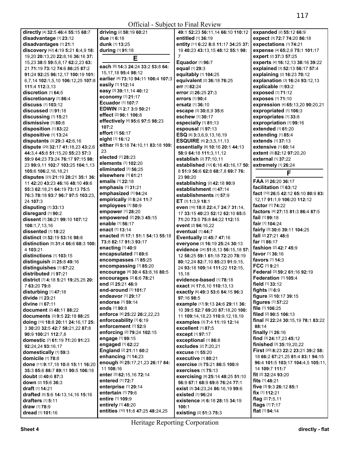|                                           |                                          | ULIICIAI - SUDJECI IO FIIIAI NEVIEW  |                                                   |
|-------------------------------------------|------------------------------------------|--------------------------------------|---------------------------------------------------|
| directly [4] 32:5 46:4 55:15 68:7         | driving [2] 58:19 60:21                  | 49:1 52:23 56:11,14 66:10 110:12     | expanded [2] 55:12 66:9                           |
| disadvantage [1] 23:12                    | due [1] 6:18                             | entitled [1] 36:19                   | expect [3] 72:7 74:20 86:18                       |
| disadvantages [1] 21:1                    | dunk [1] 13:25                           |                                      |                                                   |
|                                           |                                          | entity [11] 6:22 8:8 11:17 34:25 37: | expectations [1] 74:21                            |
| discovery [42] 4:19 5:21 6:4,9 18:        | during [1] 91:18                         | 19 40:23 43:13,15 48:12 55:1 98:     | expense [4] 65:2,6 75:1 101:17                    |
| 19,20 20:13,20 22:8,16 36:16 37:          | E                                        | 7                                    | expert [2] 37:3 57:25                             |
| 15,23 38:5 59:5,8,17 62:2,23 63:          |                                          | Equador [1] 96:7                     | experts [4] 16:12,13 38:16 39:22                  |
| 21 71:19 73:12 74:6 86:25 87:2            | each [9] 14:3 24:24 33:2 53:8 64:        | equal [1] 29:3                       | explained [3] 52:13 56:17 57:4                    |
| 91:24 92:25 96:12,17 100:19 101:          | 15, 17, 18 95: 4 98: 12                  | equitably [1] 104:25                 | explaining [2] 16:23 70:12                        |
|                                           | earlier [4] 73:10 94:11 106:4 107:3      |                                      |                                                   |
| 6,7,14 102:1,5,10 106:12,25 107:8         | easily [1] 112:14                        | equivalent [2] 36:18 76:25           | explanation [3] 16:24 93:12,13                    |
| 111:4 112:3,13                            |                                          | err [1] 82:24                        | explicable [1] 93:2                               |
| discretion [1] 64:5                       | easy [3] 39:11,14 40:12                  | error [2] 26:25 27:3                 | exposed [1] 71:12                                 |
| discretionary [1] 86:4                    | economy [1] 21:17                        | errors [1] 90:4                      | exposes [1] 71:10                                 |
| discuss [1] 103:12                        | Ecuador [1] 107:7                        | <b>ersatz</b> [1] 36:10              | expression [4] 65:13,20 90:20,21                  |
| discussed [1] 91:18                       | EDWIN [3] 2:7 3:9 50:21                  |                                      |                                                   |
|                                           | effect [2] 96:1 106:8                    | escape [3] 30:8,9 35:6               | expropriated [1] 106:3                            |
| discussing [1] 15:21                      |                                          | eschew [1] 30:17                     | expropriates [1] 33:8                             |
| dismissive [1] 80:8                       | effectively [4] 95:6 97:5 98:23          | especially [1] 81:13                 | expropriation [1] 99:16                           |
| disposition [1] 83:22                     | 107:2                                    | espousal [1] 97:13                   | extended [1] 61:20                                |
| dispositive [1] 13:24                     | effort [1] 56:17                         | ESQ [6] 3:3,6,9,13,16,19             | extending [1] 85:4                                |
| disputants [3] 29:3 42:6,16               | eight [1] 16:12                          |                                      | extends [1] 37:13                                 |
|                                           | either [5] 5:18 74:10,11 83:18 109:      | <b>ESQUIRE</b> [4] 2:3,5,11,13       |                                                   |
| dispute [29] 32:17 41:18,23 43:2,6        |                                          | essentially [8] 10:16 20:1 44:13     | <b>extensive [1] 60:14</b>                        |
| 44:3,4 45:8 51:15,20 55:23 57:3           | 23                                       | 58:9 64:18 111:3,11,12               | <b>extent</b> [3] <b>82:12 97:20.20</b>           |
| 59:9 64:23 73:24 76:17 97:15 98:          | elected [1] 28:23                        | establish [2] 77:10,11               | <b>external</b> [1] 37:22                         |
| 23 99:9,11 102:7 103:25 104:1,13          | elements [1] 102:20                      | established [12] 6:16 43:16,17 50:   | extremely [1] 26:24                               |
|                                           | eliminated [1] 56:25                     |                                      |                                                   |
| 105:6 106:2,16,18,21                      | elsewhere [1] 61:21                      | 8 51:9 56:6 62:8 68:7,8 69:7 76:     | F                                                 |
| disputes [23] 21:19 28:21 35:1 36:        | emails [1] 22:18                         | 23 90:20                             | FAA [2] 26:20 36:17                               |
| 11 42:20 43:23 46:16 48:10 49:6           |                                          | establishing [2] 42:18 90:9          |                                                   |
| 55:3 62:18.21 64:19 73:13 75:5            | emphasis [1] 31:21                       | establishment [1] 47:14              | facilitation [1] 63:12                            |
| 76:3 78:18 93:7 96:7 97:5 103:23.         | emphasized [1] 94:24                     | establishments [1] 57:9              | fact [10] 26:5 42:12 65:10 80:9 83:               |
| 24 107:3                                  | empirically [2] 8:24 11:7                | ET [3] 1:3,9 18:1                    | 12,17 91:1,9 106:20 112:12                        |
|                                           | employees [1] 50:9                       |                                      | factor [1] 74:22                                  |
| disputing [1] 33:13                       | empower [1] 28:20                        | even [16] 18:8 22:4,7 24:7 31:14,    | factors [4] 27:15 81:3 86:4 87:5                  |
| disregard [1] 90:2                        |                                          | 17 33:15 40:23 52:12 62:10 65:5      |                                                   |
| dissent [7] 36:21 99:10 107:12            | empowered [2] 29:3 45:15                 | 71:20 73:5 75:8 84:22 112:15         | fail $[1]$ 99:18                                  |
| 108:1,7,13,16                             | enable [1] 56:17                         | event [2] 94:16,22                   | fair [1] 104:24                                   |
| dissented [1] 18:22                       | enact [1] 13:14                          |                                      | fairly [3] 30:6 39:11 104:25                      |
|                                           | <b>enacted</b> [8] 17:1 51:1 54:13 55:18 | eventual [1] 44:7                    | fall [2] 27:21 48:6                               |
| distinct [3] 52:19 53:16 98:8             |                                          | Eventually [2] 45:7 47:16            | far [1] 86:17                                     |
| distinction [5] 31:4 66:6 68:3 100:       | 73:8 82:17 91:3 93:17                    | everyone [3] 16:19 25:24 30:13       |                                                   |
| 4 103:21                                  | enacting [1] 40:9                        | evidence [24] 51:8,13 56:15,18 57:   | fashion [2] 42:7 45:9                             |
| distinctions [1] 103:15                   | encapsulated [1] 69:6                    | 12 58:25 59:1 61:18 72:20 78:19      | favor [1] 36:16                                   |
| distinguish [2] 25:8 49:16                | encompasses [1] 85:25                    |                                      | favors $[1]$ 14:3                                 |
|                                           | encompassing [1] 85:20                   | 80:12,24 82:7,10 85:23 91:9,15,      | FCC $[1]$ 9:21                                    |
| distinguishes [1] 67:22                   |                                          | 24 93:18 109:14 111:22 112:15,       | Federal [3] 59:2 61:16 92:19                      |
| distributed [1] 97:21                     | encourage [4] 30:4 63:8,16 80:5          | 15,18                                |                                                   |
| district [7] 4:18 5:21 19:25,25 20:       | encourages [2] 6:6 78:21                 | evidence-based [1] 78:18             | Federation [1] 105:4                              |
| 7 63:20 79:8                              | end [2] 25:21 46:9                       | exact [4] 17:6,10 110:13,13          | field [1] 33:12                                   |
| disturbing [1] 47:18                      | end-around [1] 101:7                     | exactly [6] 49:3 53:6 84:15 96:3     | fights $[1]$ 6:9                                  |
|                                           | endeavor [1] 29:17                       |                                      | figure [2] 10:17 39:15                            |
| divide [1] 23:21                          | endorse [1] 59:14                        | 97:16 98:5                           | figures [1] 57:22                                 |
| divine [1] 67:11                          |                                          | example [17] 9:13 24:6 29:11 36:     | file [1] 106:25                                   |
| document [2] 48:11 88:22                  | ends [1] 90:8                            | 10 39:5 52:7 69:20 87:18,20 100:     |                                                   |
| documents [3] 9:5 22:18 88:25             | enforce [4] 25:22 26:2,22,23             | 11 109:14, 18, 23 110: 9, 12, 18, 19 | filed [2] 90:5 106:13                             |
| doing [15] 18:8 20:11 24:16,17 25:        | enforceability [1] 6:19                  | examples [3] 7:4 11:19 12:14         | <b>final</b> [6] <b>22:24 30:15,19 78:1 83:22</b> |
| 3 30:20 32:5 42:7 58:21,22 87:8           | enforcement [1] 52:9                     | excellent [1] 87:5                   | 88:14                                             |
|                                           | enforcing [2] 79:24 102:15               |                                      | finally [1] 26:16                                 |
| 90:9 100:21 112:7,8                       | engage [1] 99:15                         | except [1] 97:17                     | find [3] 24:17,23 45:12                           |
| domestic [7] 61:19 71:20 91:23            |                                          | exceptional [1] 86:8                 |                                                   |
| 92:24,24 93:16,17                         | engaged [1] 62:22                        | excludes [2] 7:20,21                 | finished [3] 35:19,20,22                          |
| domestically [1] 59:3                     | England [2] 21:11 60:2                   | <b>excuse</b> [1] 55:20              | First [20] 8:23 22:2 23:21 39:2 58:               |
| domicile [1] 78:8                         | enhancing [1] 14:23                      | <b>executive</b> [1] <b>80:</b> 21   | 18 66:2 67:21,25 81:4 83:1 94:15                  |
|                                           | enough [6] 25:17,21,23 26:17 84:         | exercise [3] 75:21 86:5 100:9        | 96:4 101:5 103:17 104:4,5 105:11,                 |
| done [11] 9:17,18 10:8 15:11 16:20        | 11 108:16                                |                                      | 14 109:7 111:7                                    |
| 35:3 85:6 88:7 89:11 90:5 106:18          |                                          | <b>exercises</b> [1] <b>75:</b> 13   |                                                   |
| <b>doubt</b> [2] <b>40:</b> 6 87:3        | enter [3] 62:15,16 72:14                 | exercising [9] 25:14 48:25 51:10     | <b>fit</b> $[2]$ 32:24 93:20                      |
| <b>down</b> [2] <b>15:</b> 6 <b>36:</b> 3 | entered [1] 72:7                         | 56:9 67:1 68:9 69:8 76:24 77:1       | fits [1] 48:21                                    |
| <b>draft</b> [1] <b>14:21</b>             | enterprise [1] 29:14                     | exist [5] 34:23,24 86:16,19 99:6     | five [3] 9:3 26:12 85:1                           |
| drafted [5] 5:6 14:13,14,16 15:16         | entertain [1] 79:6                       | existed [1] 96:24                    | <b>fix</b> $[1]$ <b>112:21</b>                    |
|                                           | entire [1] 109:9                         |                                      | flag [2] 7:5,11                                   |
| drafters [1] 5:11                         | entirely [1] 48:20                       | existence [4] 6:18 28:15 34:19       | flags [1] 7:17                                    |
| draw [1] 78:9                             |                                          | 100:1                                |                                                   |
| dread [1] 101:16                          | entities [10] 11:8 47:25 48:24,25        | existing [2] 51:3 75:3               | flat [1] 94:14                                    |
|                                           |                                          |                                      |                                                   |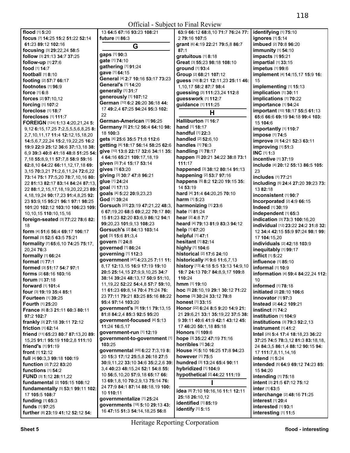|                                                                 |                                                       | Official - Subject to Final Review                           |                                                                       |
|-----------------------------------------------------------------|-------------------------------------------------------|--------------------------------------------------------------|-----------------------------------------------------------------------|
| flood [1] 5:20                                                  | 13 64:5 67:16 93:23 108:21                            | 63:9 66:12 68:8,10 71:7 76:24 77:                            | identifying [1] 75:10                                                 |
| focus [7] 14:25 15:2 51:22 52:14                                | future [1] 86:3                                       | 2 79:16 107:5                                                | ignores [1] 5:14                                                      |
| 61:23 89:12 102:16                                              | G                                                     | grant [6] 4:19 22:21 79:5,8 86:7                             | imbued [2] 70:8 96:20                                                 |
| focusing [3] 29:22,24 58:5                                      | gaps [1] 90:3                                         | 87:1                                                         | <b>immunity</b> [1] 54:10                                             |
| follow [3] 21:13 34:7 37:25                                     | gate [1] 74:10                                        | gratuitous [1] 8:18                                          | impacts [1] 95:21                                                     |
| follow-up [1] 27:6                                              | gathering [1] 91:24                                   | Great [3] 55:23 98:18 108:10                                 | impartial [1] 33:15                                                   |
| food [1] 14:7                                                   | gave [1] 64:15                                        | ground [1] 93:4                                              | impetus [1] 99:6                                                      |
| football [1] 8:10                                               | General [4] 2:7 10:16 53:17 73:23                     | Group [2] 68:21 107:12                                       | implement [4] 14:15,17 15:9 16:                                       |
| footing [2] 57:7 66:17<br>footnotes [1] 96:9                    | General's [1] 14:20                                   | guess [10] 8:21 12:11,23 25:11 46:                           | 15                                                                    |
| force [1] 6:8                                                   | generally [1] 31:7                                    | 1,10,17 58:2 87:7 98:4<br>guessing [3] 111:23,24 112:8       | implementing [1] 15:13<br>implication [1] 30:11                       |
| <b>forces</b> [2] 97:10,12                                      | generously [1] 107:12                                 | guesswork [1] 112:7                                          | implications [1] 70:22                                                |
| forcing [1] 107:2                                               | German [10] 6:2 26:20 36:18 44:                       | guidance [1] 111:25                                          | importance [1] 94:24                                                  |
| foreclose [1] 18:7                                              | 17 49:2,4 67:25 94:24 95:3 102:                       |                                                              | <b>important</b> [10] <b>18:17 55:5 61:13</b>                         |
| forecloses [1] 111:7                                            | 22                                                    | Н                                                            | 65:6 66:6 69:19 94:18 99:4 103:                                       |
| FOREIGN [124] 1:13 4:20,21,24 5:                                | German-American [1] 96:25                             | Halliburton [1] 16:7                                         | 15 104:6                                                              |
| 9,12 6:15,17,25 7:2,5,5,5,6,8,25 8:                             | Germany [5] 21:12 56:4 64:10 98:                      | hand [1] 18:17                                               | importantly [1] 110:7                                                 |
| 2,7,10,11,17 11:4 12:12,15,18,20                                | 18 100:3                                              | handful [1] 22:3                                             | impose [1] 74:5                                                       |
| 14:5,6,7,22,24 15:2,19,22,25 16:2                               | gets [4] 25:6 35:5 71:8 112:6                         | handled [2] 52:6,10                                          | improve [3] 14:21 52:3 63:11                                          |
| 19:9 22:9 25:12 36:6 37:13.18 38:                               | getting [4] 18:17 56:14 58:25 62:6                    | handles [1] 76:3                                             | improving [1] 51:3                                                    |
| 6,9 39:3 40:8 41:18 48:8 51:25 54:                              | give [10] 13:8 22:17 32:6 34:11 35:                   | handling [1] 78:17                                           | INC [1] 1:3                                                           |
| 7,18 55:8,9,11 57:7,8 58:9 59:16                                | 4 64:16 65:21 109:17,18,19                            | happen [5] 20:21 34:22 38:8 73:1                             | incentive [1] 37:19                                                   |
| 62:8,10 64:22 66:11,12,17,18 69:                                | given [3] 7:4 15:17 53:14<br>gives [1] 63:20          | 111:17                                                       | include [4] 20:12 55:13 86:5 105:                                     |
| 3, 15 70: 3, 21 71: 2, 6, 11, 24 72: 6, 22                      |                                                       | happened [3] 38:12 80:14 91:13                               | 23                                                                    |
| 73:14 75:1 77:5,20 78:7,10,16 80:                               | giving [3] 30:7 47:8 96:21<br>glue [1] 24:24          | happening [2] 53:7 97:16<br>happens [5] 8:2 12:20 19:15 35:  | includes [1] 77:21                                                    |
| 22 81:13 82:17 83:14 84:24 87:13,                               | goal [1] 17:13                                        | 14 53:19                                                     | including [5] 24:4 27:20 39:23 73:                                    |
| 22 88:1,2,15,17,18,19,20,22,23 89:                              | goals [4] 5:22 20:9,23,23                             | hard [4] 31:4 64:20,25 70:10                                 | 13 82:18                                                              |
| 4, 18, 19, 24 90: 17, 23 91: 4, 8, 25 92:                       | God [1] 39:24                                         | harm [1] 5:23                                                | inconsistent [1] 90:7                                                 |
| 23 93:9,15 95:21 96:1 97:1 98:25                                | Gorsuch [23] 23:19 47:21,22 48:3,                     | harmonizing [1] 23:6                                         | Incorporated [2] 4:9 66:15                                            |
| 101:20 102:12 103:10 106:23 109:                                | 6 67:19,20 68:5 69:2,22 70:17 80:                     | hate [1] 81:24                                               | Indeed [1] 30:19                                                      |
| 10, 10, 15 110: 10, 15, 16<br>foreign-seated [3] 77:22 78:6 82: | 15 81:23 82:20 83:6,9 86:12 94:1                      | hear [2] 4:8 7:7                                             | independent [1] 65:3<br>indication [3] 73:3 100:16,20                 |
| 18                                                              | 99:20,23 101:9,13 108:23                              | heard [4] 79:13 81:9 83:3 94:12                              | individual [12] 23:22 24:2 31:8 32:                                   |
| form [4] 51:6 56:4 69:17 106:17                                 | Gorsuch's [2] 84:13 103:14                            | help [1] 67:20                                               | 12 34:4 42:15 55:9 97:24 98:1 99:                                     |
| formal [3] 52:5 63:5 75:21                                      | got [3] 15:6 81:3,4                                   | helpful [1] 47:1                                             | 17 104:15,20                                                          |
| formality [7] 65:6,10 74:25 75:17,                              | govern [1] 24:8                                       | hesitant [1] 82:14                                           | individuals [2] 42:18 103:9                                           |
| 20,24 76:3                                                      | governed [1] 86:24                                    | highly [1] 104:6                                             | inequitably [1] 99:17                                                 |
| formally [1] 66:24                                              | governing [1] 112:3                                   | historical [2] 17:6 24:10                                    | inflict [1] 5:22                                                      |
| format [1] 77:1                                                 | government [47] 4:23,25 7:11 11:                      | historically [4] 9:6 11:6,7,13                               | influence [1] 85:10                                                   |
| formed [3] 51:17 54:7 97:1                                      | 8.17 12:13.15 16:9 17:19 19:10                        | history [13] 4:18 5:5 13:13 14:9,10                          | informal [1] 10:9                                                     |
| <b>forms</b> [2] 68:16 103:16                                   | 20:5 25:14,15 27:9,9,10,25 34:7                       | 18:7 24:13 70:7 84:8,9,17 109:8                              | information [4] 59:4 84:22,24 112:                                    |
| forum [1] 37:18                                                 | 38:14 39:24 48:13,17 50:9 51:10,                      | 110:24                                                       |                                                                       |
| forward [1] 101:4                                               | 11, 19, 22 52: 22 54: 4, 8 57: 7 59: 10,              | hmm [1] 19:10                                                | informed [1] 78:18                                                    |
| four [3] 19:19 35:4 85:1                                        | 11 61:23 69:8,14 70:4 71:24 76:                       | hoc [5] 28:10,19 29:1 30:12 71:22                            | initiated [2] 28:10 106:6                                             |
| Fourteen [1] 39:25                                              | 23 77:11 79:21 83:25 85:16 88:22<br>95:4 97:14 103:20 | home [3] 30:24 33:12 78:8                                    | innovator [1] 97:3                                                    |
| <b>Fourth [1] 25:20</b>                                         | government's [9] 19:11 79:13,15                       | <b>honest</b> [1] 33:15<br>Honor [22] 6:24 8:5 9:20 14:9 21: | Instead [2] 44:2 109:21                                               |
| France [6] 8:3 21:11 60:3 80:11                                 | 81:8 84:2,4 85:3 92:5 95:20                           | 21 29:6,21 33:1 35:19,22 37:5 38:                            | instinct [1] 74:2                                                     |
| 97:2 102:7                                                      | government-focused [4] 5:13                           | 9 39:11 40:6 41:9 42:1 43:12 45:                             | institution [1] 104:9                                                 |
| frankly [3] 27:18 39:11 72:12                                   | 11:24 16:5,17                                         | 17 46:20 50:1.18 85:18                                       | institutions [3] 79:3 92:2,13                                         |
| friction [1] 62:14                                              | government-run [1] 12:19                              | Honors [1] 109:6                                             | $instrument$ [1] 41:2                                                 |
| friend [11] 65:23 80:7 87:13,20 89:                             | government-to-government [1]                          | hope [3] 35:22 47:19 71:16                                   | Intel [25] 5:4 17:4 18:18,23 36:22                                    |
| 15,25 91:1 95:19 110:2,8 111:10<br>friend's [1] 91:19           | 103:25                                                | horribles [1] 36:2                                           | 37:25 74:5 78:3,12 81:3 83:18,18,<br>24 84:3,5 86:1,4 88:12 90:15 94: |
| front [1] 12:12                                                 | governmental [48] 6:22 7:3,19 8:                      | House [4] 5:10 16:25 17:8 94:23                              | 17 111:7,8,11,14,16                                                   |
| full [4] 90:3,3 99:18 100:19                                    | 20 15:3 17:12 25:5,8 26:18 27:5                       | however [1] 75:5                                             | intend [1] 5:24                                                       |
| <b>function</b> [2] 7:22 83:20                                  | 30:9,11,22 33:10 34:6 35:2,2,6 39:                    | hundred [3] 13:24 65:4 90:11                                 | intended [5] 64:9 69:12 74:23 85:                                     |
| functions $[1]$ 54:2                                            | 3,4 40:23 48:15,24 52:1 54:8 55:                      | hybridized [1] 104:9                                         | 15 94:20                                                              |
| FUND [3] 1:12 28:11,22                                          | 10 56:5,10,20 57:9,18 65:17 66:                       | hypothetical [2] 44:22 111:19                                | intending [1] 75:18                                                   |
| <b>fundamental</b> [2] <b>105:15 108:12</b>                     | 13 69:1,8,10 70:2,9,13 75:14 76:                      |                                                              | intent [3] 21:5 67:12 75:12                                           |
| fundamentally [5] 53:1 99:11 102:                               | 24 77:9 84:1 87:14 88:18,19 100:                      |                                                              | inter [1] 63:5                                                        |
| 17 105:5 108:7                                                  | 10 110:11                                             | idea [8] 7:10 10:16,16 11:1 12:11<br>25:18 26:10,12          | interchange [2] 48:16 71:25                                           |
| funding [1] 65:3                                                | governmentalize [1] 25:24                             | identified [1] 85:19                                         | interest [1] 20:4                                                     |
| funds [1] 97:25                                                 | governments [18] 5:10 29:13 43:                       | identify [1] 5:15                                            | interested [1] 93:1                                                   |
| further [8] 23:19 41:12 52:12 54:                               | 16 47:15 51:3 54:14,18,25 56:8                        |                                                              | interesting [1] 11:5                                                  |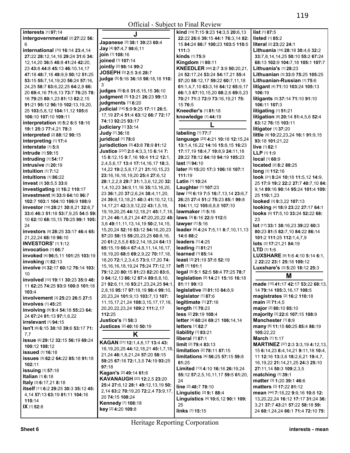| <b>interests</b> [1] 97:14                                       | J                                                                    | kind [19] 7:15 9:23 14:3,5 20:6,13               | $list$ [1] 87:5                                 |
|------------------------------------------------------------------|----------------------------------------------------------------------|--------------------------------------------------|-------------------------------------------------|
| intergovernmental [2] 27:22 56:                                  |                                                                      | 22:22 26:6 39:15 44:1 76:3,14 82:                | <b>listed</b> $[1]$ 85:2                        |
| 6                                                                | Japanese [3] 38:1 39:23 60:4                                         | 15 84:24 86:7 100:23 103:5 110:5                 | literal [2] 23:22 24:1                          |
| international [75] 16:14 23:4,14                                 | Jay [4] 97:4,7 98:6,11                                               | 111:3                                            | Lithuania [18] 28:18 30:4,6 32:2                |
| 27:22 28:12,14,16 29:24 31:6 34:                                 | join [1] 108:16                                                      | kinds [1] 75:9                                   | 33:7,8,14,14,25 50:10 55:2 67:24                |
| 12, 14, 20 36: 5 40: 8 41: 24 42: 20,                            | joined [1] 107:14                                                    | Kingdom [1] 80:11                                | 68:13 102:9 104:7,18 105:1 107:7                |
| 23 43:8 44:8 45:13 46:10,14,17                                   | jointly [2] 98:14 99:2                                               | KNEEDLER [44] 2:7 3:9 50:20,21,                  | Lithuania's [1] 28:23                           |
| 47:18 48:7,16 49:9,9 50:12 51:25                                 | JOSEPH [3] 2:5 3:6 28:7                                              | 24 52:17,24 53:24 54:17,21 55:4                  | Lithuanian [3] 33:9 75:25 105:25                |
| 53:15 55:7,14,19,20 56:24 57:16,                                 | judge [5] 5:16 36:18 98:18,18 110:                                   | 57:20 58:12,17 59:22 60:7,11,18                  | Lithuanian-Russian [1] 75:6                     |
| 24,25 58:7 63:6,22,25 64:2,8 66:                                 | 3                                                                    | 61:1,4,7,10 63:3,16 64:12 65:9,17                | litigant [4] 71:10 103:24 105:13                |
| 20 69:4, 16 71:6, 13 73:7 76: 25 78:                             | judges [5] 6:8 31:8,15,15 36:10                                      | 66:1,5 67:10,15,20 68:2,6 69:5,23                | 106:19                                          |
| 16 79:25 80:1,23 81:13 82:2,15                                   | judgment [3] 13:21 26:23 99:13                                       | 70:21 71:3 72:9 73:16,19,21 75:                  | litigants [5] 37:14 71:10 91:10                 |
| 91:21 95:12 96:19 102:13,19,20,                                  | judgments [1] 6:20                                                   | 15 76:5                                          | 106:11 107:3                                    |
| 25 103:5,8,12 104:11,12 105:6                                    | judicial [14] 5:9 9:25 17:11 26:5,                                   | Kneedler's [1] 81:18                             | litigating [1] 51:21                            |
| 106:10 107:10 109:11                                             | 17, 19 27: 4 51: 4 63: 12 66: 7 72: 17                               | knowledge [1] 44:19                              | litigation [8] 20:14 51:4,5,6 52:4              |
| interpretation [8] 5:2 6:5 18:16                                 | 74:13 92:25 93:17                                                    |                                                  | 63:12 76:15 103:11                              |
| 19:1 25:3 77:4,21 78:3                                           | judiciary [1] 33:14                                                  |                                                  | litigator [1] 37:20                             |
| interpreted [2] 88:12 90:15                                      | Judy [1] 36:18                                                       | labeling [1] 77:7                                | little [9] 10:22,23,24 16:1 91:9,15             |
| interpreting [1] 17:4                                            | juridical [1] 78:8                                                   | language [25] 4:21 10:18 12:15,24                | 93:18 101:21.22                                 |
| interstate [1] 5:8                                               | jurisdiction [3] 43:8 78:9 81:12                                     | 13:1,4,16,22 14:16 15:8,15 16:23                 | live [1] 82:1                                   |
| <b>intrude</b> [1] 59:15                                         | Justice [237] 2:8 4:3,3,15 6:14 7:                                   | 17:17,19 18:4,7 19:8,9 24:11,18                  | LLP [1] 1:9                                     |
| intruding [1] 54:17                                              | 15 8:12,15 9:7,16 10:4 11:2 12:1,                                    | 29:22 78:12 84:18 94:19 105:23<br>last [1] 94:10 | local [1] 60:9                                  |
| intrusive [1] 20:19                                              | 2,4,5,6,17 13:4 17:14,16,17 18:3,                                    | later [5] 15:20 17:3 106:18 107:1                | <b>located</b> [2] 8:2 88:25                    |
| <b>intuition</b> [1] 7:12                                        | 14,22 19:2,5,8,17,21 21:10,15,23                                     | 111:19                                           | long [1] 112:16                                 |
| intuitions [1] 86:22                                             | 23:16,16,18,19,20 25:4 27:6,12<br>28:1,2,2,8 29:7 31:1,3,6,12,20 32: | Latin [1] 10:24                                  | look [21] 8:24 10:18 11:5,12 14:9,              |
| invest [3] 30:5,5 33:6                                           | 1,4,10,23 34:9,11,16 35:13,16,20,                                    | Laughter [1] 107:23                              | 25 17:9 19:2 22:2 27:7 40:7,10 84:              |
| investigating [2] 16:2 110:17                                    | 23 36:1,20 37:2,6,24 38:4,11,20,                                     | law [19] 6:19 7:5 16:7,13,14 23:6,7              | 9,14 89:16 90:14 95:24 101:4 109:               |
| investment [8] 33:9 64:10 96:7                                   | 24 39:8,13,18,21 40:3 41:10,12,13,                                   | 26:25 27:4 51:2 75:23 85:1 99:8                  | 25 110:1.23                                     |
| 102:7 103:1 104:10 106:9 108:9                                   | 14, 17, 21 42: 3, 9, 12, 22 43: 1, 5, 18,                            | 104:11,12 105:8,8,8 107:10                       | looked [3] 9:3,22 107:13                        |
| investor [19] 28:21 30:8,21 32:6,7                               | 19, 19, 20, 25 44: 12, 18, 21 45: 1, 7, 18,                          | <b>lawmaker</b> [1] <b>5:16</b>                  | looking [4] 18:9 23:22 27:17 64:1               |
| 33:6 46:3 51:18 53:7,9,25 54:5 59:                               | 21,24 46:1,8,21,24 47:20,20,22 48:                                   | laws [3] 6:16 22:9 112:5                         | looks [5] 17:5,10 33:24 52:22 68:               |
| 10 62:10 68:15,15 70:25 99:1 105:                                | 3,6 49:11,11,13,14,19 50:2,14,15,                                    | lawyer [1] 5:16                                  | 23                                              |
| 24                                                               | 15, 20, 24 52: 16 53: 12 54: 16, 20, 23                              | leader [9] 4:24 7:5,11 8:7,10,11,13              | lot [17] 33:1 38:16,23 39:22 60:3               |
| investors [8] 28:25 33:17 46:4 65:                               | 57:20 58:15 59:20,23,25 60:8,16,                                     | 14:6 88:2                                        | 80:23 81:5 82:7,10 84:22 86:14                  |
| 21,22,24 68:19 96:10                                             | 20 61:2,5,5,8 63:2,14,18,24 64:13                                    | <b>leaders</b> [1] 4:25                          | 101:2 111:25 112:1,4,7,9                        |
| <b>INVESTORS' [1] 1:12</b><br>invocation [1] 66:7                | 65:15,19 66:4 67:4,8,11,14,16,17,                                    | leading [1] 81:21                                | lots [3] 17:21,21 84:19<br><b>LTD</b> $[1]$ 1:6 |
| invoked [4] 96:5,11 101:25 103:19                                | 18, 19, 20 68: 5 69: 2, 9, 22 70: 17, 18,                            | learned [1] 85:14                                | LUXSHARE [9] 1:6 4:10 5:14 6:1,                 |
| invoking [1] 82:13                                               | 18,20 72:1,2,3,4,5 73:9,17,20 74:                                    | least [3] 21:19 37:8 52:19                       | 2 22:22 23:1 25:18 109:12                       |
| involve [4] 32:17 60:12 76:14 103:                               | 15, 16, 16, 18, 19, 24 75: 24 77: 12, 17                             | left [1] 101:1                                   | Luxshare's [3] 5:20 18:12 25:3                  |
| 10                                                               | 79:12,20 80:15 81:23 82:20 83:6,                                     | legal [5] 5:1 52:5 58:4 77:25 78:7               |                                                 |
| involved [10] 19:11 30:23 35:9 48:                               | 9 84:12,13 86:12 87:4 89:6,8,10,                                     | legislation [5] 14:21 15:16 16:18                | M                                               |
| 11 <b>62:</b> 25 <b>74:</b> 25 <b>93:</b> 9 <b>100:8 101:</b> 18 | 21 92:6,11,16 93:21,23,24,25 94:1,                                   | 81:11 99:13                                      | made [10] 41:17 42:17 53:22 68:13,              |
| 103:4                                                            | 2,8,16 95:17 97:18,19 98:4 99:10,                                    | legislative [3] 81:10 84:8,9                     | 14 79:14 105:3,16,17 108:5                      |
| involvement [3] 25:23 26:5 27:5                                  | 20,23,24 101:9,13 103:7,13 107:                                      | legislator [1] 87:6                              | magistrates [2] 16:2 110:18                     |
| <b>involves</b> [1] 45:25                                        | 11, 15, 17, 21, 24 108: 3, 15, 17, 17, 18,                           | legitimate [1] 27:16                             | main [2] 71:4,5                                 |
| involving [9] 9:4 54:18 55:23 64:                                | 20, 20, 22, 23, 24 109: 2111: 2, 17                                  | length [1] 70:23                                 | major [2] 80:10 85:10                           |
| 24 67:24 81:13 97:1,6,22                                         | 112:25                                                               | less [2] 29:19 108:4                             | majority [3] 22:6 107:15 108:9                  |
| $irrelevant$ [1] 94:15                                           | <b>Justice's [1] 58:3</b>                                            | letter [4] 60:24 69:21 106:14,14                 | Manchester [1] 8:9                              |
| isn't [6] 6:15 30:18 39:6 53:17 71:                              | Justices [2] 40:16 50:19                                             | <b>letters</b> [1] 82:7                          | many [6] 11:15 60:25 85:4 86:19                 |
| 7,7                                                              | Κ                                                                    | liability [1] 83:21                              | 105:22.22                                       |
| <b>issue</b> [6] 29:12 32:15 56:19 69:24                         | KAGAN [31] 12:1,4,6,17 13:4 43:                                      | liberal [1] 87:1                                 | March [1] 1:17                                  |
| 100:12 108:12                                                    | 18, 19, 20, 25 44: 12, 18, 21 45: 1, 7, 18,                          | limit [2] 79:4 83:13                             | <b>MARTINEZ</b> [37] <b>2:3 3:3,19 4:12,13,</b> |
| <b>issued</b> [1] 16:18                                          | 21,24 46:1,8,21,24 57:20 58:15                                       | limitation [2] 78:11 87:15                       | 15 6:14,23 8:4,14,21 9:11,18 10:4,              |
| issues [5] 62:2 64:22 85:18 91:18                                | 59:25 67:18 72:1,3,5 74:19 93:25                                     | limitations [4] 56:25 57:15 59:8                 | 11 12:16 13:3,6 18:2,6,21 19:4,7,               |
| 102:11                                                           | 97:18                                                                | 61:25                                            | 16, 19, 22 21: 14, 21, 25 24: 3 25: 10          |
| <b>issuing</b> [1] 57:18                                         | <b>Kagan's [2] 49:14 61:6</b>                                        | Limited [13] 4:10 16:16 26:19,24                 | 27:11,14 50:3 109:2,3,5                         |
| Italian [1] 6:18                                                 | KAVANAUGH [22] 12:2,5 23:20                                          | 55:12 57:2,5,10,11,17 59:5 61:20,<br>24          | matching [1] 39:1<br>matter [3] 1:20 39:1 46:6  |
| <b>Italy</b> [3] $6:17,21$ $8:18$                                | 25:4 27:6,12 28:1 49:12,13,19 50:                                    | line [2] 48:7 78:10                              | <b>matters</b> [2] <b>17:22 81:12</b>           |
| itself [11] 6:2 29:25 30:3 35:12 45:                             | 2,14 63:2 70:19,20 72:2,4 73:9,17,                                   | Linguistic [2] 9:1 88:4                          | mean [44] 7:18,22 9:9,16 10:8 12:               |
| 4,14 57:13 63:19 81:11 104:16                                    | 20 74:15 108:24                                                      | Linguistics [4] 10:6,12 90:1 109:                | 13,20,22,24 16:12 17:17 31:24 36:               |
| 110:14                                                           | Kennedy [1] 108:18                                                   | 25                                               | 3,21 37:7 43:21 57:22 58:18 59:                 |
| IX [1] 52:8                                                      | key [2] 4:20 109:8                                                   | links [1] 15:15                                  | 24 60:1,24,24 66:1 71:4 72:10 75:               |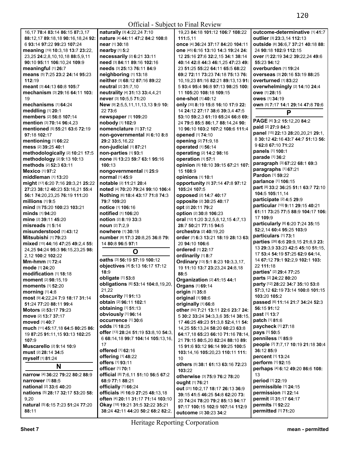| 16,17 78:4 83:14 86:15 87:3,17                                | naturally [3] 4:22,24 7:10                              | 19,23 84:18 101:12 106:7 108:22                                     | outcome-determinative [1] 41:7                                       |
|---------------------------------------------------------------|---------------------------------------------------------|---------------------------------------------------------------------|----------------------------------------------------------------------|
| 88:12,17 89:18,18 90:16,18,24 92:                             | nature [4] 44:11 47:2 84:2 108:8                        | 111:5,11                                                            | outlier [3] 23:3,14 112:13                                           |
| 6 93:14 97:22 99:23 107:24                                    | near [1] 30:18                                          | once [4] 36:24 37:17 84:20 104:11                                   | outside [8] 36:6,7 37:21 40:18 88:                                   |
| meaning [19] 10:3, 18 13:7 23:22,                             | nearby [1] 5:2                                          | one [45] 6:16 13:10 14:3 19:24 24:                                  | 24 90:18 102:9 112:15                                                |
| 23,25 24:2,8,10,10,18 88:5,9,11                               | necessarily [2] 6:21 33:11                              | 12 25:16 27:6 32:2,15 34:1 38:14                                    | over [7] 22:19 34:2 39:22,24 49:6                                    |
| 90:10 95:11 106:10,24 109:9                                   | need [3] 84:11 89:16 102:16                             | 40:14 42:8 44:3 46:1.25 47:23 49:                                   | 55:23 94:12                                                          |
| meaningful [1] 26:7                                           | needs [3] 25:13 76:11 84:9                              | 23 51:25 55:22 64:11 65:5 68:22                                     | overburden [1] 19:24                                                 |
| means [5] 7:25 23:2 24:14 95:23                               | neighboring [1] 13:18                                   | 69:2 72:11 73:23 74:18 75:13 76:                                    | overseas [3] 20:16 53:19 88:25                                       |
| 112:19                                                        | neither [3] 68:12 87:16 89:22                           | 10, 19, 23 81: 16 82: 21 89: 13, 13 91:                             | overturned [1] 83:22                                                 |
| meant [3] 44:13 60:8 105:7                                    | neutral [2] 31:7,10                                     | 5 93:4 95:4 96:8 97:13 98:25 100:                                   | overwhelmingly [2] 14:10 24:4                                        |
| mechanism [3] 29:16 64:11 103:                                | neutrality [4] 31:13 33:4,4,21                          | 11 105:20 108:18 109:15                                             | owe [1] 28:15                                                        |
| 19                                                            | never [3] 10:5,5 71:20                                  | one-shot [1] 40:12                                                  | <b>owes</b> [1] 34:19                                                |
| mechanisms [1] 64:24                                          | New [9] 2:5,5,11,11,13,13 9:9 10:                       | only [30] 8:19 15:8 16:10 17:9 22:                                  | own [5] 7:17 14:1 29:14 47:8 70:6                                    |
| meddling [1] 20:1                                             | 22 73:6                                                 | 14 24:12 27:17 38:6 39:3,4 47:5                                     | P                                                                    |
| members [2] 56:8 107:14                                       | newspaper [1] 109:20                                    | 53:10 59:2.3 61:19 65:24 66:8 69:                                   | PAGE [4] 3:2 15:12,20 84:2                                           |
| mention [3] 70:14 96:4,23                                     | nobody [1] 102:9                                        | 24 79:5 85:5 86:1,7 88:14,24 90:                                    | paid [2] 27:9 84:3                                                   |
| mentioned [5] 55:21 63:6 72:19                                | nomenclature [1] 37:12                                  | 10 96:10 103:2 107:2 108:6 111:4                                    | panel [15] 22:13 28:20,20,21 29:1,                                   |
| 97:18 102:17                                                  | non-governmental [6] 6:10 8:8<br>29:2 33:5,16,22        | opened [1] 74:10                                                    | 8 30:12 42:16 43:7 44:7 51:13 56:                                    |
| mentioning [1] 66:22<br>mess [2] 39:25 40:1                   | non-judicial [1] 87:21                                  | opening [2] 71:9,18<br>operated [1] 56:14                           | 9 62:8 67:10 71:22                                                   |
|                                                               |                                                         |                                                                     | panels [1] 100:1                                                     |
| methodologically [2] 10:21 17:5<br>methodology [2] 9:13 10:13 | non-parties [1] 93:1<br>none [5] 13:23 59:7 63:1 95:16  | operating [2] 14:2 98:16<br>operation [1] 57:1                      | parade [1] 36:2                                                      |
| methods [2] 52:3 63:11                                        | 100:13                                                  | opinion [5] 10:10 39:15 67:21 107:                                  | paragraph [3] 67:22 68:1 69:3                                        |
| Mexico [1] 97:2                                               | nongovernmental [1] 25:9                                | 15 108:9                                                            | paragraphs [1] 67:21                                                 |
| middleman [1] 13:20                                           | <b>normal</b> [1] 45:9                                  | opinions [1] 10:1                                                   | Pardon [1] 59:22                                                     |
| might [17] 6:20 7:16 20:3,21 25:22                            | notable [2] 11:21 20:4                                  | opportunity [5] 37:14 47:8 97:12                                    | parlance [1] 106:15                                                  |
| 27:23 38:12 40:23 53:16,21 55:4                               | noted [4] 70:20 79:24 99:10 106:4                       | 105:24 107:5                                                        | part [8] 33:2 36:25 51:1 63:7 72:10                                  |
| 56:1 74:20,23,25 76:19 111:20                                 | Nothing [6] 18:4 43:17 71:8 74:3                        | opposed [2] 14:7 40:17                                              | 104:5 105:11.14                                                      |
| millions $[1]$ 9:5                                            | 79:7 109:20                                             | opposite [2] 30:25 40:17                                            | participate [2] 4:5 29:9                                             |
| mind [3] 75:20 100:23 103:21                                  | notice [1] 106:16                                       | opt [2] 20:11 79:2                                                  | particular [10] 9:11 29:15 40:21                                     |
| minds [1] 94:20                                               | notified [1] 106:20                                     | option [2] 30:8 106:23                                              | 61:11 73:25 77:5 88:9 104:17 106:                                    |
| mine [2] 39:11 45:20                                          | notion [2] 8:19 33:3                                    | oral [12] 1:20 3:2,5,8,12,15 4:7,13                                 | 17 109:9                                                             |
| misreads [1] 5:14                                             | noun [2] 7:2,9                                          | 28:7 50:21 77:15 94:5                                               | particularly [8] 6:20 7:24 35:15                                     |
| misunderstood [1] 43:12                                       | nowhere [1] 30:18                                       | orchestra [2] 40:19,20                                              | 52:2,14 60:4 95:25 103:9                                             |
| <b>Mitsubishi</b> [1] <b>79:</b> 23                           | number [8] 17:3 20:8,25 36:8 79:                        | order [7] 6:3 13:21 18:19 28:13 63:                                 | particulars [1] 73:1                                                 |
| mixed [15] 44:16 47:25 49:2,4 55:                             | 14 80:8 96:5 97:1                                       | 20 94:10 106:6                                                      | parties [26] 6:6 20:9,15 21:8,9 23:                                  |
| 24,25 94:24 95:3 96:15,23,25 98:                              | O                                                       | ordered [1] 22:17                                                   | 13 29:3.9 33:23 42:5 45:10 51:15.                                    |
| 2,12 100:2 102:22                                             |                                                         | ordinarily [1] 8:7                                                  | 17 53:4 54:19 57:25 62:9 64:14,                                      |
| <b>Mm-hmm</b> [1] 72:4                                        | oaths [3] 56:19 57:19 100:12                            | Ordinary [13] 5:1 8:23 10:3,3,17,                                   | 14 67:12 79:1 92:2.9 102:1 103:                                      |
| mode [1] 24:20                                                | objectives [4] 5:13 16:17 17:12                         | 19 11:10 13:7 23:23,24 24:8,18                                      | 22 111:18                                                            |
| modification [1] 18:18                                        | 18:9                                                    | 88:5                                                                | parties' [2] 29:4 77:25                                              |
| moment [2] 98:15,19                                           | obligate [1] 53:8<br>obligations [6] 53:14 104:8,19,20, | Organization [2] 41:15 44:1                                         | parts [2] 24:22 80:20                                                |
| <b>moments</b> [1] 52:20                                      |                                                         | Organs [1] 69:14                                                    | party [12] 28:22 34:7 35:10 53:8<br>57:3,12 62:19 73:14 100:8 101:15 |
| morning $[1]$ 4:8                                             | 21,22<br>obscurity [1] 91:13                            | origin [1] 35:8                                                     | 103:20 105:2                                                         |
| most [9] 4:22,24 7:9 18:17 31:14                              | obtain [2] 96:11 102:1                                  | original [1] 98:6                                                   | passed [6] 11:14 21:7 34:24 52:3                                     |
| 51:24 77:20 88:11 99:4                                        | obtaining [1] 51:13                                     | originally [1] 66:8                                                 | 56:15 91:12                                                          |
| <b>Motors</b> [2] 53:17 79:23                                 | obviously [1] 96:14                                     | other [50] 7:21 13:11 22:6 23:7 24:                                 | past [1] 13:7                                                        |
| move [2] 13:7 37:17                                           | occurrence [1] 30:6                                     | 5 30:2 33:24 34:3,3,6 35:14 38:15                                   | <b>patch</b> [1] 81:6                                                |
| <b>moved</b> [1] 40:7                                         | odds [1] 18:25                                          | 17 46:25 49:23 51:3,8 52:4,11 54:                                   | paycheck [1] 27:18                                                   |
| much [11] 45:17,18 64:5 80:25 86:                             | offer [13] 28:24 51:19 53:8,10 54:3,                    | 14,25 55:13,24 58:20 60:23 63:8                                     | pays [1] 50:5                                                        |
| 19 87:25 91:11,15 93:13 102:25                                | 6 68:14,18 99:7 104:14 105:13,16,                       | 64:17,18 65:23 66:10 71:16 78:14                                    | penniless [1] 85:9                                                   |
| 107:9<br>Muscarello [2] 9:14 10:9                             | 17                                                      | 21 79:15 80:5,20 82:24 88:10 89:<br>15 91:6 93:12 96:14 99:25 100:5 | people [7] 7:7,17 10:19 21:18 30:4                                   |
| must [2] 28:14 34:5                                           | offered [1] 62:16                                       | 103:14.16 105:20.23 110:11 111:                                     | 36:12 85:9                                                           |
|                                                               | offering [1] 48:22                                      |                                                                     | percent [1] 13:24                                                    |
| myself [1] 81:24                                              | offers [1] 93:11                                        | 10<br>others [5] 38:1 61:13 63:16 72:23                             | perform [1] 92:15                                                    |
| N                                                             | <b>officer</b> [1] 70:1                                 | 103:22                                                              | perhaps [4] 6:12 49:20 86:6 108:                                     |
| narrow [4] 36:22 79:22 80:2 88:9                              | official [8] 7:6,11 51:10 56:5 67:2                     | otherwise [3] 75:9 76:2 78:20                                       | 13                                                                   |
| <b>narrower</b> [1] 88:5                                      | 68:9 77:1 88:21                                         | ought [1] 76:21                                                     | period [1] 22:19                                                     |
| national [2] 33:6 40:20                                       | officially [1] 66:24                                    | out [21] 10:2,17 18:17 26:13 36:9                                   | permissible [1] 24:15                                                |
| <b>nations</b> [5] <b>28:17 32:17 53:20 58:</b>               | officials [4] 16:9 27:25 48:13,18                       | 39:15 41:5 46:25 54:8 62:20 73:                                     | permission [1] 22:14                                                 |
| 9,20                                                          | often [4] 20:11 31:17 71:14 103:10                      | 20 74:24 78:20 79:2 85:13 94:17                                     | permit [2] 31:17 64:17                                               |
| natural [5] 6:15 7:23 51:24 77:20                             | Okay [18] 19:21 31:5 32:22 35:21                        | 97:17 100:15 102:9 107:14 112:9                                     | permits [1] 92:22                                                    |
| 88:11                                                         | 38:24 42:11 44:20 50:2 68:2 82:2,                       | outcome [2] 30:23 34:2                                              | permitted [1] 71:20                                                  |
|                                                               |                                                         |                                                                     |                                                                      |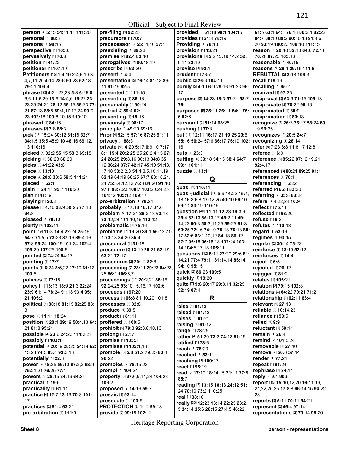|                                                                |                                                                     | Official - Subject to Final Review  |                                                        |
|----------------------------------------------------------------|---------------------------------------------------------------------|-------------------------------------|--------------------------------------------------------|
| person [4] 5:15 54:11,11 111:20                                | pre-filing [1] 92:25                                                | provided [3] 61:18 98:1 104:15      | 61:5 63:1 64:1 76:18 80:2,4 82:22                      |
| personal [1] 88:3                                              | precursors [1] 70:7                                                 | provides [2] 21:4 78:19             | 84:7 88:10 89:2 90:10,13 91:4,6,                       |
| persons [1] 98:15                                              | predecessor [3] 55:11,16 57:1                                       | <b>Providing [1] 78:13</b>          | 20 93:19 100:23 108:10 111:15                          |
| perspective [1] 105:6                                          | preexisting [1] 89:23                                               | provision [1] 13:21                 | reason [7] 20:10 32:13 64:6 72:11                      |
| pervasively [1] 70:8                                           | premise [2] 82:4 83:10                                              | provisions [6] 5:2 13:19 14:2 52:   | 76:20 87:25 105:16                                     |
| petition [1] 41:22                                             | prerogatives [2] 80:18,19                                           | 9.11 82:10                          | reasonable [1] 40:15                                   |
| petitioner [1] 107:19                                          | prescribe [1] 63:20                                                 | proviso [1] 92:1                    | reasons [3] 26:1 29:15 111:6                           |
| Petitioners [15] 1:4,10 2:4,6,10 3:                            | present [1] 4:4                                                     | prudent [1] 76:7                    | <b>REBUTTAL [2] 3:18 109:3</b>                         |
| 4,7,11,20 4:14 28:6 50:23 52:18                                | presentation [5] 76:14 81:18 89:                                    | public [2] 26:6 104:11              | recall [1] 9:19                                        |
| 79:21 109:4                                                    | 11 91:19 92:5                                                       | purely [5] 4:19 6:9 29:16 91:23 96: | recalling [1] 95:2                                     |
| phrase [33] 4:21,22,23 5:3 6:25 8:                             | <b>presented</b> [1] 111:15                                         | 17                                  | received [1] 97:25                                     |
| 6.6 11:6.20 13:9 14:5.6 15:22 23:                              | presenting [1] 86:13                                                | purpose [5] 14:23 18:3 57:21 58:7   | reciprocal [3] 63:9 71:15 105:18                       |
| 23,25 24:21 28:12 55:15 56:23 77:                              | presumably [1] 90:24                                                | 76:1                                | reciprocate [2] 78:22 96:16                            |
| 21 87:13 88:8 89:4,17,17,24 90:9,                              | pretrial [2] 59:4 62:1                                              | purposes [5] 25:11 26:11 54:1 75:   | reciprocated [1] 80:9                                  |
| 23 102:18 109:8,10,15 110:10                                   | preventing [1] 18:16                                                | 582:6                               | reciprocation [1] 80:13                                |
| phrased [1] 84:15                                              | previously [1] 98:17                                                | pursuant [2] 51:14 68:25            | recognize [5] 26:3 36:17 58:24 69:                     |
| phrases [2] 7:8 88:3                                           | principle [2] 49:20 69:16                                           | pushing [1] 37:3                    | 19 99:25                                               |
| pick [13] 15:24 30:12 31:15 32:7                               | Prior [4] 52:15 57:16 87:25 91:11                                   | put [11] 12:11 16:17,21 19:25 20:6  | recognizes [2] 20:5 24:7                               |
| 34:1,5 35:5 45:9,10 46:16 69:12,                               | privacy $[1]$ 88:3                                                  | 55:16 56:24 57:6 66:17 76:19 102:   | recognizing [1] 26:14                                  |
| 13 110:16                                                      | private [59] 4:20 5:17 6:9,10 7:17                                  | 16                                  | refer [5] 7:23 8:8 11:8,17 12:8                        |
| picked [4] 32:2 55:15 58:3 69:18                               | 8:1 15:4 20:2 25:25 26:2,4,15 27:                                   | puts [1] 23:3                       | referee [1] 6:9                                        |
| picking [2] 56:23 66:20                                        | 24 28:25 29:8,16 30:13 34:8 35:                                     | putting [6] 39:18 54:15 58:4 64:7   | reference [6] 85:22 87:12,19,21                        |
| picks [2] 41:22 43:6                                           | 12 36:24 37:7 42:17 45:10 51:13,                                    | 89:1 101:11                         | 92:4.17                                                |
| piece [1] 13:10                                                | 17, 18 53: 2, 2, 3 54: 1, 3, 5, 10, 11, 19                          | puzzle [1] 13:11                    | referenced [3] 88:21 89:25 91:1<br>references [1] 70:1 |
| place [4] 20:6 38:6 59:5 111:24                                | 62:19 64:19 66:25 67:7 68:18,24,                                    | Q                                   | referencing [1] 6:22                                   |
| placed [1] 62:1<br>plain [3] 24:11 95:7 110:20                 | 24 75:3,4,12,12 76:3 84:20 91:10<br>97:6 98:7.23 100:7 103:20.24.25 | quasi [1] 110:11                    | referred [2] 66:8 83:20                                |
| plan [1] 41:19                                                 | 104:12 105:12 109:17                                                | quasi-judicial [14] 5:9 14:22 15:1, | referring [2] 35:8 88:24                               |
| playing [1] 20:2                                               | pro-arbitration [1] 78:24                                           | 18 16:3,6,8 17:12,25 40:10 66:10    | refers [3] 4:22,24 16:9                                |
| please [5] 4:16 28:9 50:25 77:18                               | probably [3] 17:18 18:17 87:6                                       | 69:11 83:19 110:16                  | reflect [1] 75:11                                      |
| 94:8                                                           | problem [9] 17:24 38:2,13 63:18                                     | question [40] 11:11 12:23 19:3,6    | reflected [1] 68:20                                    |
| pleased [1] 79:10                                              | 73:12,24 111:10,16 112:12                                           | 25:4 32:13 35:13,17 46:2,11 49:     | refuse [1] 6:3                                         |
| plenty [1] 103:11                                              | problematic [1] 75:16                                               | 14,23 50:3 58:3,11,25 59:25 61:3    | refutes [1] 110:18                                     |
| point [19] 11:3 14:4 22:24 25:16                               | problems [7] 19:20 39:1 56:13 71:                                   | 63:25 72:16 74:19 75:18 76:13 80:   | regard [1] 53:16                                       |
| 54:7 71:5,5 73:23 87:16 89:4,16                                | 1 73:18 84:20 85:4                                                  | 17 82:6 83:1,10,12 84:13 86:12      | regimes [1] 93:15                                      |
| 97:8 99:24 100:15 101:24 102:4                                 | procedural [1] 31:18                                                | 87:7 95:18 96:18,18 102:24 103:     | regular [2] 30:14 75:23                                |
| 105:20 107:25 108:6                                            | procedure [5] 13:19 26:21 62:17                                     | 14 104:5,17,18 105:11               | reinforce [2] 13:15 52:12                              |
| pointed [2] 74:24 94:17                                        | 63:21 72:17                                                         | questions [12] 6:11 23:20 29:6 61:  | reinforces [1] 14:4                                    |
| pointing [1] 17:7                                              | procedures [2] 20:12 82:8                                           | 14,21 77:4 79:11 81:14,14 86:14     | reject [1] 6:5                                         |
| points [6] 6:24 8:5,22 17:10 61:12                             | proceeding [7] 28:11 29:23 84:23,                                   | 94:10 95:15                         | rejected [1] 26:12                                     |
| 109:5                                                          | 25 86:1 106:5,7                                                     | quick [2] 86:23 109:5               | rejigger [1] 81:2                                      |
| policies [1] 72:18                                             | proceedings [10] 20:2,21 86:16                                      | quickly [1] 19:20                   | relates [1] 105:21                                     |
| policy [11] 13:13 18:9 21:3 22:24                              | 92:24,25 93:10,15,16,17 102:6                                       | quite [7] 9:8 20:17 29:8,11 32:25   | relation [2] 79:15 102:8                               |
| 23:9 61:14 78:24 91:18 93:4 95:                                | proceeds [1] 97:20                                                  | 52:19 87:4                          | relations [3] 64:22 70:21 71:2                         |
| 21 105:21                                                      | process [4] 66:8 81:10,20 101:8                                     | R                                   | relationship [2] 62:11 63:4                            |
| political [4] 80:18 81:15 82:25 83:                            | processes [1] 82:8                                                  | raise [1] 61:13                     | relevant [1] 27:13                                     |
| 3                                                              | produce [1] 39:5                                                    | raised [1] 61:13                    | reliable [2] 10:14,23                                  |
| pose [2] 11:11 18:24                                           | product [1] 81:11                                                   | raises [1] 61:21                    | reliance [1] 98:5                                      |
| position [7] 20:1 29:19 58:4,13 64:                            | proffered [1] 100:5                                                 | raising [1] 61:12                   | relied [1] 9:9                                         |
| 21 81:8 95:24                                                  | prohibit [5] 79:3 92:3,8,10,13                                      | range [1] 78:25                     | reluctant [1] 59:14                                    |
| possible [4] 23:6 24:23 111:2,21                               | prolong [1] 27:7                                                    | rather [4] 51:20 73:2 74:13 81:15   | remain [1] 26:4                                        |
| possibly [1] 103:1                                             | promise [1] 105:3                                                   | ratified [1] 73:6                   | remind [2] 101:5,24                                    |
| potential [9] 20:19 28:25 54:14 62:<br>13,23 74:3 83:4 93:3,13 | promises [2] 105:1,18                                               | reach [1] 78:20                     | removable [1] 27:10                                    |
|                                                                | promote [5] 5:8 51:2 79:25 80:4<br>96:22                            | reached [1] 53:11                   | <b>remove</b> [2] 50:6 57:14                           |
| potentially [1] 22:8<br>power [9] 48:25 56:10 67:2,2 68:9      | promotes [2] 78:15,23                                               | reaching [1] 100:17                 | <b>render</b> [1] 77:24<br>repeat [1] 81:24            |
| 75:21,21 76:25 77:1                                            | prompt [1] 104:24                                                   | react [1] 95:19                     | rephrase [1] 84:14                                     |
| powers [3] 28:15 34:19 64:24                                   |                                                                     | read [6] 17:19 18:14,15 21:11 37:8  | reply [2] 9:1 90:5                                     |
| practical [1] 19:6                                             | property [6] 97:6,9,11,24 104:23<br>106:2                           | 85:7                                | report [15] 15:10,12,20 16:11,19,                      |
| practicality [1] 61:11                                         | proposed [2] 14:16 59:7                                             | reading [7] 13:15 18:13 24:12 51:   | 21, 22, 25, 25 17: 8, 8 66: 14, 15 94: 22,             |
| practice [4] 12:7 13:19 70:3 101:                              | prosaic [1] 93:14                                                   | 24 70:10 73:2 110:25                | 23                                                     |
| 17                                                             | prosecute [1] 103:9                                                 | real [1] 38:16                      | reports [3] 5:11 70:11 94:21                           |
| practices [2] 51:4 63:21                                       | <b>PROTECTION [2] 1:12 99:18</b>                                    | really [30] 12:23 13:14 22:25 23:2, | represent [2] 46:4 97:14                               |
| pre-arbitration [1] 111:9                                      | provide [2] 99:18 102:12                                            | 5 24:14 25:6 26:15 27:4,5 46:22     | representations [2] 79:14 95:20                        |
|                                                                |                                                                     |                                     |                                                        |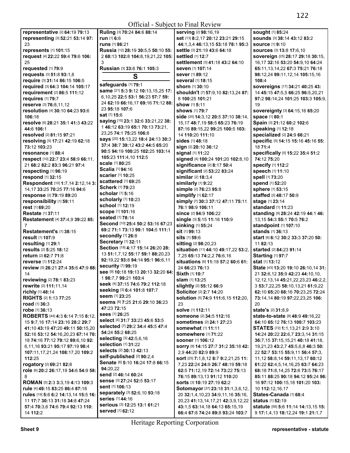|                                        |                                     | Official - Subject to Final Review               |                                             |
|----------------------------------------|-------------------------------------|--------------------------------------------------|---------------------------------------------|
| representative [2] 64:19 79:13         | Ruling [3] 70:24 84:6 88:14         | serving [2] 98:16,19                             | sought [1] 85:24                            |
| representing [3] 52:21 53:14 97:       | run [1] 6:6                         | set [13] 8:2,17 20:12 23:21 29:15                | Sounds [3] 38:14 43:12 83:2                 |
| 23                                     | runs [1] 86:21                      | 44:1,3,4 46:13,15 53:18 78:1 95:3                | <b>source</b> [1] 9:10                      |
| represents [1] 101:15                  | Russia [12] 28:19 30:5,5 50:10 55:  | settle [3] 21:19 43:6 64:18                      | Sources [3] 13:8 17:6,10                    |
| request [4] 22:22 59:4 79:6 106:       | 2 68:13 102:8 104:8,19,21,22 105:   | <b>settled</b> [1] 12:7                          | sovereign [25] 28:17 29:18 30:15,           |
| 25                                     | 3                                   | settlement [3] 41:18 43:2 64:10                  |                                             |
|                                        |                                     |                                                  | 16,17 32:16 53:20 54:9,10 64:24             |
| requested [1] 79:9                     | Russian [3] 33:6 76:1 105:3         | <b>seven</b> [1] 107:14                          | 65:11, 13, 14, 22 67: 3 75: 21 76: 18       |
| requests [3] 51:8 93:1,8               | S                                   | <b>sever</b> [1] 89:12                           | 98:12,24 99:11,12,14 105:15,16              |
| require [3] 31:14 86:15 106:5          |                                     | <b>several</b> [1] 18:15                         | 108:4                                       |
| required [3] 64:3 104:14 105:17        | safeguards [1] 79:1                 | <b>shorn</b> [1] <b>30:</b> 10                   | sovereigns [17] 34:21 40:25 43:             |
| <b>requirement</b> [2] 86:5 111:12     | same [21] 5:3 9:12 10:13,15,25 17:  | shouldn't [7] 57:9,10 82:13,24 87:               | 14 45:15 47:5,5 66:25 96:5,20,21            |
| requires [1] 79:7                      | 6,10,25 22:5 53:1 56:23 57:7 59:    | 8 100:25 101:21                                  | 97:2 98:14,24 101:25 103:3 105:9,           |
| reserve [3] 76:8,11,12                 | 24 62:19 66:16,17 69:16 71:12 88:   | <b>show</b> [1] <b>5:11</b>                      | 19                                          |
| resolution [4] 30:10 64:23 93:6        | 23 95:18 107:6                      | <b>shows</b> [1] <b>79:7</b>                     | Sovereignty [3] 64:15,16 65:20              |
| 106:18                                 | <b>sat</b> [1] <b>15:</b> 6         | side [20] 14:3,12 20:5 37:10 38:14,              | space [1] 80:1                              |
|                                        | saying [15] 23:1 32:6 33:21,22 38:  |                                                  |                                             |
| resolve [6] 28:21 35:1 41:3 43:22      | 146:12 63:19 65:1 70:13 73:21,      | 15,17 48:7,19 58:5 65:23 76:19                   | Spain [3] 21:12 60:2 102:6                  |
| 44:6 106:1                             | 23,25 74:1 75:25 106:8              | 87:16 89:15,22 99:25 100:5 103:                  | speaking [1] 12:18                          |
| resolved [2] 81:15 97:21               |                                     | 14 110:20 111:10                                 | specialized [2] 24:9 66:21                  |
| resolving [5] 17:21 42:19 62:18        | says [20] 15:13,22 18:4 24:13 30:3  | sides [1] 48:18                                  | specific [5] 14:15 15:16 45:16 55:          |
| 73:12 103:23                           | 37:4 38:7 39:12 43:2 44:5 65:20     | sign [2] 20:10 36:12                             | 18 71:4                                     |
| resonance [1] 88:4                     | 90:5 94:19 100:25 102:25 103:14     | signal [1] 11:22                                 | specifically [5] 15:22 35:4 51:2            |
| respect [10] 22:7 23:4 58:9 66:11,     | 105:23 111:4,10 112:5               | signed [4] 100:24 101:20 102:8,10                | 74:12 75:20                                 |
| 21 68:2 82:2 83:3 96:21 97:4           | scale [1] 80:25                     | significance [2] 8:17 50:4                       | specify [1] 112:2                           |
| respecting [1] 96:19                   | Scalia [1] 94:16                    | significant [2] 53:22 83:24                      | speech [1] 11:10                            |
|                                        | <b>scarier</b> [1] 10:25            |                                                  |                                             |
| respond [1] 32:15                      | scattered [1] 69:25                 | similar [2] 18:3,4                               | spell [1] 73:20                             |
| Respondent [10] 1:7,14 2:12,14 3:      | Scherk [1] 79:23                    | similarly [1] 9:22                               | <b>spend</b> [1] 52:20                      |
| 14,17 33:25 70:25 77:16 94:6           |                                     | simple [2] 76:23 95:8                            | sphere [1] 53:15                            |
| response [2] 79:19 89:20               | <b>scholar</b> [1] <b>5:16</b>      | simplify [1] 62:17                               | staffed [2] 48:17 50:9                      |
| responsibility [1] 59:11               | scholarly [1] 10:23                 | simply [7] 30:3 37:12 47:11 75:11                | stage [1] 23:14                             |
| rest [1] 69:20                         | school [1] 12:19                    | 76:1 98:9 106:11                                 | standard [1] 11:23                          |
| <b>Restate</b> [1] 37:11               | <b>scope [1] 101:16</b>             | <b>since</b> [2] <b>94:9 106:22</b>              | standing [9] 28:24 42:19 44:1 46:           |
| Restatement [4] 37:4,9 39:22 85:       | seated [1] 78:14                    | single [3] 5:15 11:16 110:9                      | 13,15 54:3 55:1 70:5 76:2                   |
| 7                                      | Second [10] 25:4 50:2 53:16 67:23   | sinking [1] 55:24                                | standpoint [1] 107:10                       |
| <b>Restatement's [1] 38:15</b>         | 69:2 71:1 73:13 99:1 104:5 111:1    | sit [1] 99:13                                    | <b>stands</b> [1] <b>36:13</b>              |
|                                        | secondly [1] 26:8                   | <b>sits</b> [1] 59:6                             |                                             |
| <b>result</b> [1] 107:9                | Secretary [1] 32:11                 |                                                  | <b>start</b> [6] 6:12 30:2 33:3 37:20 50:   |
| resulting [1] 29:1                     | Section [18] 4:17 15:14 26:20 28:   | sitting [2] 98:20,23                             | 11 82:13                                    |
| results [2] 5:25 18:12                 | 13 51:1,7,12 55:17 59:1 88:20,23    | situation [11] 44:10 49:17,22 53:2,              | <b>started</b> [2] 84:23 91:14              |
| return [2] 62:7 71:8                   |                                     | 7,25 65:13 74:2,2 76:6,16                        | <b>Starting [1] 97:7</b>                    |
| reverse [1] 112:24                     | 92:19,22 93:8 94:14 95:1 96:6,11    | situations [6] 11:18 57:2 60:6 61:               | <b>stat</b> [1] <b>13:12</b>                |
| review [5] 26:21 27:4 35:6 47:9 88:    | security [1] 99:19                  | 24 66:23 76:13                                   | State [43] 13:20 19:10 26:10,14 31:         |
| 14                                     | See [9] 10:18 19:13 20:13 32:20 64: | Sixth [1] 10:7                                   | 21 32:6,12 35:9 42:23 44:10,10,             |
| reviewing [2] 78:1 83:23               | 198:7.799:21103:4                   | <b>slam</b> [1] <b>13</b> :25                    | 12, 12, 13, 14 45: 21, 22, 23, 23 46: 2, 2, |
| rewrite [2] 111:11,14                  | seek [4] 37:15 74:6 79:2 112:18     | slightly [2] 55:12 66:9                          | 3 53:7,22,25 58:10,13,21 61:9,22            |
| richly [1] 48:14                       | seeking [3] 6:4 101:8 107:7         | Solicitor [2] 2:7 14:20                          | 62:10 65:20 68:16 70:23,25 72:24            |
| <b>RIGHTS [2] 1:13 77:25</b>           | seem [1] 23:25                      | <b>solution</b> [5] <b>74:9 111:6,15 112:20,</b> | 73:14,14 80:19 97:22,23,25 106:             |
|                                        | Seems [6] 7:25 21:6 29:10 36:23     |                                                  |                                             |
| road [1] 36:3                          | 47:23 72:15                         | 23                                               | 20                                          |
| <b>robe</b> [1] <b>36:13</b>           | <b>sees</b> [1] 26:25               | solve [1] 112:11                                 | state's [2] 31:8,9                          |
| ROBERTS [44] 4:3 6:14 7:15 8:12,       | select [4] 31:7 33:23 45:6 53:5     | someone [2] 34:5 112:16                          | state-to-state [8] 48:9 49:16,22            |
| 15 9:7,16 17:14 23:16 28:2 29:7        |                                     | sometimes [2] 24:1 27:23                         | 64:10 65:12 76:13 100:7 103:23              |
| 41:10 43:19 47:20 49:11 50:15,20       | selected [7] 29:2 34:4 45:5 47:4    | <b>somewhat</b> [1] 11:11                        | STATES [72] 1:1,13,21 2:9 3:10              |
| 52:16 53:12 54:16,20,23 67:14 70:      | 54:24 55:2 68:25                    | <b>somewhere</b> [1] 71:22                       | 14:24 20:22 22:6,7 23:3,14 31:15            |
| 18 74:16 77:12 79:12 89:6.10 92:       | selecting [3] 42:5,6,16             | <b>sooner</b> [1] <b>106:12</b>                  | 36:7.15 37:15.15.21 40:18 41:18.            |
| 6.11.16 93:21 95:17 97:19 98:4         | selection [1] 31:22                 | SOFry [9] 14:15 27:7 31:2 35:18 42:              | 19,21,23 43:2,7 45:5,6,8 46:3 50:           |
| 107:11,17,21,24 108:17,20 109:2        | selects [2] 30:13 42:13             | 2,9 44:20 82:9 89:9                              | 22 52:7 53:15 55:9,11 56:4 57:3,            |
| 112:25                                 | self-published [2] 90:2,4           | sort [25] 7:1,8,12 8:7 9:2,21,25 11:             | 11,12 58:8,14 59:11,13,17 60:12             |
| rogatory [2] 69:21 82:8                | Senate [6] 5:10 16:24 17:8 66:15    | 7,23 22:24 24:9 26:7 48:19 59:18                 |                                             |
|                                        | 94:20,22                            |                                                  | 61:22 62:4,5,14,16,25 63:7 64:23            |
| role [6] 20:2 26:17,19 34:6 54:9 58:   | send [2] 46:14 60:24                | 62:5 71:12,19 72:14 73:22 75:13                  | 68:18 71:8,14,25 72:6 73:5 76:17            |
| 8                                      | Sense [3] 27:24 52:5 53:17          | 76:15 89:13,13 91:12 110:20                      | 85:11 88:25 90:18 94:12 95:24 96:           |
| <b>ROMAN</b> [5] 2:3 3:3,19 4:13 109:3 |                                     | <b>sorts</b> [3] 10:19 27:19 62:2                | 16 97:12 100:15,18 101:20 103:              |
| rule [4] 49:15 83:25 86:4 87:18        | <b>sent</b> [1] 106:13              | <b>Sotomayor</b> [37] <b>23:18 31:1,3,6,12,</b>  | 10 112:12,16,17                             |
| rules [19] 5:6 6:2 14:13,14 15:5 16:   | separately [3] 52:6,10 93:18        | 20 32:1,4,10,23 34:9,11,16 35:16,                | States-Canada [1] 68:4                      |
| 11 17:7 30:13 31:18 34:8 47:24         | series [1] 44:16                    | 20,23 41:13,14,17,21 42:3,9,12,22                | <b>status</b> [1] <b>52:19</b>              |
| 57:4 70:3,6 74:6 79:4 92:13 110:       | serious [3] 12:25 13:1 61:21        | 43:1,5 63:14,18 64:13 65:15,19                   | statute [58] 5:6 11:14 14:13,15 15:         |
|                                        | <b>served</b> [1] 62:12             | 66:4 67:8 74:24 89:8 93:24 103:7                 | 9 17:1,4,13 18:12,24 19:1 21:1,7            |
| 14 112:2                               |                                     |                                                  |                                             |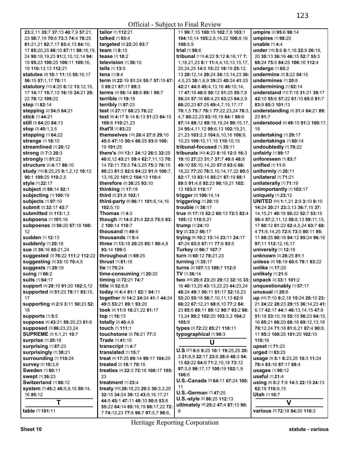| 23:2,11 35:7 37:13 40:7,9 57:21,    | <b>tailor</b> [1] <b>112:21</b>                          | 11 99:7,15 100:15 102:7,8 103:1                                 | umpire [2] 95:6 98:14                                  |
|-------------------------------------|----------------------------------------------------------|-----------------------------------------------------------------|--------------------------------------------------------|
| 23 58:7,19 70:6 73:3 74:4 78:25     | talked [1] 93:4                                          | 104:10,14 105:2,8,14,22 106:9,16                                | umpires [1] 98:20                                      |
| 81:21,21 82:7,17 83:4,13 84:10,     | targeted [2] 22:20 93:7                                  | 108:5,9                                                         | <b>unable</b> [1] <b>4:4</b>                           |
| 17 85:20,25 86:10 87:11 88:16,19,   | team $[1]$ 8:10                                          | trial [1] 98:6                                                  | under [16] 5:6 6:1,16 22:9 26:19,                      |
| 24 90:18,19,23 91:2,10,12,14 94:    | tease [1] 10:2                                           | tribunal [113] 4:22 5:12 6:16,17 7:                             | 20 30:13 36:16 46:15 52:7 55:3                         |
| 19 95:23 100:25 106:11 109:16,      | television [1] 36:10                                     | 1, 18, 21, 23 8:1 11: 4, 4, 10, 13, 15, 17,                     | 68:24 75:5 84:25 106:16 112:4                          |
| 19 110:13,13 112:21                 | tells [1] 13:5                                           | 20,24,25 14:5 15:22 18:19 25:12,                                | <b>undergo</b> [1] <b>65:</b> 2                        |
| statutes [8] 10:1 11:15 55:16,17    | tens [1] 9:4                                             | 13 28:12,14 29:24 34:13,14,23 36:                               | undermine [2] 5:22 54:15                               |
| 56:15 57:1,17 70:11                 | term [8] 22:19 51:24 55:7 57:15 67:                      | 4,5,23 38:1,6,9 39:23 40:24 41:25                               | undermines [1] 20:8                                    |
| statutory [13] 4:20 6:12 13:12,15,  | 5 69:21 87:17 89:3                                       | 42:21 44:8 45:4,13,16 46:10,14,                                 | undermining [1] 62:14                                  |
| 17 14:17 15:7,13 16:16 24:21 29:    | terms [4] 56:14 88:6 89:1 99:7                           | 17 47:18 48:8 50:12 51:25 55:7,8                                | understand [12] 7:18 31:21 39:17                       |
| 22 78:12 109:22                     | <b>terrible</b> [1] <b>19:18</b>                         | 56:24 57:16 60:4,23 63:23 64:2,9                                | 42:10 55:6 57:22 61:10 65:8 81:7                       |
| <b>step</b> [1] 82:14               | terribly [1] 87:23                                       | 66:20,23 67:25 69:4,7,15,17,17                                  | 83:9 85:3 101:13                                       |
| stepping [2] 54:8 64:21             | test [3] 27:17 68:23 76:22                               | 70:1,5 75:7 76:1 77:22,23,24 78:3,                              | understanding [4] 31:4 64:21 89:                       |
| <b>stick</b> [1] 44:21              | text [8] 4:17 5:14 6:13 51:23 84:10                      | 4,7 80:22,23 83:18,19 84:1 86:6                                 | 23 91:7                                                |
| <b>still</b> [2] <b>64:20 84:13</b> | 109:8 110:21,23                                          | 87:14 88:12 89:18,19,24 90:15,17,                               | understood [4] 49:15 91:3 100:17,                      |
| <b>stop</b> $[3]$ 40:1,3,5          | that'll [1] 83:22                                        | 24 95:4,11,12 99:6,13 102:19,21,                                | 18                                                     |
| <b>stopping [1] 64:22</b>           | themselves [10] 26:4 27:8 29:10                          | 21,23 103:2,3 104:6,10,16 106:9,                                | undertaking [1] 29:17                                  |
| strange [1] 18:10                   | 45:6 47:15 50:4 66:25 93:9 100:                          | 10,23 109:10,11,15 110:10,15                                    | undertakings [1] 60:14                                 |
| streamlined [1] 20:12               | 19 101:25                                                | tribunal-focused [1] 35:11                                      | undoubtedly [1] 70:22                                  |
| strong [2] 7:3 20:3                 | there's [30] 13:1 24:12 26:5 32:25                       | tribunals [40] 4:23 8:16 12:9 16:3                              | unfairly [1] 99:17                                     |
| <b>strongly</b> [1] 51:22           | 40:6,12 43:21 59:4 62:7,11,13 70:                        | 19:10 27:23 31:7 37:7 40:8 48:8                                 | unforeseen [1] 83:7                                    |
| <b>structure</b> [2] 4:17 86:10     | 14 72:11 73:3 74:3.25 75:3 76:15                         | 49:10 55:10,14,20 57:8 63:6 66:                                 | unified [1] 11:6                                       |
| study [10] 8:25,25 9:1,2,12 10:12   | 80:23 81:5 82:6 84:22 91:9 100:7,                        | 18,22 77:20 78:5,10,14,17,22 80:5                               | uniformly [1] 26:11                                    |
| 90:1 109:25 110:2,5                 | 13,16,20 101:2 104:13 110:4                              | 82:17,19 83:14 85:21 87:19 88:1                                 | unilateral [1] 71:21                                   |
| style [1] 22:17                     | therefore [2] 38:25 93:10                                | 89:5 91:4,8 92:23 96:19,21 102:                                 | unilaterally [1] 71:19                                 |
| subject [2] 88:14 92:1              | thinking [1] 17:18                                       | 13 103:8 110:17                                                 | unimportantly [1] 103:17                               |
| <b>subjecting [1] 100:19</b>        | third [2] 21:8 102:1                                     | trigger [2] 106:14,14                                           | uniquely [1] 23:12                                     |
| subjects [1] 97:10                  | third-party [6] 96:11 101:6,14,16                        | triggering [1] 20:19                                            | UNITED [50] 1:1,21 2:9 3:10 8:10                       |
| <b>submit</b> [2] 32:17 43:7        | 102:5,10                                                 | trouble [1] 38:17                                               | 14:24 20:21 23:3,13 36:7,15 37:                        |
| <b>submitted</b> [2] 113:1,3        | <b>Thomas</b> $[1]$ 4:3                                  | true [8] 17:18 52:2 60:13 72:5 82:4                             | 14, 15, 21 40: 18 50: 22 52: 7 53: 15                  |
| subpoena [1] 101:16                 | though [7] 14:8 21:4 22:8 75:8 83:                       | 105:12 110:8,21                                                 | 56:4 57:2,11,12 58:8,13 59:11,13,                      |
| subpoenas [3] 56:20 57:18 100:      | 2 100:14 110:7                                           | trump [1] 24:10                                                 | 17 60:12 61:22 62:4,5,24 63:7 68:                      |
| 12<br>sudden [1] 12:13              | thousand $[1]$ 49:6                                      | try [2] 33:2 56:17                                              | 4 71:8,14,25 72:6 73:5 80:11 85:                       |
| suddenly [1] 20:18                  | thousands $[1]$ 9:4<br>three [7] 13:18 20:25 85:1 90:4,8 | trying [9] 10:2 13:14 23:11 24:17<br>47:24 63:8 67:11 77:6 93:5 | 11 88:25 90:18 94:12 95:24 96:16<br>97:11 112:12,16,17 |
| Sue [3] 30:16 65:21,24              | 93:14 109:5                                              | Turkey [2] 96:7 107:7                                           | university [1] 12:18                                   |
| suggested [3] 76:22 111:2 112:22    | throughout [1] 69:25                                     | turn [3] 60:12 78:21,23                                         | unknown [2] 28:25 81:1                                 |
| Suggesting [3] 33:10 70:4,5         | <b>thrust</b> [1] <b>81:18</b>                           | turning [1] 35:17                                               | unless [4] 18:19 60:6 78:1 83:22                       |
| suggests [1] 29:19                  | tie [1] 70:24                                            | turns [3] 107:13 109:7 112:9                                    | unlike [1] 17:20                                       |
| suing [1] 66:2                      | time-consuming [1] 20:20                                 | TV [1] 36:14                                                    | unlikely [1] 21:6                                      |
| <b>suits</b> [1] 64:17              | timing [2] 72:21 74:7                                    | two [45] 20:8 23:20 29:13 32:16 33:                             | unpack [2] 33:1 101:2                                  |
| support [4] 29:19 91:20 102:5,12    | title [2] 52:8,8                                         | 16 40:13,25 43:13,22,23 44:23,24                                | unquestionably [1] 57:17                               |
| supported [4] 51:23 78:11 83:15,    | today [4] 4:4 81:1 82:1 94:11                            | 48:24 49:1 50:11 51:17 52:18,23                                 | unusual [1] 20:6                                       |
| 17                                  | together [8] 14:2 24:24 41:1 44:24                       | 53:20 55:18 56:7,10,11,13 62:9                                  | up [45] 7:10 8:2,18 15:24 20:10 23:                    |
| supporting [4] 2:9 3:11 50:23 52:   | 49:5 53:21 89:1 93:20                                    | 66:22 67:12,21 68:8,10 77:2 84:                                 | 21 24:22 28:23 29:15 36:14,23 41:                      |
| 18                                  | took [4] 11:9 16:21,22 81:17                             | 23 85:5 88:11 89:12 90:7 93:2 98:                               | 6, 17 42: 17 44: 1 46: 13, 14, 15 47: 8                |
| supports [1] 5:5                    | top [1] 16:13                                            | 13,24 99:2 102:20 103:3,3 104:2                                 | 51:18 53:10,18 55:15 56:23 64:15,                      |
| suppose [4] 43:21 59:20,23 81:6     | <b>totally</b> [2] <b>40:4,6</b>                         | 105:9                                                           | 16 65:21 66:20 68:16 69:12,13,18                       |
| supposed [3] 86:23,23,24            | touch [1] 111:1                                          | types [3] 72:22 85:21 110:11                                    | 70:12,24 71:18 81:6,21 87:4 90:8,                      |
| SUPREME [3] 1:1,21 10:7             | touchstone [2] 76:21 77:3                                | typographical [1] 90:3                                          | 11 95:3 100:25 101:20 102:10                           |
| <b>surprise</b> [1] 20:18           | Trade [1] 41:15                                          | U                                                               | 110:16                                                 |
| surprising [1] 87:23                | transcript [1] 4:7                                       |                                                                 | <b>upset</b> [1] <b>71:</b> 23                         |
| surprisingly [1] 38:21              | translated [1] 15:7                                      | U.S [27] 6:6 9:25 10:1 19:25,25 20:                             | urged [1] 83:25                                        |
| surrounding [1] 110:24              | treat [4] 17:25 89:14 99:17 104:25                       | 3 21:8,9 22:17 23:6 26:8 48:3 54:                               | usage [9] 5:1 8:23,25 10:3 11:24                       |
| survey [2] 10:3,9                   | treated [2] 18:1 70:15                                   | 15 62:22 64:9 71:2,10,18 73:12                                  | 78:4 83:16 87:17 88:4                                  |
| Sweden [1] 80:11                    | treaties [4] 22:3 72:16 100:17 105:                      | 97:3,8 98:17,17 100:19 102:1,9                                  | <b>usages</b> [1] 90:12                                |
| swept [1] 36:23                     | 23                                                       | 106:6                                                           | useful [1] 21:4                                        |
| Switzerland [1] 80:12               | treatment $[1]$ 23:4                                     | U.S.-Canada [3] 64:11 67:24 100:                                | using [8] 5:2 7:8 14:5 22:19 24:13                     |
| system [7] 45:2 46:5,9,15 59:14,    | treaty [50] 28:18,23 29:5 30:3,3,20                      | 11                                                              | 62:18 110:9,15                                         |
| 16 85:12                            | 32:15 34:24 39:12 43:9,16,17,21                          | U.S.-German [1] 47:25                                           | Utah [1] 10:7                                          |
| T                                   | 44:5 45:1 47:11 48:10 50:8 53:8                          | U.S.-style [2] 86:25 112:13                                     | V                                                      |
| table [1] 101:11                    | 55:22 64:14 65:16,19 68:17,22 72:                        | ultimately [4] 25:2 47:4 87:10 90:                              | various [3] 72:18 94:20 110:3                          |
|                                     | 7 74:12,23 77:6 96:7 97:5,7 98:6,                        | 8                                                               |                                                        |